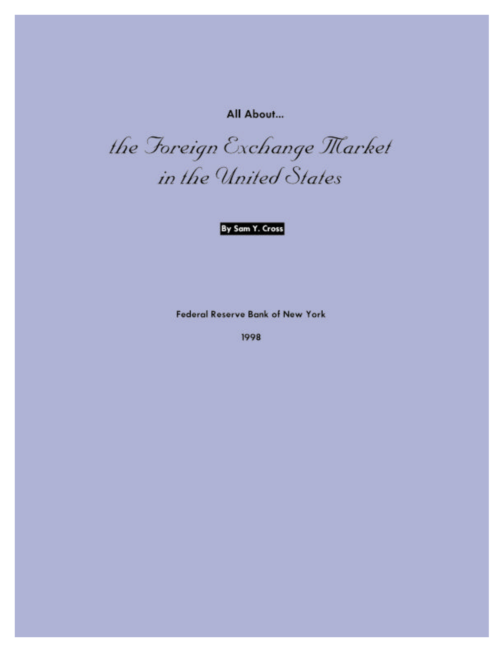All About...

the Joreign Exchange Market in the United States

By Sam Y. Cross

Federal Reserve Bank of New York

1998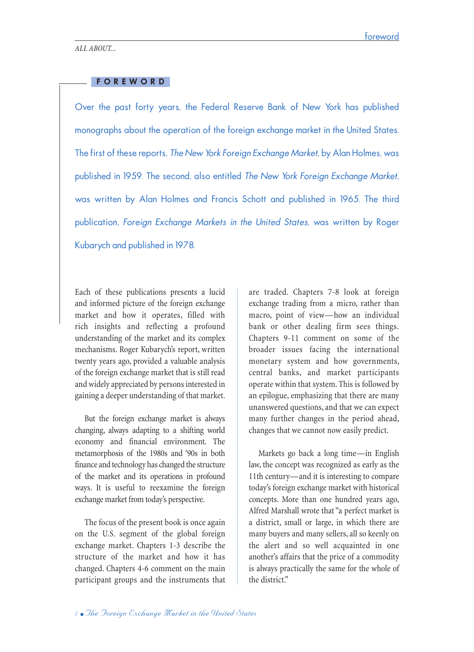### **FOREWORD**

Over the past forty years, the Federal Reserve Bank of New York has published monographs about the operation of the foreign exchange market in the United States. The first of these reports, The New York Foreign Exchange Market, by Alan Holmes, was published in 1959. The second, also entitled The New York Foreign Exchange Market, was written by Alan Holmes and Francis Schott and published in 1965. The third publication, Foreign Exchange Markets in the United States, was written by Roger Kubarych and published in 1978.

Each of these publications presents a lucid and informed picture of the foreign exchange market and how it operates, filled with rich insights and reflecting a profound understanding of the market and its complex mechanisms. Roger Kubarych's report, written twenty years ago, provided a valuable analysis of the foreign exchange market that is still read and widely appreciated by persons interested in gaining a deeper understanding of that market.

But the foreign exchange market is always changing, always adapting to a shifting world economy and financial environment. The metamorphosis of the 1980s and '90s in both finance and technology has changed the structure of the market and its operations in profound ways. It is useful to reexamine the foreign exchange market from today's perspective.

The focus of the present book is once again on the U.S. segment of the global foreign exchange market. Chapters 1-3 describe the structure of the market and how it has changed. Chapters 4-6 comment on the main participant groups and the instruments that are traded. Chapters 7-8 look at foreign exchange trading from a micro, rather than macro, point of view—how an individual bank or other dealing firm sees things. Chapters 9-11 comment on some of the broader issues facing the international monetary system and how governments, central banks, and market participants operate within that system. This is followed by an epilogue, emphasizing that there are many unanswered questions, and that we can expect many further changes in the period ahead, changes that we cannot now easily predict.

Markets go back a long time—in English law, the concept was recognized as early as the 11th century—and it is interesting to compare today's foreign exchange market with historical concepts. More than one hundred years ago, Alfred Marshall wrote that "a perfect market is a district, small or large, in which there are many buyers and many sellers, all so keenly on the alert and so well acquainted in one another's affairs that the price of a commodity is always practically the same for the whole of the district."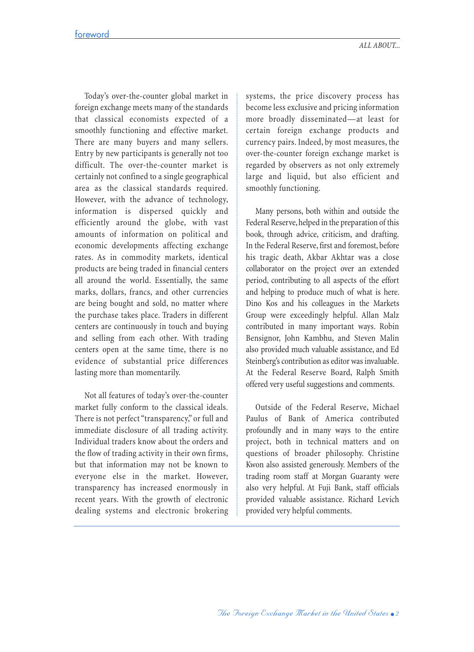Today's over-the-counter global market in foreign exchange meets many of the standards that classical economists expected of a smoothly functioning and effective market. There are many buyers and many sellers. Entry by new participants is generally not too difficult. The over-the-counter market is certainly not confined to a single geographical area as the classical standards required. However, with the advance of technology, information is dispersed quickly and efficiently around the globe, with vast amounts of information on political and economic developments affecting exchange rates. As in commodity markets, identical products are being traded in financial centers all around the world. Essentially, the same marks, dollars, francs, and other currencies are being bought and sold, no matter where the purchase takes place. Traders in different centers are continuously in touch and buying and selling from each other. With trading centers open at the same time, there is no evidence of substantial price differences lasting more than momentarily.

Not all features of today's over-the-counter market fully conform to the classical ideals. There is not perfect "transparency," or full and immediate disclosure of all trading activity. Individual traders know about the orders and the flow of trading activity in their own firms, but that information may not be known to everyone else in the market. However, transparency has increased enormously in recent years. With the growth of electronic dealing systems and electronic brokering

systems, the price discovery process has become less exclusive and pricing information more broadly disseminated—at least for certain foreign exchange products and currency pairs. Indeed, by most measures, the over-the-counter foreign exchange market is regarded by observers as not only extremely large and liquid, but also efficient and smoothly functioning.

Many persons, both within and outside the Federal Reserve, helped in the preparation of this book, through advice, criticism, and drafting. In the Federal Reserve, first and foremost, before his tragic death, Akbar Akhtar was a close collaborator on the project over an extended period, contributing to all aspects of the effort and helping to produce much of what is here. Dino Kos and his colleagues in the Markets Group were exceedingly helpful. Allan Malz contributed in many important ways. Robin Bensignor, John Kambhu, and Steven Malin also provided much valuable assistance, and Ed Steinberg's contribution as editor was invaluable. At the Federal Reserve Board, Ralph Smith offered very useful suggestions and comments.

Outside of the Federal Reserve, Michael Paulus of Bank of America contributed profoundly and in many ways to the entire project, both in technical matters and on questions of broader philosophy. Christine Kwon also assisted generously. Members of the trading room staff at Morgan Guaranty were also very helpful. At Fuji Bank, staff officials provided valuable assistance. Richard Levich provided very helpful comments.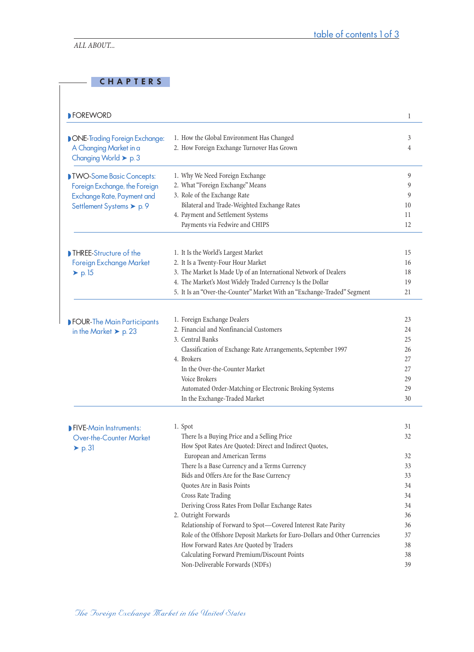**CHAPTERS**

| ▶ FOREWORD                                                                                                                  |                                                                                                                                                                                                                                                                                                                                                                                                                                                                                                                                                                                                                                                         | 1                                                                                |
|-----------------------------------------------------------------------------------------------------------------------------|---------------------------------------------------------------------------------------------------------------------------------------------------------------------------------------------------------------------------------------------------------------------------------------------------------------------------------------------------------------------------------------------------------------------------------------------------------------------------------------------------------------------------------------------------------------------------------------------------------------------------------------------------------|----------------------------------------------------------------------------------|
| <b>DONE-Trading Foreign Exchange:</b><br>A Changing Market in a<br>Changing World $\triangleright$ p. 3                     | 1. How the Global Environment Has Changed<br>2. How Foreign Exchange Turnover Has Grown                                                                                                                                                                                                                                                                                                                                                                                                                                                                                                                                                                 | 3<br>$\overline{4}$                                                              |
| TWO-Some Basic Concepts:<br>Foreign Exchange, the Foreign<br><b>Exchange Rate, Payment and</b><br>Settlement Systems > p. 9 | 1. Why We Need Foreign Exchange<br>2. What "Foreign Exchange" Means<br>3. Role of the Exchange Rate<br>Bilateral and Trade-Weighted Exchange Rates<br>4. Payment and Settlement Systems<br>Payments via Fedwire and CHIPS                                                                                                                                                                                                                                                                                                                                                                                                                               | 9<br>9<br>9<br>10<br>11<br>12                                                    |
| THREE-Structure of the<br>Foreign Exchange Market<br>$\blacktriangleright$ p. 15                                            | 1. It Is the World's Largest Market<br>2. It Is a Twenty-Four Hour Market<br>3. The Market Is Made Up of an International Network of Dealers<br>4. The Market's Most Widely Traded Currency Is the Dollar<br>5. It Is an "Over-the-Counter" Market With an "Exchange-Traded" Segment                                                                                                                                                                                                                                                                                                                                                                    | 15<br>16<br>18<br>19<br>21                                                       |
| <b>D</b> FOUR-The Main Participants<br>in the Market $\triangleright$ p. 23                                                 | 1. Foreign Exchange Dealers<br>2. Financial and Nonfinancial Customers<br>3. Central Banks<br>Classification of Exchange Rate Arrangements, September 1997<br>4. Brokers<br>In the Over-the-Counter Market<br>Voice Brokers<br>Automated Order-Matching or Electronic Broking Systems<br>In the Exchange-Traded Market                                                                                                                                                                                                                                                                                                                                  | 23<br>24<br>25<br>26<br>27<br>27<br>29<br>29<br>30                               |
| <b>P</b> FIVE-Main Instruments:<br><b>Over-the-Counter Market</b><br>$\blacktriangleright$ p. 31                            | 1. Spot<br>There Is a Buying Price and a Selling Price<br>How Spot Rates Are Quoted: Direct and Indirect Quotes,<br>European and American Terms<br>There Is a Base Currency and a Terms Currency<br>Bids and Offers Are for the Base Currency<br>Quotes Are in Basis Points<br>Cross Rate Trading<br>Deriving Cross Rates From Dollar Exchange Rates<br>2. Outright Forwards<br>Relationship of Forward to Spot-Covered Interest Rate Parity<br>Role of the Offshore Deposit Markets for Euro-Dollars and Other Currencies<br>How Forward Rates Are Quoted by Traders<br>Calculating Forward Premium/Discount Points<br>Non-Deliverable Forwards (NDFs) | 31<br>32<br>32<br>33<br>33<br>34<br>34<br>34<br>36<br>36<br>37<br>38<br>38<br>39 |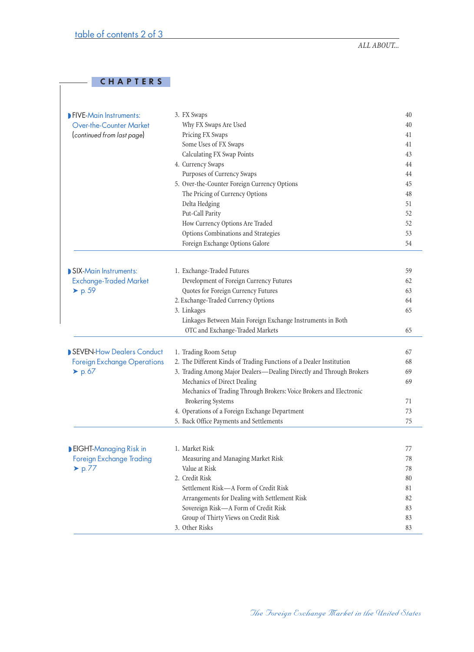**CHAPTERS**

| <b>P</b> FIVE-Main Instruments:<br>Over-the-Counter Market<br>(continued from last page)       | 3. FX Swaps<br>Why FX Swaps Are Used<br>Pricing FX Swaps<br>Some Uses of FX Swaps<br>Calculating FX Swap Points<br>4. Currency Swaps<br>Purposes of Currency Swaps<br>5. Over-the-Counter Foreign Currency Options<br>The Pricing of Currency Options<br>Delta Hedging<br>Put-Call Parity<br>How Currency Options Are Traded<br>Options Combinations and Strategies<br>Foreign Exchange Options Galore | 40<br>40<br>41<br>41<br>43<br>44<br>44<br>45<br>48<br>51<br>52<br>52<br>53<br>54 |
|------------------------------------------------------------------------------------------------|--------------------------------------------------------------------------------------------------------------------------------------------------------------------------------------------------------------------------------------------------------------------------------------------------------------------------------------------------------------------------------------------------------|----------------------------------------------------------------------------------|
| SIX-Main Instruments:<br>Exchange-Traded Market<br>$\blacktriangleright$ p. 59                 | 1. Exchange-Traded Futures<br>Development of Foreign Currency Futures<br>Quotes for Foreign Currency Futures<br>2. Exchange-Traded Currency Options<br>3. Linkages<br>Linkages Between Main Foreign Exchange Instruments in Both<br>OTC and Exchange-Traded Markets                                                                                                                                    | 59<br>62<br>63<br>64<br>65<br>65                                                 |
| SEVEN-How Dealers Conduct<br><b>Foreign Exchange Operations</b><br>$\blacktriangleright$ p. 67 | 1. Trading Room Setup<br>2. The Different Kinds of Trading Functions of a Dealer Institution<br>3. Trading Among Major Dealers-Dealing Directly and Through Brokers<br>Mechanics of Direct Dealing<br>Mechanics of Trading Through Brokers: Voice Brokers and Electronic<br><b>Brokering Systems</b><br>4. Operations of a Foreign Exchange Department<br>5. Back Office Payments and Settlements      | 67<br>68<br>69<br>69<br>71<br>73<br>75                                           |
| <b>D</b> EIGHT-Managing Risk in<br>Foreign Exchange Trading<br>$\geq p.77$                     | 1. Market Risk<br>Measuring and Managing Market Risk<br>Value at Risk<br>2. Credit Risk<br>Settlement Risk-A Form of Credit Risk<br>Arrangements for Dealing with Settlement Risk<br>Sovereign Risk-A Form of Credit Risk<br>Group of Thirty Views on Credit Risk<br>3. Other Risks                                                                                                                    | 77<br>78<br>78<br>80<br>81<br>82<br>83<br>83<br>83                               |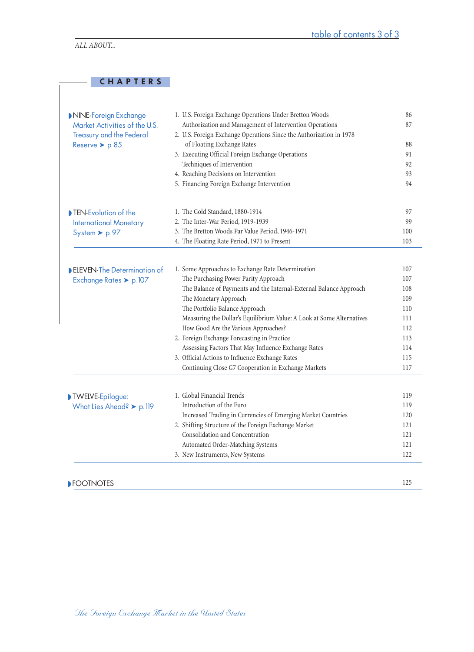# **CHAPTERS**

| <b>NINE-Foreign Exchange</b><br>Market Activities of the U.S. | 1. U.S. Foreign Exchange Operations Under Bretton Woods<br>Authorization and Management of Intervention Operations | 86<br>87 |
|---------------------------------------------------------------|--------------------------------------------------------------------------------------------------------------------|----------|
| Treasury and the Federal                                      | 2. U.S. Foreign Exchange Operations Since the Authorization in 1978                                                |          |
| Reserve $\triangleright$ p. 85                                | of Floating Exchange Rates                                                                                         | 88       |
|                                                               | 3. Executing Official Foreign Exchange Operations                                                                  | 91       |
|                                                               | Techniques of Intervention                                                                                         | 92       |
|                                                               | 4. Reaching Decisions on Intervention                                                                              | 93       |
|                                                               | 5. Financing Foreign Exchange Intervention                                                                         | 94       |
|                                                               |                                                                                                                    |          |
| TEN-Evolution of the                                          | 1. The Gold Standard, 1880-1914                                                                                    | 97       |
| <b>International Monetary</b>                                 | 2. The Inter-War Period, 1919-1939                                                                                 | 99       |
| $System \triangleright p.97$                                  | 3. The Bretton Woods Par Value Period, 1946-1971                                                                   | 100      |
|                                                               | 4. The Floating Rate Period, 1971 to Present                                                                       | 103      |
|                                                               |                                                                                                                    |          |
| <b>D</b> ELEVEN-The Determination of                          | 1. Some Approaches to Exchange Rate Determination                                                                  | 107      |
| Exchange Rates > p. 107                                       | The Purchasing Power Parity Approach                                                                               | 107      |
|                                                               | The Balance of Payments and the Internal-External Balance Approach                                                 | 108      |
|                                                               | The Monetary Approach                                                                                              | 109      |
|                                                               | The Portfolio Balance Approach                                                                                     | 110      |
|                                                               | Measuring the Dollar's Equilibrium Value: A Look at Some Alternatives                                              | 111      |
|                                                               | How Good Are the Various Approaches?                                                                               | 112      |
|                                                               | 2. Foreign Exchange Forecasting in Practice                                                                        | 113      |
|                                                               | Assessing Factors That May Influence Exchange Rates                                                                | 114      |
|                                                               | 3. Official Actions to Influence Exchange Rates                                                                    | 115      |
|                                                               | Continuing Close G7 Cooperation in Exchange Markets                                                                | 117      |
|                                                               |                                                                                                                    |          |
| TWELVE-Epilogue:                                              | 1. Global Financial Trends                                                                                         | 119      |
| What Lies Ahead? $\triangleright$ p. 119                      | Introduction of the Euro                                                                                           | 119      |
|                                                               | Increased Trading in Currencies of Emerging Market Countries                                                       | 120      |
|                                                               | 2. Shifting Structure of the Foreign Exchange Market                                                               | 121      |
|                                                               | Consolidation and Concentration                                                                                    | 121      |
|                                                               | Automated Order-Matching Systems                                                                                   | 121      |
|                                                               | 3. New Instruments, New Systems                                                                                    | 122      |
|                                                               |                                                                                                                    |          |
| <b>P</b> FOOTNOTES                                            |                                                                                                                    | 125      |
|                                                               |                                                                                                                    |          |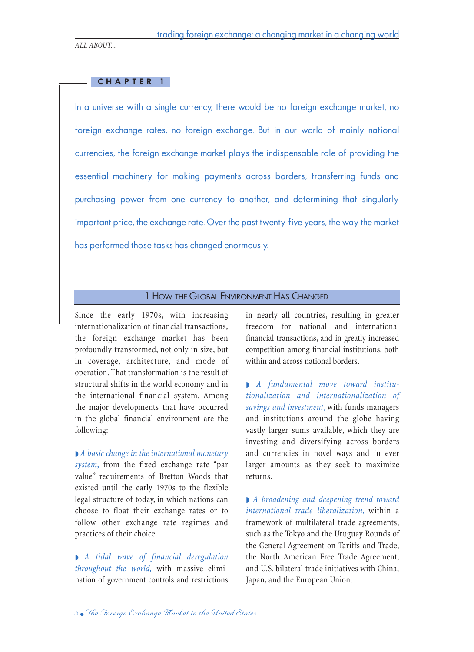# **CHAPTER 1**

In a universe with a single currency, there would be no foreign exchange market, no foreign exchange rates, no foreign exchange. But in our world of mainly national currencies, the foreign exchange market plays the indispensable role of providing the essential machinery for making payments across borders, transferring funds and purchasing power from one currency to another, and determining that singularly important price, the exchange rate. Over the past twenty-five years, the way the market has performed those tasks has changed enormously.

# 1. HOW THE GLOBAL ENVIRONMENT HAS CHANGED

Since the early 1970s, with increasing internationalization of financial transactions, the foreign exchange market has been profoundly transformed, not only in size, but in coverage, architecture, and mode of operation. That transformation is the result of structural shifts in the world economy and in the international financial system. Among the major developments that have occurred in the global financial environment are the following:

◗ *A basic change in the international monetary system*, from the fixed exchange rate "par value" requirements of Bretton Woods that existed until the early 1970s to the flexible legal structure of today, in which nations can choose to float their exchange rates or to follow other exchange rate regimes and practices of their choice.

◗ *A tidal wave of financial deregulation throughout the world,* with massive elimination of government controls and restrictions in nearly all countries, resulting in greater freedom for national and international financial transactions, and in greatly increased competition among financial institutions, both within and across national borders.

◗ *A fundamental move toward institutionalization and internationalization of savings and investment*, with funds managers and institutions around the globe having vastly larger sums available, which they are investing and diversifying across borders and currencies in novel ways and in ever larger amounts as they seek to maximize returns.

◗ *A broadening and deepening trend toward international trade liberalization*, within a framework of multilateral trade agreements, such as the Tokyo and the Uruguay Rounds of the General Agreement on Tariffs and Trade, the North American Free Trade Agreement, and U.S. bilateral trade initiatives with China, Japan, and the European Union.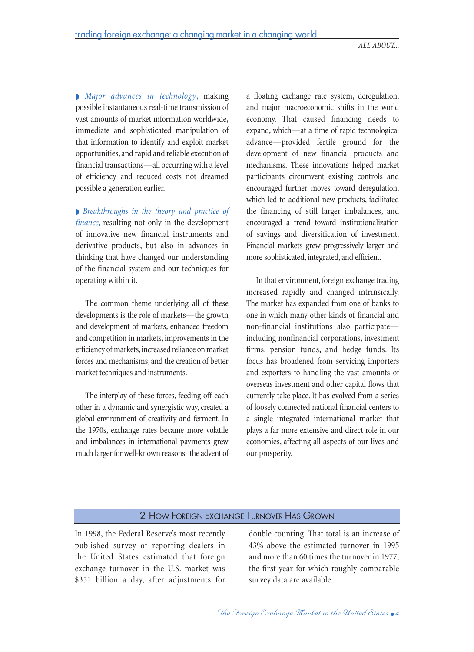◗ *Major advances in technology*, making possible instantaneous real-time transmission of vast amounts of market information worldwide, immediate and sophisticated manipulation of that information to identify and exploit market opportunities, and rapid and reliable execution of financial transactions—all occurring with a level of efficiency and reduced costs not dreamed possible a generation earlier.

◗ *Breakthroughs in the theory and practice of finance*, resulting not only in the development of innovative new financial instruments and derivative products, but also in advances in thinking that have changed our understanding of the financial system and our techniques for operating within it.

The common theme underlying all of these developments is the role of markets—the growth and development of markets, enhanced freedom and competition in markets, improvements in the efficiency of markets,increased reliance on market forces and mechanisms, and the creation of better market techniques and instruments.

The interplay of these forces, feeding off each other in a dynamic and synergistic way, created a global environment of creativity and ferment. In the 1970s, exchange rates became more volatile and imbalances in international payments grew much larger for well-known reasons: the advent of a floating exchange rate system, deregulation, and major macroeconomic shifts in the world economy. That caused financing needs to expand, which—at a time of rapid technological advance—provided fertile ground for the development of new financial products and mechanisms. These innovations helped market participants circumvent existing controls and encouraged further moves toward deregulation, which led to additional new products, facilitated the financing of still larger imbalances, and encouraged a trend toward institutionalization of savings and diversification of investment. Financial markets grew progressively larger and more sophisticated, integrated, and efficient.

In that environment, foreign exchange trading increased rapidly and changed intrinsically. The market has expanded from one of banks to one in which many other kinds of financial and non-financial institutions also participate including nonfinancial corporations, investment firms, pension funds, and hedge funds. Its focus has broadened from servicing importers and exporters to handling the vast amounts of overseas investment and other capital flows that currently take place. It has evolved from a series of loosely connected national financial centers to a single integrated international market that plays a far more extensive and direct role in our economies, affecting all aspects of our lives and our prosperity.

# 2. HOW FOREIGN EXCHANGE TURNOVER HAS GROWN

In 1998, the Federal Reserve's most recently published survey of reporting dealers in the United States estimated that foreign exchange turnover in the U.S. market was \$351 billion a day, after adjustments for

double counting. That total is an increase of 43% above the estimated turnover in 1995 and more than 60 times the turnover in 1977, the first year for which roughly comparable survey data are available.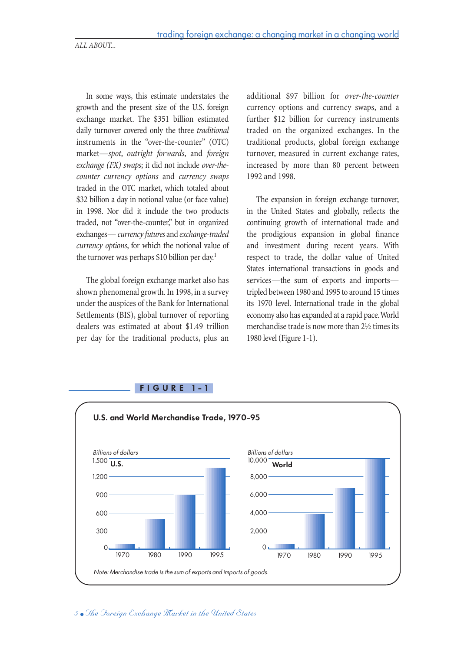In some ways, this estimate understates the growth and the present size of the U.S. foreign exchange market. The \$351 billion estimated daily turnover covered only the three *traditional* instruments in the "over-the-counter" (OTC) market—*spot*, *outright forwards*, and *foreign exchange (FX) swaps*; it did not include *over-thecounter currency options* and *currency swaps* traded in the OTC market, which totaled about \$32 billion a day in notional value (or face value) in 1998. Nor did it include the two products traded, not "over-the-counter," but in organized exchanges— *currency futures* and *exchange-traded currency options*, for which the notional value of the turnover was perhaps \$10 billion per day.<sup>1</sup>

The global foreign exchange market also has shown phenomenal growth. In 1998, in a survey under the auspices of the Bank for International Settlements (BIS), global turnover of reporting dealers was estimated at about \$1.49 trillion per day for the traditional products, plus an additional \$97 billion for *over-the-counter* currency options and currency swaps, and a further \$12 billion for currency instruments traded on the organized exchanges. In the traditional products, global foreign exchange turnover, measured in current exchange rates, increased by more than 80 percent between 1992 and 1998.

The expansion in foreign exchange turnover, in the United States and globally, reflects the continuing growth of international trade and the prodigious expansion in global finance and investment during recent years. With respect to trade, the dollar value of United States international transactions in goods and services—the sum of exports and imports tripled between 1980 and 1995 to around 15 times its 1970 level. International trade in the global economy also has expanded at a rapid pace.World merchandise trade is now more than 2½ times its 1980 level (Figure 1-1).

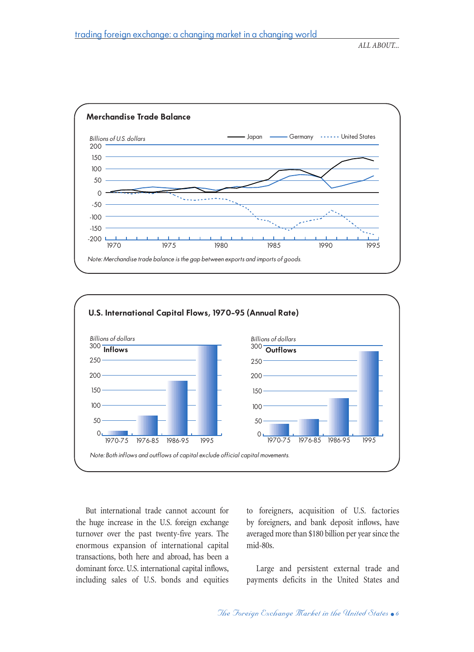



But international trade cannot account for the huge increase in the U.S. foreign exchange turnover over the past twenty-five years. The enormous expansion of international capital transactions, both here and abroad, has been a dominant force. U.S. international capital inflows, including sales of U.S. bonds and equities to foreigners, acquisition of U.S. factories by foreigners, and bank deposit inflows, have averaged more than \$180 billion per year since the mid-80s.

Large and persistent external trade and payments deficits in the United States and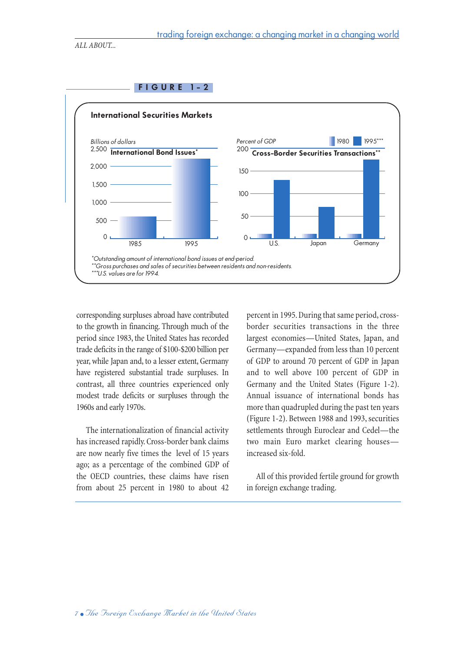

corresponding surpluses abroad have contributed to the growth in financing. Through much of the period since 1983, the United States has recorded trade deficits in the range of \$100-\$200 billion per year, while Japan and, to a lesser extent, Germany have registered substantial trade surpluses. In contrast, all three countries experienced only modest trade deficits or surpluses through the 1960s and early 1970s.

The internationalization of financial activity has increased rapidly. Cross-border bank claims are now nearly five times the level of 15 years ago; as a percentage of the combined GDP of the OECD countries, these claims have risen from about 25 percent in 1980 to about 42 percent in 1995. During that same period, crossborder securities transactions in the three largest economies—United States, Japan, and Germany—expanded from less than 10 percent of GDP to around 70 percent of GDP in Japan and to well above 100 percent of GDP in Germany and the United States (Figure 1-2). Annual issuance of international bonds has more than quadrupled during the past ten years (Figure 1-2). Between 1988 and 1993, securities settlements through Euroclear and Cedel—the two main Euro market clearing houses increased six-fold.

All of this provided fertile ground for growth in foreign exchange trading.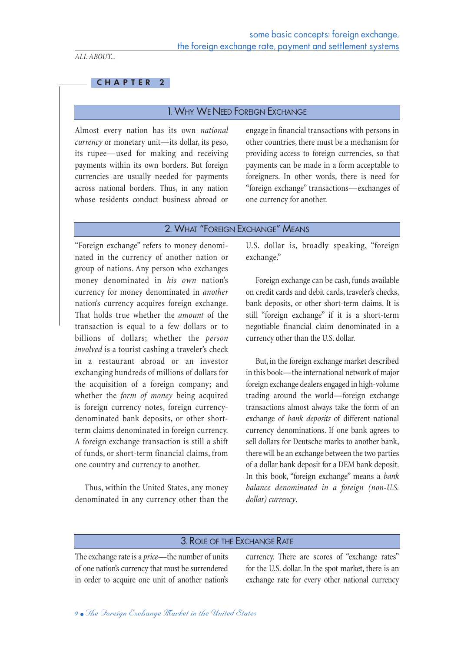# **CHAPTER 2**

### 1. WHY WE NEED FOREIGN EXCHANGE

Almost every nation has its own *national currency* or monetary unit—its dollar, its peso, its rupee—used for making and receiving payments within its own borders. But foreign currencies are usually needed for payments across national borders. Thus, in any nation whose residents conduct business abroad or

engage in financial transactions with persons in other countries, there must be a mechanism for providing access to foreign currencies, so that payments can be made in a form acceptable to foreigners. In other words, there is need for "foreign exchange" transactions—exchanges of one currency for another.

# 2. WHAT "FOREIGN EXCHANGE" MEANS

"Foreign exchange" refers to money denominated in the currency of another nation or group of nations. Any person who exchanges money denominated in *his own* nation's currency for money denominated in *another* nation's currency acquires foreign exchange. That holds true whether the *amount* of the transaction is equal to a few dollars or to billions of dollars; whether the *person involved* is a tourist cashing a traveler's check in a restaurant abroad or an investor exchanging hundreds of millions of dollars for the acquisition of a foreign company; and whether the *form of money* being acquired is foreign currency notes, foreign currencydenominated bank deposits, or other shortterm claims denominated in foreign currency. A foreign exchange transaction is still a shift of funds, or short-term financial claims, from one country and currency to another.

Thus, within the United States, any money denominated in any currency other than the

U.S. dollar is, broadly speaking, "foreign exchange."

Foreign exchange can be cash, funds available on credit cards and debit cards, traveler's checks, bank deposits, or other short-term claims. It is still "foreign exchange" if it is a short-term negotiable financial claim denominated in a currency other than the U.S. dollar.

But, in the foreign exchange market described in this book—the international network of major foreign exchange dealers engaged in high-volume trading around the world—foreign exchange transactions almost always take the form of an exchange of *bank deposits* of different national currency denominations. If one bank agrees to sell dollars for Deutsche marks to another bank, there will be an exchange between the two parties of a dollar bank deposit for a DEM bank deposit. In this book, "foreign exchange" means a *bank balance denominated in a foreign (non-U.S. dollar) currency*.

# 3. ROLE OF THE EXCHANGE RATE

The exchange rate is a *price*—the number of units of one nation's currency that must be surrendered in order to acquire one unit of another nation's

currency. There are scores of "exchange rates" for the U.S. dollar. In the spot market, there is an exchange rate for every other national currency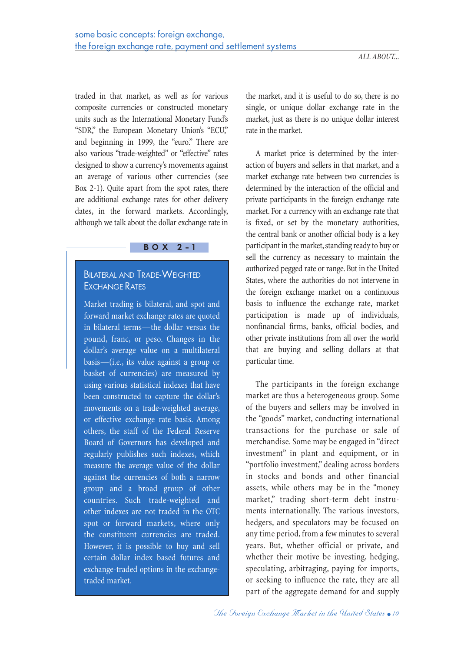traded in that market, as well as for various composite currencies or constructed monetary units such as the International Monetary Fund's "SDR," the European Monetary Union's "ECU," and beginning in 1999, the "euro." There are also various "trade-weighted" or "effective" rates designed to show a currency's movements against an average of various other currencies (see Box 2-1). Quite apart from the spot rates, there are additional exchange rates for other delivery dates, in the forward markets. Accordingly, although we talk about the dollar exchange rate in

#### **BOX 2-1**

# BILATERAL AND TRADE-WEIGHTED EXCHANGE RATES

Market trading is bilateral, and spot and forward market exchange rates are quoted in bilateral terms—the dollar versus the pound, franc, or peso. Changes in the dollar's average value on a multilateral basis—(i.e., its value against a group or basket of currencies) are measured by using various statistical indexes that have been constructed to capture the dollar's movements on a trade-weighted average, or effective exchange rate basis. Among others, the staff of the Federal Reserve Board of Governors has developed and regularly publishes such indexes, which measure the average value of the dollar against the currencies of both a narrow group and a broad group of other countries. Such trade-weighted and other indexes are not traded in the OTC spot or forward markets, where only the constituent currencies are traded. However, it is possible to buy and sell certain dollar index based futures and exchange-traded options in the exchangetraded market.

the market, and it is useful to do so, there is no single, or unique dollar exchange rate in the market, just as there is no unique dollar interest rate in the market.

A market price is determined by the interaction of buyers and sellers in that market, and a market exchange rate between two currencies is determined by the interaction of the official and private participants in the foreign exchange rate market. For a currency with an exchange rate that is fixed, or set by the monetary authorities, the central bank or another official body is a key participant in the market, standing ready to buy or sell the currency as necessary to maintain the authorized pegged rate or range. But in the United States, where the authorities do not intervene in the foreign exchange market on a continuous basis to influence the exchange rate, market participation is made up of individuals, nonfinancial firms, banks, official bodies, and other private institutions from all over the world that are buying and selling dollars at that particular time.

The participants in the foreign exchange market are thus a heterogeneous group. Some of the buyers and sellers may be involved in the "goods" market, conducting international transactions for the purchase or sale of merchandise. Some may be engaged in "direct investment" in plant and equipment, or in "portfolio investment," dealing across borders in stocks and bonds and other financial assets, while others may be in the "money market," trading short-term debt instruments internationally. The various investors, hedgers, and speculators may be focused on any time period, from a few minutes to several years. But, whether official or private, and whether their motive be investing, hedging, speculating, arbitraging, paying for imports, or seeking to influence the rate, they are all part of the aggregate demand for and supply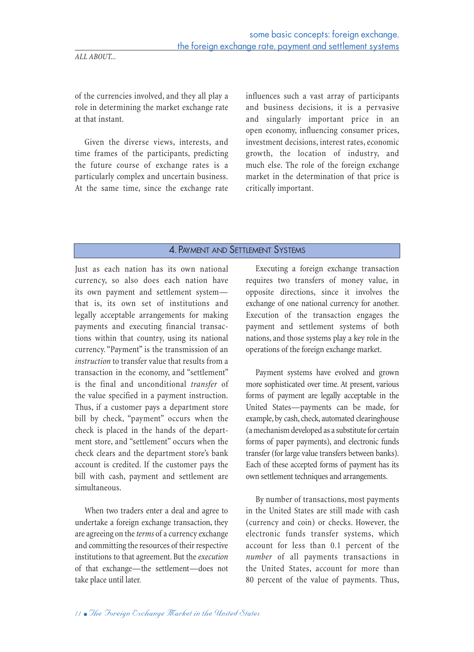of the currencies involved, and they all play a role in determining the market exchange rate at that instant.

Given the diverse views, interests, and time frames of the participants, predicting the future course of exchange rates is a particularly complex and uncertain business. At the same time, since the exchange rate influences such a vast array of participants and business decisions, it is a pervasive and singularly important price in an open economy, influencing consumer prices, investment decisions, interest rates, economic growth, the location of industry, and much else. The role of the foreign exchange market in the determination of that price is critically important.

# 4. PAYMENT AND SETTLEMENT SYSTEMS

Just as each nation has its own national currency, so also does each nation have its own payment and settlement system that is, its own set of institutions and legally acceptable arrangements for making payments and executing financial transactions within that country, using its national currency. "Payment" is the transmission of an *instruction* to transfer value that results from a transaction in the economy, and "settlement" is the final and unconditional *transfer* of the value specified in a payment instruction. Thus, if a customer pays a department store bill by check, "payment" occurs when the check is placed in the hands of the department store, and "settlement" occurs when the check clears and the department store's bank account is credited. If the customer pays the bill with cash, payment and settlement are simultaneous.

When two traders enter a deal and agree to undertake a foreign exchange transaction, they are agreeing on the*terms* of a currency exchange and committing the resources of their respective institutions to that agreement. But the *execution* of that exchange—the settlement—does not take place until later.

Executing a foreign exchange transaction requires two transfers of money value, in opposite directions, since it involves the exchange of one national currency for another. Execution of the transaction engages the payment and settlement systems of both nations, and those systems play a key role in the operations of the foreign exchange market.

Payment systems have evolved and grown more sophisticated over time. At present, various forms of payment are legally acceptable in the United States—payments can be made, for example, by cash, check, automated clearinghouse (a mechanism developed as a substitute for certain forms of paper payments), and electronic funds transfer (for large value transfers between banks). Each of these accepted forms of payment has its own settlement techniques and arrangements.

By number of transactions, most payments in the United States are still made with cash (currency and coin) or checks. However, the electronic funds transfer systems, which account for less than 0.1 percent of the *number* of all payments transactions in the United States, account for more than 80 percent of the value of payments. Thus,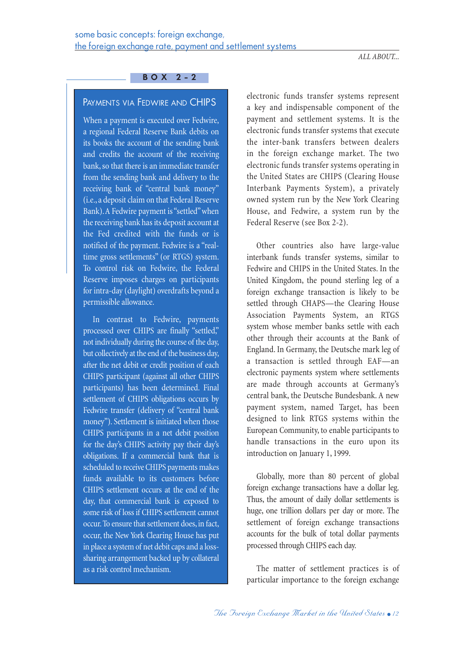## **BOX 2-2**

## PAYMENTS VIA FEDWIRE AND CHIPS

When a payment is executed over Fedwire, a regional Federal Reserve Bank debits on its books the account of the sending bank and credits the account of the receiving bank, so that there is an immediate transfer from the sending bank and delivery to the receiving bank of "central bank money" (i.e., a deposit claim on that Federal Reserve Bank).A Fedwire payment is "settled" when the receiving bank has its deposit account at the Fed credited with the funds or is notified of the payment. Fedwire is a "realtime gross settlements" (or RTGS) system. To control risk on Fedwire, the Federal Reserve imposes charges on participants for intra-day (daylight) overdrafts beyond a permissible allowance.

In contrast to Fedwire, payments processed over CHIPS are finally "settled," not individually during the course of the day, but collectively at the end of the business day, after the net debit or credit position of each CHIPS participant (against all other CHIPS participants) has been determined. Final settlement of CHIPS obligations occurs by Fedwire transfer (delivery of "central bank money"). Settlement is initiated when those CHIPS participants in a net debit position for the day's CHIPS activity pay their day's obligations. If a commercial bank that is scheduled to receive CHIPS payments makes funds available to its customers before CHIPS settlement occurs at the end of the day, that commercial bank is exposed to some risk of loss if CHIPS settlement cannot occur. To ensure that settlement does, in fact, occur, the New York Clearing House has put in place a system of net debit caps and a losssharing arrangement backed up by collateral as a risk control mechanism.

electronic funds transfer systems represent a key and indispensable component of the payment and settlement systems. It is the electronic funds transfer systems that execute the inter-bank transfers between dealers in the foreign exchange market. The two electronic funds transfer systems operating in the United States are CHIPS (Clearing House Interbank Payments System), a privately owned system run by the New York Clearing House, and Fedwire, a system run by the Federal Reserve (see Box 2-2).

Other countries also have large-value interbank funds transfer systems, similar to Fedwire and CHIPS in the United States. In the United Kingdom, the pound sterling leg of a foreign exchange transaction is likely to be settled through CHAPS—the Clearing House Association Payments System, an RTGS system whose member banks settle with each other through their accounts at the Bank of England. In Germany, the Deutsche mark leg of a transaction is settled through EAF—an electronic payments system where settlements are made through accounts at Germany's central bank, the Deutsche Bundesbank. A new payment system, named Target, has been designed to link RTGS systems within the European Community, to enable participants to handle transactions in the euro upon its introduction on January 1, 1999.

Globally, more than 80 percent of global foreign exchange transactions have a dollar leg. Thus, the amount of daily dollar settlements is huge, one trillion dollars per day or more. The settlement of foreign exchange transactions accounts for the bulk of total dollar payments processed through CHIPS each day.

The matter of settlement practices is of particular importance to the foreign exchange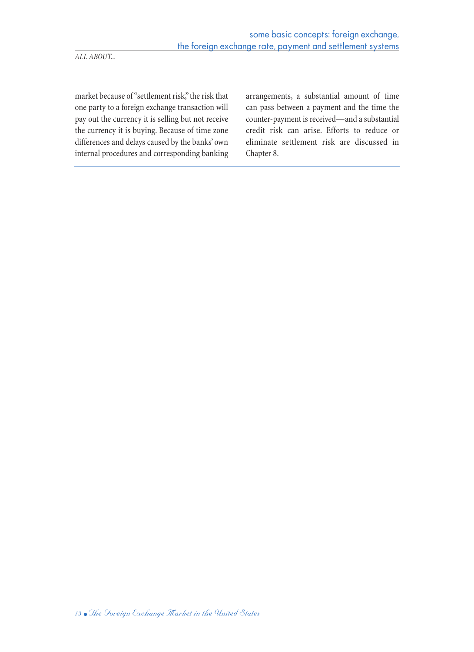market because of "settlement risk," the risk that one party to a foreign exchange transaction will pay out the currency it is selling but not receive the currency it is buying. Because of time zone differences and delays caused by the banks' own internal procedures and corresponding banking arrangements, a substantial amount of time can pass between a payment and the time the counter-payment is received—and a substantial credit risk can arise. Efforts to reduce or eliminate settlement risk are discussed in Chapter 8.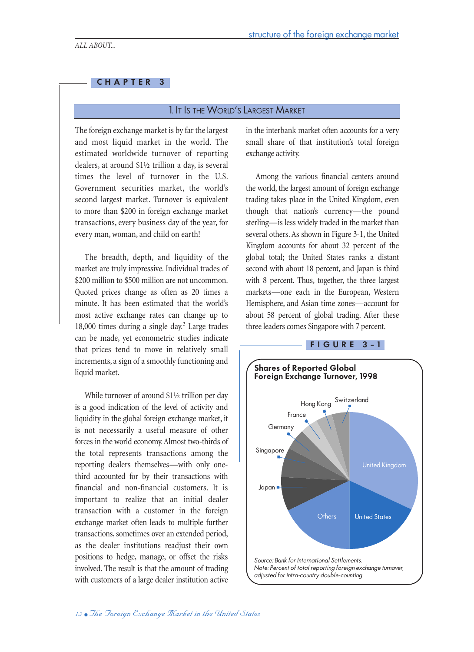# **CHAPTER 3**

# 1. IT IS THE WORLD'S LARGEST MARKET

The foreign exchange market is by far the largest and most liquid market in the world. The estimated worldwide turnover of reporting dealers, at around \$1½ trillion a day, is several times the level of turnover in the U.S. Government securities market, the world's second largest market. Turnover is equivalent to more than \$200 in foreign exchange market transactions, every business day of the year, for every man, woman, and child on earth!

The breadth, depth, and liquidity of the market are truly impressive. Individual trades of \$200 million to \$500 million are not uncommon. Quoted prices change as often as 20 times a minute. It has been estimated that the world's most active exchange rates can change up to 18,000 times during a single day.2 Large trades can be made, yet econometric studies indicate that prices tend to move in relatively small increments, a sign of a smoothly functioning and liquid market.

While turnover of around \$1½ trillion per day is a good indication of the level of activity and liquidity in the global foreign exchange market, it is not necessarily a useful measure of other forces in the world economy. Almost two-thirds of the total represents transactions among the reporting dealers themselves—with only onethird accounted for by their transactions with financial and non-financial customers. It is important to realize that an initial dealer transaction with a customer in the foreign exchange market often leads to multiple further transactions, sometimes over an extended period, as the dealer institutions readjust their own positions to hedge, manage, or offset the risks involved. The result is that the amount of trading with customers of a large dealer institution active

in the interbank market often accounts for a very small share of that institution's total foreign exchange activity.

Among the various financial centers around the world, the largest amount of foreign exchange trading takes place in the United Kingdom, even though that nation's currency—the pound sterling—is less widely traded in the market than several others. As shown in Figure 3-1, the United Kingdom accounts for about 32 percent of the global total; the United States ranks a distant second with about 18 percent, and Japan is third with 8 percent. Thus, together, the three largest markets—one each in the European, Western Hemisphere, and Asian time zones—account for about 58 percent of global trading. After these three leaders comes Singapore with 7 percent.

**FIGURE 3-1**

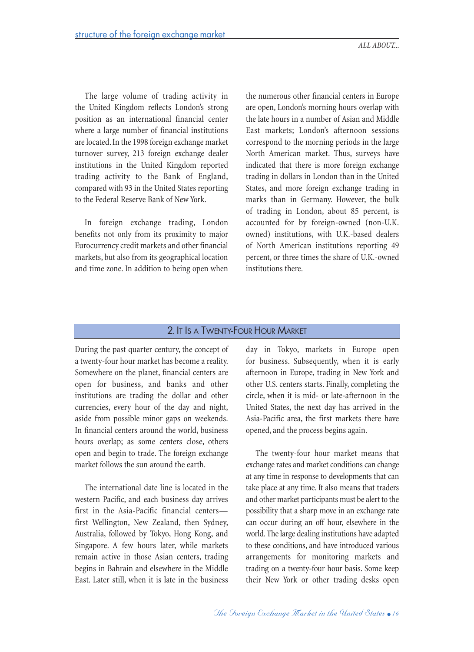The large volume of trading activity in the United Kingdom reflects London's strong position as an international financial center where a large number of financial institutions are located. In the 1998 foreign exchange market turnover survey, 213 foreign exchange dealer institutions in the United Kingdom reported trading activity to the Bank of England, compared with 93 in the United States reporting to the Federal Reserve Bank of New York.

In foreign exchange trading, London benefits not only from its proximity to major Eurocurrency credit markets and other financial markets, but also from its geographical location and time zone. In addition to being open when

the numerous other financial centers in Europe are open, London's morning hours overlap with the late hours in a number of Asian and Middle East markets; London's afternoon sessions correspond to the morning periods in the large North American market. Thus, surveys have indicated that there is more foreign exchange trading in dollars in London than in the United States, and more foreign exchange trading in marks than in Germany. However, the bulk of trading in London, about 85 percent, is accounted for by foreign-owned (non-U.K. owned) institutions, with U.K.-based dealers of North American institutions reporting 49 percent, or three times the share of U.K.-owned institutions there.

### 2. IT IS A TWENTY-FOUR HOUR MARKET

During the past quarter century, the concept of a twenty-four hour market has become a reality. Somewhere on the planet, financial centers are open for business, and banks and other institutions are trading the dollar and other currencies, every hour of the day and night, aside from possible minor gaps on weekends. In financial centers around the world, business hours overlap; as some centers close, others open and begin to trade. The foreign exchange market follows the sun around the earth.

The international date line is located in the western Pacific, and each business day arrives first in the Asia-Pacific financial centers first Wellington, New Zealand, then Sydney, Australia, followed by Tokyo, Hong Kong, and Singapore. A few hours later, while markets remain active in those Asian centers, trading begins in Bahrain and elsewhere in the Middle East. Later still, when it is late in the business

day in Tokyo, markets in Europe open for business. Subsequently, when it is early afternoon in Europe, trading in New York and other U.S. centers starts. Finally, completing the circle, when it is mid- or late-afternoon in the United States, the next day has arrived in the Asia-Pacific area, the first markets there have opened, and the process begins again.

The twenty-four hour market means that exchange rates and market conditions can change at any time in response to developments that can take place at any time. It also means that traders and other market participants must be alert to the possibility that a sharp move in an exchange rate can occur during an off hour, elsewhere in the world. The large dealing institutions have adapted to these conditions, and have introduced various arrangements for monitoring markets and trading on a twenty-four hour basis. Some keep their New York or other trading desks open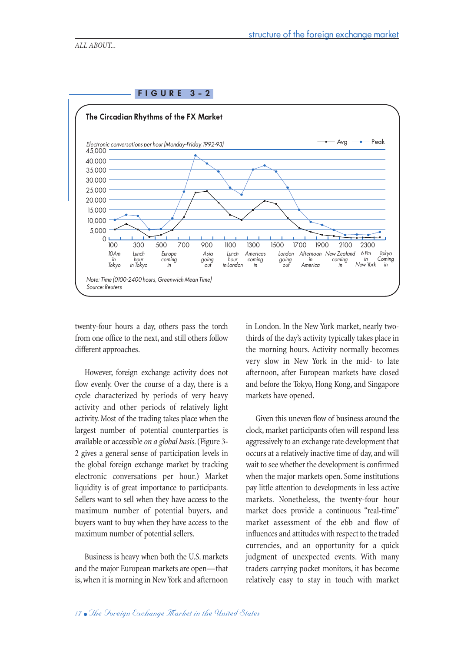

twenty-four hours a day, others pass the torch from one office to the next, and still others follow different approaches.

However, foreign exchange activity does not flow evenly. Over the course of a day, there is a cycle characterized by periods of very heavy activity and other periods of relatively light activity. Most of the trading takes place when the largest number of potential counterparties is available or accessible *on a global basis*. (Figure 3- 2 gives a general sense of participation levels in the global foreign exchange market by tracking electronic conversations per hour.) Market liquidity is of great importance to participants. Sellers want to sell when they have access to the maximum number of potential buyers, and buyers want to buy when they have access to the maximum number of potential sellers.

Business is heavy when both the U.S. markets and the major European markets are open—that is, when it is morning in New York and afternoon

in London. In the New York market, nearly twothirds of the day's activity typically takes place in the morning hours. Activity normally becomes very slow in New York in the mid- to late afternoon, after European markets have closed and before the Tokyo, Hong Kong, and Singapore markets have opened.

Given this uneven flow of business around the clock, market participants often will respond less aggressively to an exchange rate development that occurs at a relatively inactive time of day, and will wait to see whether the development is confirmed when the major markets open. Some institutions pay little attention to developments in less active markets. Nonetheless, the twenty-four hour market does provide a continuous "real-time" market assessment of the ebb and flow of influences and attitudes with respect to the traded currencies, and an opportunity for a quick judgment of unexpected events. With many traders carrying pocket monitors, it has become relatively easy to stay in touch with market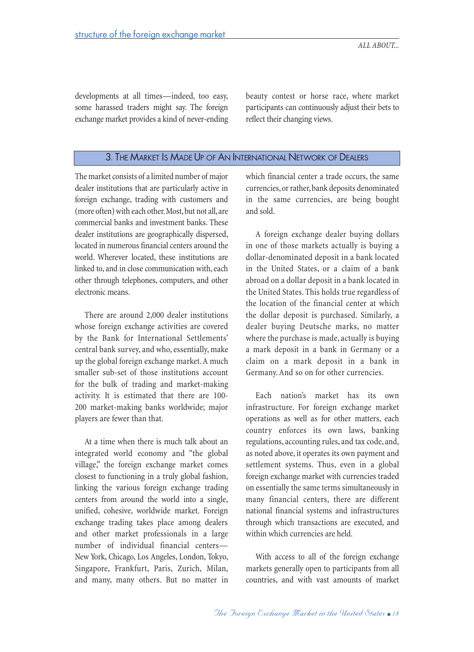developments at all times—indeed, too easy, some harassed traders might say. The foreign exchange market provides a kind of never-ending beauty contest or horse race, where market participants can continuously adjust their bets to reflect their changing views.

# 3. THE MARKET IS MADE UP OF AN INTERNATIONAL NETWORK OF DEALERS

The market consists of a limited number of major dealer institutions that are particularly active in foreign exchange, trading with customers and (more often) with each other. Most, but not all, are commercial banks and investment banks. These dealer institutions are geographically dispersed, located in numerous financial centers around the world. Wherever located, these institutions are linked to, and in close communication with, each other through telephones, computers, and other electronic means.

There are around 2,000 dealer institutions whose foreign exchange activities are covered by the Bank for International Settlements' central bank survey, and who, essentially, make up the global foreign exchange market. A much smaller sub-set of those institutions account for the bulk of trading and market-making activity. It is estimated that there are 100- 200 market-making banks worldwide; major players are fewer than that.

At a time when there is much talk about an integrated world economy and "the global village," the foreign exchange market comes closest to functioning in a truly global fashion, linking the various foreign exchange trading centers from around the world into a single, unified, cohesive, worldwide market. Foreign exchange trading takes place among dealers and other market professionals in a large number of individual financial centers— New York, Chicago, Los Angeles, London, Tokyo, Singapore, Frankfurt, Paris, Zurich, Milan, and many, many others. But no matter in which financial center a trade occurs, the same currencies, or rather, bank deposits denominated in the same currencies, are being bought and sold.

A foreign exchange dealer buying dollars in one of those markets actually is buying a dollar-denominated deposit in a bank located in the United States, or a claim of a bank abroad on a dollar deposit in a bank located in the United States. This holds true regardless of the location of the financial center at which the dollar deposit is purchased. Similarly, a dealer buying Deutsche marks, no matter where the purchase is made, actually is buying a mark deposit in a bank in Germany or a claim on a mark deposit in a bank in Germany. And so on for other currencies.

Each nation's market has its own infrastructure. For foreign exchange market operations as well as for other matters, each country enforces its own laws, banking regulations, accounting rules, and tax code, and, as noted above, it operates its own payment and settlement systems. Thus, even in a global foreign exchange market with currencies traded on essentially the same terms simultaneously in many financial centers, there are different national financial systems and infrastructures through which transactions are executed, and within which currencies are held.

With access to all of the foreign exchange markets generally open to participants from all countries, and with vast amounts of market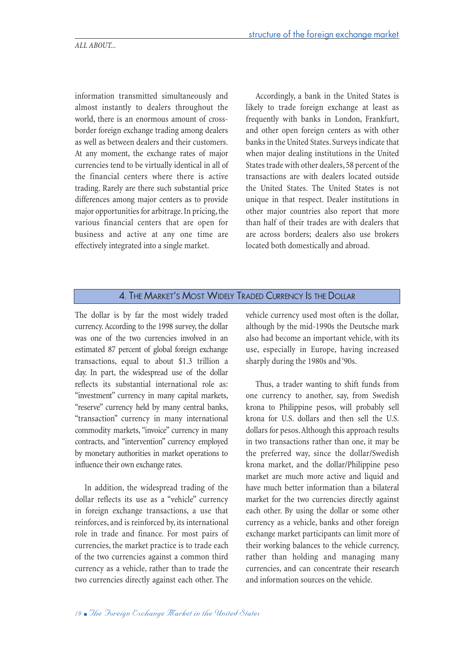information transmitted simultaneously and almost instantly to dealers throughout the world, there is an enormous amount of crossborder foreign exchange trading among dealers as well as between dealers and their customers. At any moment, the exchange rates of major currencies tend to be virtually identical in all of the financial centers where there is active trading. Rarely are there such substantial price differences among major centers as to provide major opportunities for arbitrage. In pricing, the various financial centers that are open for business and active at any one time are effectively integrated into a single market.

Accordingly, a bank in the United States is likely to trade foreign exchange at least as frequently with banks in London, Frankfurt, and other open foreign centers as with other banks in the United States. Surveys indicate that when major dealing institutions in the United States trade with other dealers, 58 percent of the transactions are with dealers located outside the United States. The United States is not unique in that respect. Dealer institutions in other major countries also report that more than half of their trades are with dealers that are across borders; dealers also use brokers located both domestically and abroad.

# 4. THE MARKET'S MOST WIDELY TRADED CURRENCY IS THE DOLLAR

The dollar is by far the most widely traded currency. According to the 1998 survey, the dollar was one of the two currencies involved in an estimated 87 percent of global foreign exchange transactions, equal to about \$1.3 trillion a day. In part, the widespread use of the dollar reflects its substantial international role as: "investment" currency in many capital markets, "reserve" currency held by many central banks, "transaction" currency in many international commodity markets, "invoice" currency in many contracts, and "intervention" currency employed by monetary authorities in market operations to influence their own exchange rates.

In addition, the widespread trading of the dollar reflects its use as a "vehicle" currency in foreign exchange transactions, a use that reinforces, and is reinforced by, its international role in trade and finance. For most pairs of currencies, the market practice is to trade each of the two currencies against a common third currency as a vehicle, rather than to trade the two currencies directly against each other. The

vehicle currency used most often is the dollar, although by the mid-1990s the Deutsche mark also had become an important vehicle, with its use, especially in Europe, having increased sharply during the 1980s and '90s.

Thus, a trader wanting to shift funds from one currency to another, say, from Swedish krona to Philippine pesos, will probably sell krona for U.S. dollars and then sell the U.S. dollars for pesos. Although this approach results in two transactions rather than one, it may be the preferred way, since the dollar/Swedish krona market, and the dollar/Philippine peso market are much more active and liquid and have much better information than a bilateral market for the two currencies directly against each other. By using the dollar or some other currency as a vehicle, banks and other foreign exchange market participants can limit more of their working balances to the vehicle currency, rather than holding and managing many currencies, and can concentrate their research and information sources on the vehicle.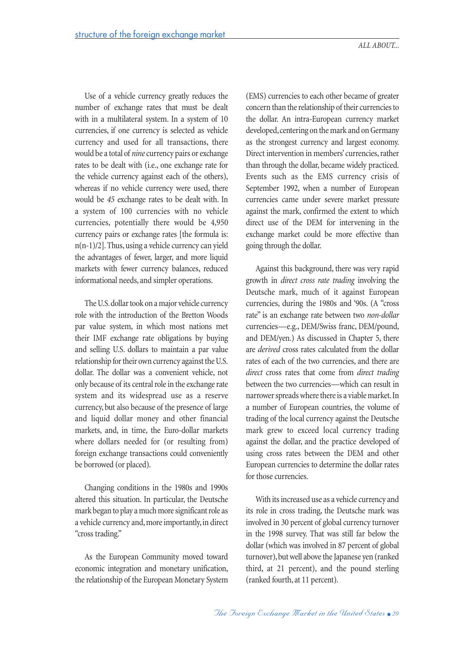Use of a vehicle currency greatly reduces the number of exchange rates that must be dealt with in a multilateral system. In a system of 10 currencies, if one currency is selected as vehicle currency and used for all transactions, there would be a total of *nine* currency pairs or exchange rates to be dealt with (i.e., one exchange rate for the vehicle currency against each of the others), whereas if no vehicle currency were used, there would be *45* exchange rates to be dealt with. In a system of 100 currencies with no vehicle currencies, potentially there would be 4,950 currency pairs or exchange rates [the formula is: n(n-1)/2]. Thus, using a vehicle currency can yield the advantages of fewer, larger, and more liquid markets with fewer currency balances, reduced informational needs, and simpler operations.

The U.S.dollar took on a major vehicle currency role with the introduction of the Bretton Woods par value system, in which most nations met their IMF exchange rate obligations by buying and selling U.S. dollars to maintain a par value relationship for their own currency against the U.S. dollar. The dollar was a convenient vehicle, not only because of its central role in the exchange rate system and its widespread use as a reserve currency, but also because of the presence of large and liquid dollar money and other financial markets, and, in time, the Euro-dollar markets where dollars needed for (or resulting from) foreign exchange transactions could conveniently be borrowed (or placed).

Changing conditions in the 1980s and 1990s altered this situation. In particular, the Deutsche mark began to play a much more significant role as a vehicle currency and, more importantly, in direct "cross trading."

As the European Community moved toward economic integration and monetary unification, the relationship of the European Monetary System

(EMS) currencies to each other became of greater concern than the relationship of their currencies to the dollar. An intra-European currency market developed, centering on the mark and on Germany as the strongest currency and largest economy. Direct intervention in members' currencies, rather than through the dollar, became widely practiced. Events such as the EMS currency crisis of September 1992, when a number of European currencies came under severe market pressure against the mark, confirmed the extent to which direct use of the DEM for intervening in the exchange market could be more effective than going through the dollar.

Against this background, there was very rapid growth in *direct cross rate trading* involving the Deutsche mark, much of it against European currencies, during the 1980s and '90s. (A "cross rate" is an exchange rate between two *non-dollar* currencies—e.g., DEM/Swiss franc, DEM/pound, and DEM/yen.) As discussed in Chapter 5, there are *derived* cross rates calculated from the dollar rates of each of the two currencies, and there are *direct* cross rates that come from *direct trading* between the two currencies—which can result in narrower spreads where there is a viable market.In a number of European countries, the volume of trading of the local currency against the Deutsche mark grew to exceed local currency trading against the dollar, and the practice developed of using cross rates between the DEM and other European currencies to determine the dollar rates for those currencies.

With its increased use as a vehicle currency and its role in cross trading, the Deutsche mark was involved in 30 percent of global currency turnover in the 1998 survey. That was still far below the dollar (which was involved in 87 percent of global turnover), but well above the Japanese yen (ranked third, at 21 percent), and the pound sterling (ranked fourth, at 11 percent).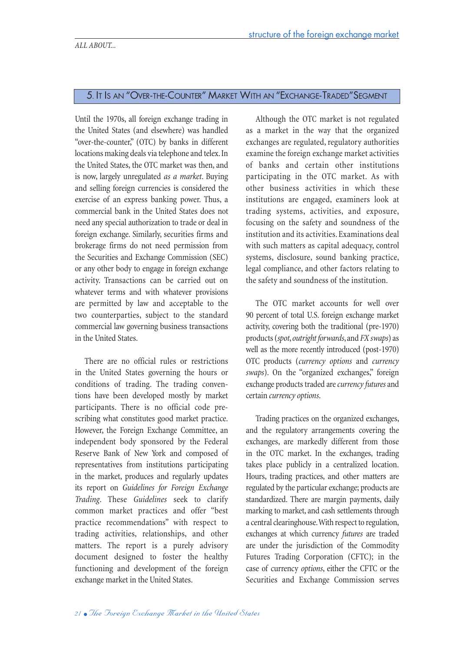# 5. IT IS AN "OVER-THE-COUNTER" MARKET WITH AN "EXCHANGE-TRADED"SEGMENT

Until the 1970s, all foreign exchange trading in the United States (and elsewhere) was handled "over-the-counter," (OTC) by banks in different locations making deals via telephone and telex.In the United States, the OTC market was then, and is now, largely unregulated *as a market*. Buying and selling foreign currencies is considered the exercise of an express banking power. Thus, a commercial bank in the United States does not need any special authorization to trade or deal in foreign exchange. Similarly, securities firms and brokerage firms do not need permission from the Securities and Exchange Commission (SEC) or any other body to engage in foreign exchange activity. Transactions can be carried out on whatever terms and with whatever provisions are permitted by law and acceptable to the two counterparties, subject to the standard commercial law governing business transactions in the United States.

There are no official rules or restrictions in the United States governing the hours or conditions of trading. The trading conventions have been developed mostly by market participants. There is no official code prescribing what constitutes good market practice. However, the Foreign Exchange Committee, an independent body sponsored by the Federal Reserve Bank of New York and composed of representatives from institutions participating in the market, produces and regularly updates its report on *Guidelines for Foreign Exchange Trading*. These *Guidelines* seek to clarify common market practices and offer "best practice recommendations" with respect to trading activities, relationships, and other matters. The report is a purely advisory document designed to foster the healthy functioning and development of the foreign exchange market in the United States.

Although the OTC market is not regulated as a market in the way that the organized exchanges are regulated, regulatory authorities examine the foreign exchange market activities of banks and certain other institutions participating in the OTC market. As with other business activities in which these institutions are engaged, examiners look at trading systems, activities, and exposure, focusing on the safety and soundness of the institution and its activities. Examinations deal with such matters as capital adequacy, control systems, disclosure, sound banking practice, legal compliance, and other factors relating to the safety and soundness of the institution.

The OTC market accounts for well over 90 percent of total U.S. foreign exchange market activity, covering both the traditional (pre-1970) products (*spot*,*outright forwards*,and *FX swaps*) as well as the more recently introduced (post-1970) OTC products (*currency options* and *currency swaps*). On the "organized exchanges," foreign exchange products traded are *currency futures* and certain *currency options*.

Trading practices on the organized exchanges, and the regulatory arrangements covering the exchanges, are markedly different from those in the OTC market. In the exchanges, trading takes place publicly in a centralized location. Hours, trading practices, and other matters are regulated by the particular exchange; products are standardized. There are margin payments, daily marking to market, and cash settlements through a central clearinghouse.With respect to regulation, exchanges at which currency *futures* are traded are under the jurisdiction of the Commodity Futures Trading Corporation (CFTC); in the case of currency *options*, either the CFTC or the Securities and Exchange Commission serves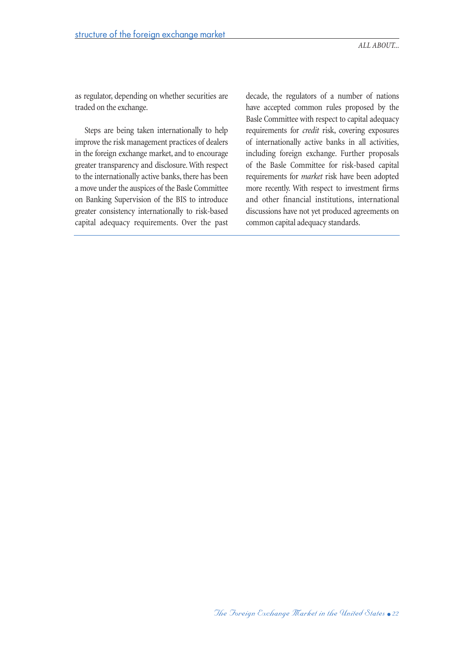as regulator, depending on whether securities are traded on the exchange.

Steps are being taken internationally to help improve the risk management practices of dealers in the foreign exchange market, and to encourage greater transparency and disclosure. With respect to the internationally active banks, there has been a move under the auspices of the Basle Committee on Banking Supervision of the BIS to introduce greater consistency internationally to risk-based capital adequacy requirements. Over the past decade, the regulators of a number of nations have accepted common rules proposed by the Basle Committee with respect to capital adequacy requirements for *credit* risk, covering exposures of internationally active banks in all activities, including foreign exchange. Further proposals of the Basle Committee for risk-based capital requirements for *market* risk have been adopted more recently. With respect to investment firms and other financial institutions, international discussions have not yet produced agreements on common capital adequacy standards.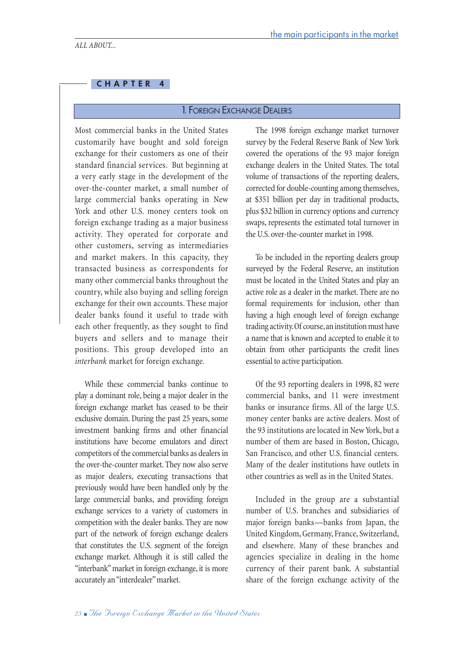# **CHAPTER 4**

# 1. FOREIGN EXCHANGE DEALERS

Most commercial banks in the United States customarily have bought and sold foreign exchange for their customers as one of their standard financial services. But beginning at a very early stage in the development of the over-the-counter market, a small number of large commercial banks operating in New York and other U.S. money centers took on foreign exchange trading as a major business activity. They operated for corporate and other customers, serving as intermediaries and market makers. In this capacity, they transacted business as correspondents for many other commercial banks throughout the country, while also buying and selling foreign exchange for their own accounts. These major dealer banks found it useful to trade with each other frequently, as they sought to find buyers and sellers and to manage their positions. This group developed into an *interbank* market for foreign exchange.

While these commercial banks continue to play a dominant role, being a major dealer in the foreign exchange market has ceased to be their exclusive domain. During the past 25 years, some investment banking firms and other financial institutions have become emulators and direct competitors of the commercial banks as dealers in the over-the-counter market. They now also serve as major dealers, executing transactions that previously would have been handled only by the large commercial banks, and providing foreign exchange services to a variety of customers in competition with the dealer banks. They are now part of the network of foreign exchange dealers that constitutes the U.S. segment of the foreign exchange market. Although it is still called the "interbank" market in foreign exchange, it is more accurately an "interdealer" market.

The 1998 foreign exchange market turnover survey by the Federal Reserve Bank of New York covered the operations of the 93 major foreign exchange dealers in the United States. The total volume of transactions of the reporting dealers, corrected for double-counting among themselves, at \$351 billion per day in traditional products, plus \$32 billion in currency options and currency swaps, represents the estimated total turnover in the U.S. over-the-counter market in 1998.

To be included in the reporting dealers group surveyed by the Federal Reserve, an institution must be located in the United States and play an active role as a dealer in the market. There are no formal requirements for inclusion, other than having a high enough level of foreign exchange trading activity.Of course,an institution must have a name that is known and accepted to enable it to obtain from other participants the credit lines essential to active participation.

Of the 93 reporting dealers in 1998, 82 were commercial banks, and 11 were investment banks or insurance firms. All of the large U.S. money center banks are active dealers. Most of the 93 institutions are located in New York, but a number of them are based in Boston, Chicago, San Francisco, and other U.S. financial centers. Many of the dealer institutions have outlets in other countries as well as in the United States.

Included in the group are a substantial number of U.S. branches and subsidiaries of major foreign banks—banks from Japan, the United Kingdom, Germany, France, Switzerland, and elsewhere. Many of these branches and agencies specialize in dealing in the home currency of their parent bank. A substantial share of the foreign exchange activity of the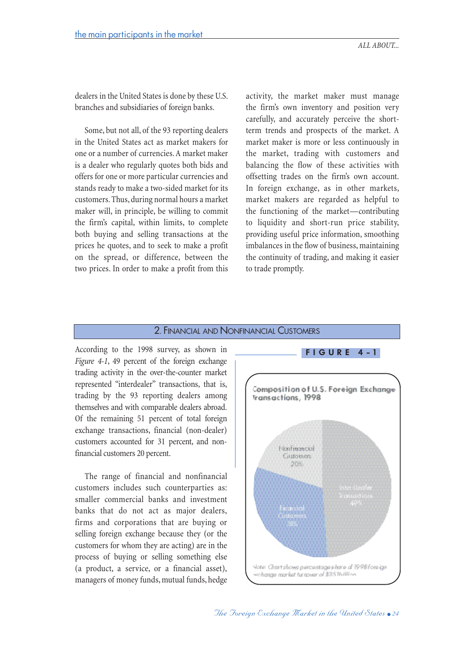dealers in the United States is done by these U.S. branches and subsidiaries of foreign banks.

Some, but not all, of the 93 reporting dealers in the United States act as market makers for one or a number of currencies. A market maker is a dealer who regularly quotes both bids and offers for one or more particular currencies and stands ready to make a two-sided market for its customers. Thus, during normal hours a market maker will, in principle, be willing to commit the firm's capital, within limits, to complete both buying and selling transactions at the prices he quotes, and to seek to make a profit on the spread, or difference, between the two prices. In order to make a profit from this activity, the market maker must manage the firm's own inventory and position very carefully, and accurately perceive the shortterm trends and prospects of the market. A market maker is more or less continuously in the market, trading with customers and balancing the flow of these activities with offsetting trades on the firm's own account. In foreign exchange, as in other markets, market makers are regarded as helpful to the functioning of the market—contributing to liquidity and short-run price stability, providing useful price information, smoothing imbalances in the flow of business, maintaining the continuity of trading, and making it easier to trade promptly.

#### 2. FINANCIAL AND NONFINANCIAL CUSTOMERS

According to the 1998 survey, as shown in *Figure 4-1*, 49 percent of the foreign exchange trading activity in the over-the-counter market represented "interdealer" transactions, that is, trading by the 93 reporting dealers among themselves and with comparable dealers abroad. Of the remaining 51 percent of total foreign exchange transactions, financial (non-dealer) customers accounted for 31 percent, and nonfinancial customers 20 percent.

The range of financial and nonfinancial customers includes such counterparties as: smaller commercial banks and investment banks that do not act as major dealers, firms and corporations that are buying or selling foreign exchange because they (or the customers for whom they are acting) are in the process of buying or selling something else (a product, a service, or a financial asset), managers of money funds, mutual funds, hedge



*The Foreign Exchange Market in the United States* ● *24*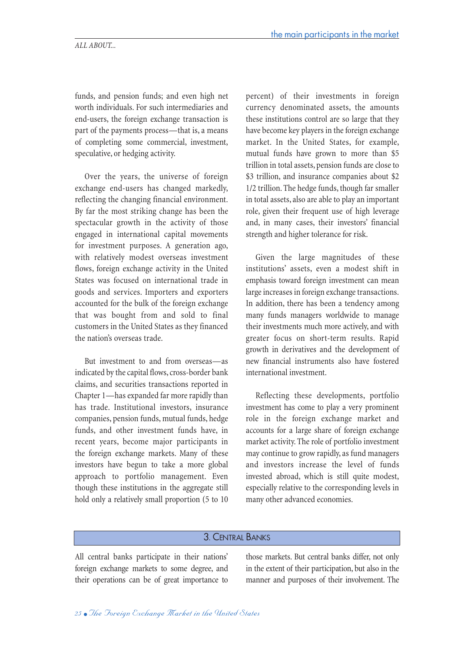funds, and pension funds; and even high net worth individuals. For such intermediaries and end-users, the foreign exchange transaction is part of the payments process—that is, a means of completing some commercial, investment, speculative, or hedging activity.

Over the years, the universe of foreign exchange end-users has changed markedly, reflecting the changing financial environment. By far the most striking change has been the spectacular growth in the activity of those engaged in international capital movements for investment purposes. A generation ago, with relatively modest overseas investment flows, foreign exchange activity in the United States was focused on international trade in goods and services. Importers and exporters accounted for the bulk of the foreign exchange that was bought from and sold to final customers in the United States as they financed the nation's overseas trade.

But investment to and from overseas—as indicated by the capital flows, cross-border bank claims, and securities transactions reported in Chapter 1—has expanded far more rapidly than has trade. Institutional investors, insurance companies, pension funds, mutual funds, hedge funds, and other investment funds have, in recent years, become major participants in the foreign exchange markets. Many of these investors have begun to take a more global approach to portfolio management. Even though these institutions in the aggregate still hold only a relatively small proportion (5 to 10

percent) of their investments in foreign currency denominated assets, the amounts these institutions control are so large that they have become key players in the foreign exchange market. In the United States, for example, mutual funds have grown to more than \$5 trillion in total assets, pension funds are close to \$3 trillion, and insurance companies about \$2 1/2 trillion. The hedge funds, though far smaller in total assets, also are able to play an important role, given their frequent use of high leverage and, in many cases, their investors' financial strength and higher tolerance for risk.

Given the large magnitudes of these institutions' assets, even a modest shift in emphasis toward foreign investment can mean large increases in foreign exchange transactions. In addition, there has been a tendency among many funds managers worldwide to manage their investments much more actively, and with greater focus on short-term results. Rapid growth in derivatives and the development of new financial instruments also have fostered international investment.

Reflecting these developments, portfolio investment has come to play a very prominent role in the foreign exchange market and accounts for a large share of foreign exchange market activity. The role of portfolio investment may continue to grow rapidly, as fund managers and investors increase the level of funds invested abroad, which is still quite modest, especially relative to the corresponding levels in many other advanced economies.

### 3. CENTRAL BANKS

All central banks participate in their nations' foreign exchange markets to some degree, and their operations can be of great importance to

those markets. But central banks differ, not only in the extent of their participation, but also in the manner and purposes of their involvement. The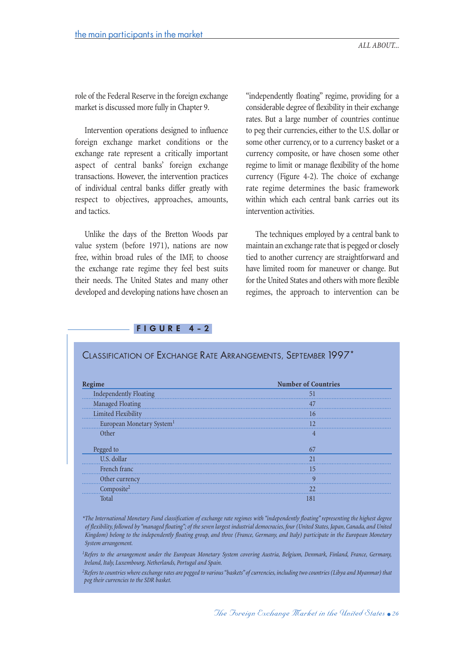role of the Federal Reserve in the foreign exchange market is discussed more fully in Chapter 9.

Intervention operations designed to influence foreign exchange market conditions or the exchange rate represent a critically important aspect of central banks' foreign exchange transactions. However, the intervention practices of individual central banks differ greatly with respect to objectives, approaches, amounts, and tactics.

Unlike the days of the Bretton Woods par value system (before 1971), nations are now free, within broad rules of the IMF, to choose the exchange rate regime they feel best suits their needs. The United States and many other developed and developing nations have chosen an "independently floating" regime, providing for a considerable degree of flexibility in their exchange rates. But a large number of countries continue to peg their currencies, either to the U.S. dollar or some other currency, or to a currency basket or a currency composite, or have chosen some other regime to limit or manage flexibility of the home currency (Figure 4-2). The choice of exchange rate regime determines the basic framework within which each central bank carries out its intervention activities.

The techniques employed by a central bank to maintain an exchange rate that is pegged or closely tied to another currency are straightforward and have limited room for maneuver or change. But for the United States and others with more flexible regimes, the approach to intervention can be

#### **FIGURE 4-2**

## CLASSIFICATION OF EXCHANGE RATE ARRANGEMENTS, SEPTEMBER 1997\*

| Regime                                | <b>Number of Countries</b> |
|---------------------------------------|----------------------------|
| <b>Independently Floating</b>         | 51                         |
| Managed Floating                      | 47                         |
| Limited Flexibility                   | 16                         |
| European Monetary System <sup>1</sup> | 12                         |
| Other                                 |                            |
| Pegged to                             | 67                         |
| U.S. dollar                           |                            |
| French franc                          | 15                         |
| Other currency                        | 9                          |
| Composite <sup>2</sup>                | 22                         |
| Total                                 | 181                        |

*\*The International Monetary Fund classification of exchange rate regimes with "independently floating" representing the highest degree of flexibility, followed by "managed floating"; of the seven largest industrial democracies, four (United States, Japan, Canada, and United Kingdom) belong to the independently floating group, and three (France, Germany, and Italy) participate in the European Monetary System arrangement.*

*1 Refers to the arrangement under the European Monetary System covering Austria, Belgium, Denmark, Finland, France, Germany, Ireland, Italy, Luxembourg, Netherlands, Portugal and Spain.*

*2 Refers to countries where exchange rates are pegged to various "baskets" of currencies, including two countries (Libya and Myanmar) that peg their currencies to the SDR basket.*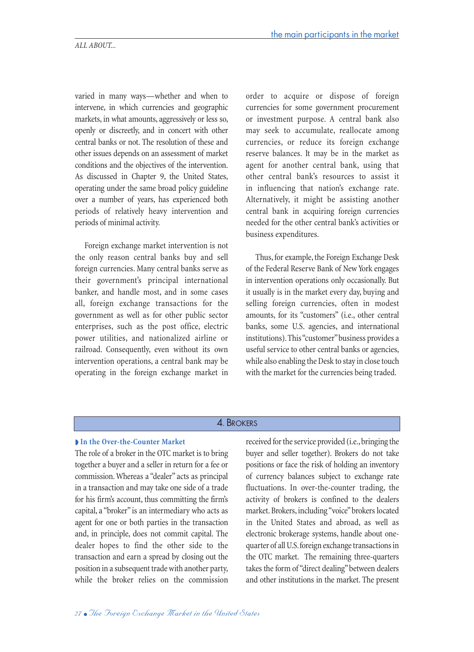varied in many ways—whether and when to intervene, in which currencies and geographic markets, in what amounts, aggressively or less so, openly or discreetly, and in concert with other central banks or not. The resolution of these and other issues depends on an assessment of market conditions and the objectives of the intervention. As discussed in Chapter 9, the United States, operating under the same broad policy guideline over a number of years, has experienced both periods of relatively heavy intervention and periods of minimal activity.

Foreign exchange market intervention is not the only reason central banks buy and sell foreign currencies. Many central banks serve as their government's principal international banker, and handle most, and in some cases all, foreign exchange transactions for the government as well as for other public sector enterprises, such as the post office, electric power utilities, and nationalized airline or railroad. Consequently, even without its own intervention operations, a central bank may be operating in the foreign exchange market in order to acquire or dispose of foreign currencies for some government procurement or investment purpose. A central bank also may seek to accumulate, reallocate among currencies, or reduce its foreign exchange reserve balances. It may be in the market as agent for another central bank, using that other central bank's resources to assist it in influencing that nation's exchange rate. Alternatively, it might be assisting another central bank in acquiring foreign currencies needed for the other central bank's activities or business expenditures.

Thus, for example, the Foreign Exchange Desk of the Federal Reserve Bank of New York engages in intervention operations only occasionally. But it usually is in the market every day, buying and selling foreign currencies, often in modest amounts, for its "customers" (i.e., other central banks, some U.S. agencies, and international institutions). This "customer"business provides a useful service to other central banks or agencies, while also enabling the Desk to stay in close touch with the market for the currencies being traded.

#### 4. BROKERS

#### ◗ **In the Over-the-Counter Market**

The role of a broker in the OTC market is to bring together a buyer and a seller in return for a fee or commission. Whereas a "dealer" acts as principal in a transaction and may take one side of a trade for his firm's account, thus committing the firm's capital, a "broker" is an intermediary who acts as agent for one or both parties in the transaction and, in principle, does not commit capital. The dealer hopes to find the other side to the transaction and earn a spread by closing out the position in a subsequent trade with another party, while the broker relies on the commission

received for the service provided (i.e.,bringing the buyer and seller together). Brokers do not take positions or face the risk of holding an inventory of currency balances subject to exchange rate fluctuations. In over-the-counter trading, the activity of brokers is confined to the dealers market. Brokers, including "voice" brokers located in the United States and abroad, as well as electronic brokerage systems, handle about onequarter of all U.S.foreign exchange transactions in the OTC market. The remaining three-quarters takes the form of "direct dealing" between dealers and other institutions in the market. The present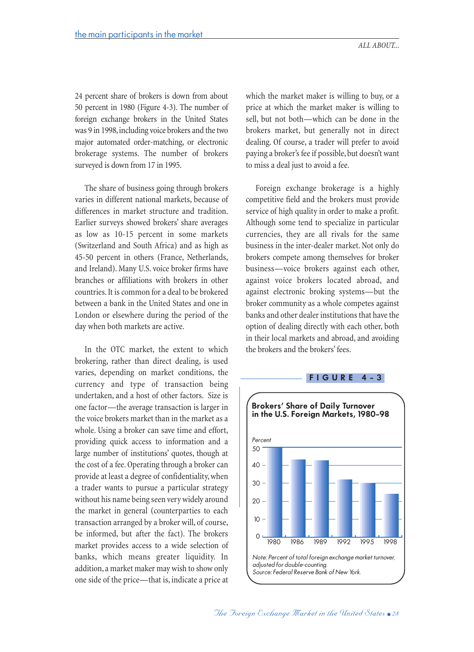24 percent share of brokers is down from about 50 percent in 1980 (Figure 4-3). The number of foreign exchange brokers in the United States was 9 in 1998, including voice brokers and the two major automated order-matching, or electronic brokerage systems. The number of brokers surveyed is down from 17 in 1995.

The share of business going through brokers varies in different national markets, because of differences in market structure and tradition. Earlier surveys showed brokers' share averages as low as 10-15 percent in some markets (Switzerland and South Africa) and as high as 45-50 percent in others (France, Netherlands, and Ireland). Many U.S. voice broker firms have branches or affiliations with brokers in other countries. It is common for a deal to be brokered between a bank in the United States and one in London or elsewhere during the period of the day when both markets are active.

In the OTC market, the extent to which brokering, rather than direct dealing, is used varies, depending on market conditions, the currency and type of transaction being undertaken, and a host of other factors. Size is one factor—the average transaction is larger in the voice brokers market than in the market as a whole. Using a broker can save time and effort, providing quick access to information and a large number of institutions' quotes, though at the cost of a fee. Operating through a broker can provide at least a degree of confidentiality, when a trader wants to pursue a particular strategy without his name being seen very widely around the market in general (counterparties to each transaction arranged by a broker will, of course, be informed, but after the fact). The brokers market provides access to a wide selection of banks, which means greater liquidity. In addition, a market maker may wish to show only one side of the price—that is, indicate a price at

which the market maker is willing to buy, or a price at which the market maker is willing to sell, but not both—which can be done in the brokers market, but generally not in direct dealing. Of course, a trader will prefer to avoid paying a broker's fee if possible, but doesn't want to miss a deal just to avoid a fee.

Foreign exchange brokerage is a highly competitive field and the brokers must provide service of high quality in order to make a profit. Although some tend to specialize in particular currencies, they are all rivals for the same business in the inter-dealer market. Not only do brokers compete among themselves for broker business—voice brokers against each other, against voice brokers located abroad, and against electronic broking systems—but the broker community as a whole competes against banks and other dealer institutions that have the option of dealing directly with each other, both in their local markets and abroad, and avoiding the brokers and the brokers' fees.

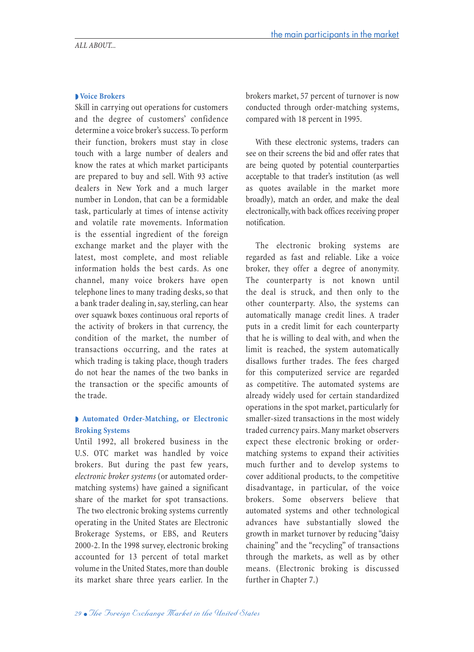#### ◗ **Voice Brokers**

Skill in carrying out operations for customers and the degree of customers' confidence determine a voice broker's success. To perform their function, brokers must stay in close touch with a large number of dealers and know the rates at which market participants are prepared to buy and sell. With 93 active dealers in New York and a much larger number in London, that can be a formidable task, particularly at times of intense activity and volatile rate movements. Information is the essential ingredient of the foreign exchange market and the player with the latest, most complete, and most reliable information holds the best cards. As one channel, many voice brokers have open telephone lines to many trading desks, so that a bank trader dealing in, say, sterling, can hear over squawk boxes continuous oral reports of the activity of brokers in that currency, the condition of the market, the number of transactions occurring, and the rates at which trading is taking place, though traders do not hear the names of the two banks in the transaction or the specific amounts of the trade.

### ◗ **Automated Order-Matching, or Electronic Broking Systems**

Until 1992, all brokered business in the U.S. OTC market was handled by voice brokers. But during the past few years, *electronic broker systems* (or automated ordermatching systems) have gained a significant share of the market for spot transactions. The two electronic broking systems currently operating in the United States are Electronic Brokerage Systems, or EBS, and Reuters 2000-2. In the 1998 survey, electronic broking accounted for 13 percent of total market volume in the United States, more than double its market share three years earlier. In the

brokers market, 57 percent of turnover is now conducted through order-matching systems, compared with 18 percent in 1995.

With these electronic systems, traders can see on their screens the bid and offer rates that are being quoted by potential counterparties acceptable to that trader's institution (as well as quotes available in the market more broadly), match an order, and make the deal electronically, with back offices receiving proper notification.

The electronic broking systems are regarded as fast and reliable. Like a voice broker, they offer a degree of anonymity. The counterparty is not known until the deal is struck, and then only to the other counterparty. Also, the systems can automatically manage credit lines. A trader puts in a credit limit for each counterparty that he is willing to deal with, and when the limit is reached, the system automatically disallows further trades. The fees charged for this computerized service are regarded as competitive. The automated systems are already widely used for certain standardized operations in the spot market, particularly for smaller-sized transactions in the most widely traded currency pairs. Many market observers expect these electronic broking or ordermatching systems to expand their activities much further and to develop systems to cover additional products, to the competitive disadvantage, in particular, of the voice brokers. Some observers believe that automated systems and other technological advances have substantially slowed the growth in market turnover by reducing "daisy chaining" and the "recycling" of transactions through the markets, as well as by other means. (Electronic broking is discussed further in Chapter 7.)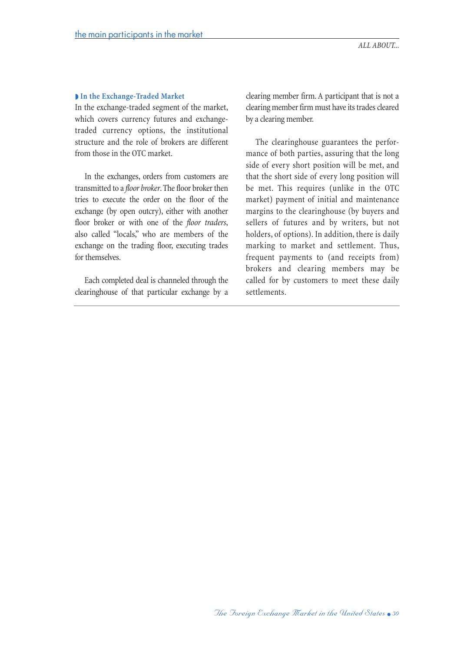#### ◗ **In the Exchange-Traded Market**

In the exchange-traded segment of the market, which covers currency futures and exchangetraded currency options, the institutional structure and the role of brokers are different from those in the OTC market.

In the exchanges, orders from customers are transmitted to a *floor broker*. The floor broker then tries to execute the order on the floor of the exchange (by open outcry), either with another floor broker or with one of the *floor traders*, also called "locals," who are members of the exchange on the trading floor, executing trades for themselves.

Each completed deal is channeled through the clearinghouse of that particular exchange by a

clearing member firm. A participant that is not a clearing member firm must have its trades cleared by a clearing member.

The clearinghouse guarantees the performance of both parties, assuring that the long side of every short position will be met, and that the short side of every long position will be met. This requires (unlike in the OTC market) payment of initial and maintenance margins to the clearinghouse (by buyers and sellers of futures and by writers, but not holders, of options). In addition, there is daily marking to market and settlement. Thus, frequent payments to (and receipts from) brokers and clearing members may be called for by customers to meet these daily settlements.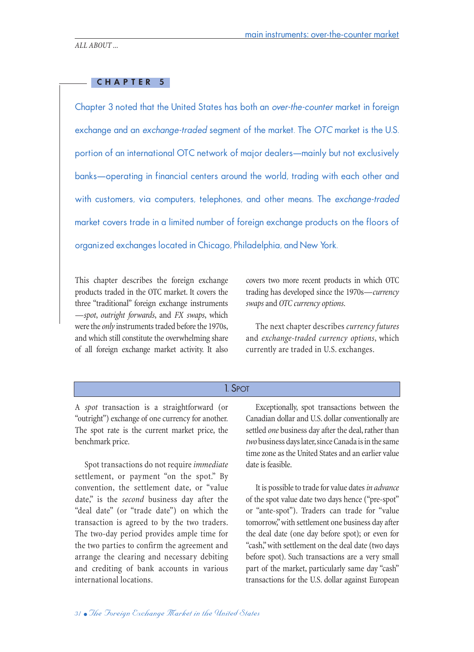### **CHAPTER 5**

Chapter 3 noted that the United States has both an over-the-counter market in foreign exchange and an exchange-traded segment of the market. The OTC market is the U.S. portion of an international OTC network of major dealers—mainly but not exclusively banks—operating in financial centers around the world, trading with each other and with customers, via computers, telephones, and other means. The exchange-traded market covers trade in a limited number of foreign exchange products on the floors of organized exchanges located in Chicago, Philadelphia, and New York.

This chapter describes the foreign exchange products traded in the OTC market. It covers the three "traditional" foreign exchange instruments —*spot*, *outright forwards*, and *FX swaps*, which were the *only* instruments traded before the 1970s, and which still constitute the overwhelming share of all foreign exchange market activity. It also covers two more recent products in which OTC trading has developed since the 1970s—*currency swaps* and *OTC currency options*.

The next chapter describes *currency futures* and *exchange-traded currency options*, which currently are traded in U.S. exchanges.

# 1. SPOT

A *spot* transaction is a straightforward (or "outright") exchange of one currency for another. The spot rate is the current market price, the benchmark price.

Spot transactions do not require *immediate* settlement, or payment "on the spot." By convention, the settlement date, or "value date," is the *second* business day after the "deal date" (or "trade date") on which the transaction is agreed to by the two traders. The two-day period provides ample time for the two parties to confirm the agreement and arrange the clearing and necessary debiting and crediting of bank accounts in various international locations.

Exceptionally, spot transactions between the Canadian dollar and U.S. dollar conventionally are settled *one* business day after the deal, rather than two business days later, since Canada is in the same time zone as the United States and an earlier value date is feasible.

It is possible to trade for value dates *in advance* of the spot value date two days hence ("pre-spot" or "ante-spot"). Traders can trade for "value tomorrow,"with settlement one business day after the deal date (one day before spot); or even for "cash," with settlement on the deal date (two days before spot). Such transactions are a very small part of the market, particularly same day "cash" transactions for the U.S. dollar against European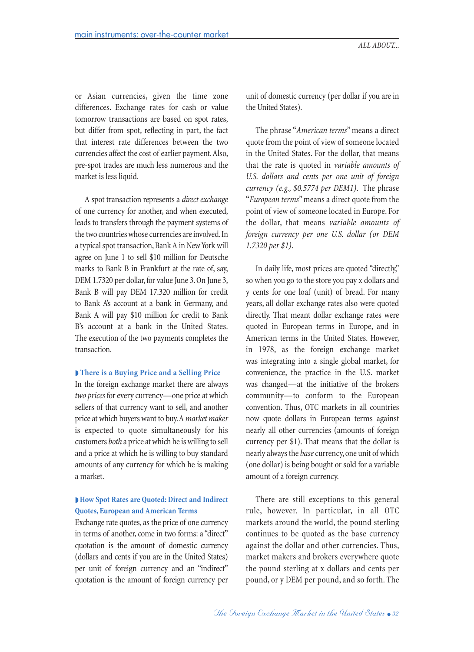or Asian currencies, given the time zone differences. Exchange rates for cash or value tomorrow transactions are based on spot rates, but differ from spot, reflecting in part, the fact that interest rate differences between the two currencies affect the cost of earlier payment.Also, pre-spot trades are much less numerous and the market is less liquid.

A spot transaction represents a *direct exchange* of one currency for another, and when executed, leads to transfers through the payment systems of the two countries whose currencies are involved.In a typical spot transaction, Bank A in New York will agree on June 1 to sell \$10 million for Deutsche marks to Bank B in Frankfurt at the rate of, say, DEM 1.7320 per dollar, for value June 3. On June 3, Bank B will pay DEM 17.320 million for credit to Bank A's account at a bank in Germany, and Bank A will pay \$10 million for credit to Bank B's account at a bank in the United States. The execution of the two payments completes the transaction.

#### ◗ **There is a Buying Price and a Selling Price**

In the foreign exchange market there are always *two prices* for every currency—one price at which sellers of that currency want to sell, and another price at which buyers want to buy.A *market maker* is expected to quote simultaneously for his customers *both* a price at which he is willing to sell and a price at which he is willing to buy standard amounts of any currency for which he is making a market.

### ◗ **How Spot Rates are Quoted: Direct and Indirect Quotes, European and American Terms**

Exchange rate quotes, as the price of one currency in terms of another, come in two forms: a "direct" quotation is the amount of domestic currency (dollars and cents if you are in the United States) per unit of foreign currency and an "indirect" quotation is the amount of foreign currency per

unit of domestic currency (per dollar if you are in the United States).

The phrase "*American terms*" means a direct quote from the point of view of someone located in the United States. For the dollar, that means that the rate is quoted in *variable amounts of U.S. dollars and cents per one unit of foreign currency (e.g., \$0.5774 per DEM1)*. The phrase "*European terms*" means a direct quote from the point of view of someone located in Europe. For the dollar, that means *variable amounts of foreign currency per one U.S. dollar (or DEM 1.7320 per \$1)*.

In daily life, most prices are quoted "directly," so when you go to the store you pay x dollars and y cents for one loaf (unit) of bread. For many years, all dollar exchange rates also were quoted directly. That meant dollar exchange rates were quoted in European terms in Europe, and in American terms in the United States. However, in 1978, as the foreign exchange market was integrating into a single global market, for convenience, the practice in the U.S. market was changed—at the initiative of the brokers community—to conform to the European convention. Thus, OTC markets in all countries now quote dollars in European terms against nearly all other currencies (amounts of foreign currency per \$1). That means that the dollar is nearly always the *base*currency,one unit of which (one dollar) is being bought or sold for a variable amount of a foreign currency.

There are still exceptions to this general rule, however. In particular, in all OTC markets around the world, the pound sterling continues to be quoted as the base currency against the dollar and other currencies. Thus, market makers and brokers everywhere quote the pound sterling at x dollars and cents per pound, or y DEM per pound, and so forth. The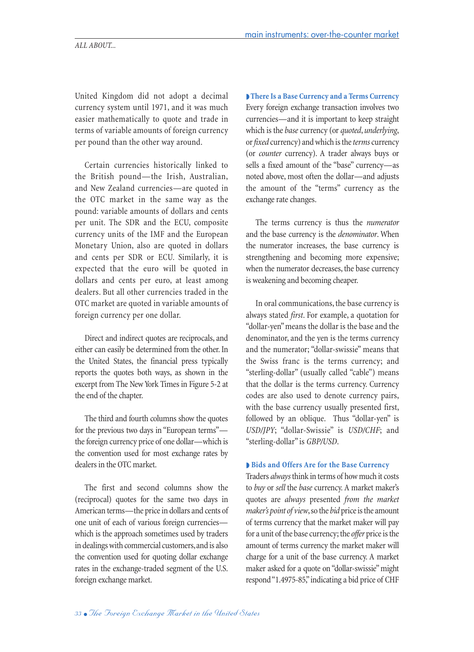United Kingdom did not adopt a decimal currency system until 1971, and it was much easier mathematically to quote and trade in terms of variable amounts of foreign currency per pound than the other way around.

Certain currencies historically linked to the British pound—the Irish, Australian, and New Zealand currencies—are quoted in the OTC market in the same way as the pound: variable amounts of dollars and cents per unit. The SDR and the ECU, composite currency units of the IMF and the European Monetary Union, also are quoted in dollars and cents per SDR or ECU. Similarly, it is expected that the euro will be quoted in dollars and cents per euro, at least among dealers. But all other currencies traded in the OTC market are quoted in variable amounts of foreign currency per one dollar.

Direct and indirect quotes are reciprocals, and either can easily be determined from the other. In the United States, the financial press typically reports the quotes both ways, as shown in the excerpt from The New York Times in Figure 5-2 at the end of the chapter.

The third and fourth columns show the quotes for the previous two days in "European terms" the foreign currency price of one dollar—which is the convention used for most exchange rates by dealers in the OTC market.

The first and second columns show the (reciprocal) quotes for the same two days in American terms—the price in dollars and cents of one unit of each of various foreign currencies which is the approach sometimes used by traders in dealings with commercial customers,and is also the convention used for quoting dollar exchange rates in the exchange-traded segment of the U.S. foreign exchange market.

◗ **There Is a Base Currency and a Terms Currency** Every foreign exchange transaction involves two currencies—and it is important to keep straight which is the *base* currency (or *quoted*, *underlying*, or *fixed* currency) and which is the *terms*currency (or *counter* currency). A trader always buys or sells a fixed amount of the "base" currency—as noted above, most often the dollar—and adjusts the amount of the "terms" currency as the exchange rate changes.

The terms currency is thus the *numerator* and the base currency is the *denominator*. When the numerator increases, the base currency is strengthening and becoming more expensive; when the numerator decreases, the base currency is weakening and becoming cheaper.

In oral communications, the base currency is always stated *first*. For example, a quotation for "dollar-yen" means the dollar is the base and the denominator, and the yen is the terms currency and the numerator; "dollar-swissie" means that the Swiss franc is the terms currency; and "sterling-dollar" (usually called "cable") means that the dollar is the terms currency. Currency codes are also used to denote currency pairs, with the base currency usually presented first, followed by an oblique. Thus "dollar-yen" is *USD/JPY*; "dollar-Swissie" is *USD/CHF*; and "sterling-dollar" is *GBP/USD*.

#### ◗ **Bids and Offers Are for the Base Currency**

Traders *always*think in terms of how much it costs to *buy* or *sell* the *base* currency. A market maker's quotes are *always* presented *from the market maker's point of view*,so the *bid* price is the amount of terms currency that the market maker will pay for a unit of the base currency; the *offer* price is the amount of terms currency the market maker will charge for a unit of the base currency. A market maker asked for a quote on "dollar-swissie" might respond "1.4975-85," indicating a bid price of CHF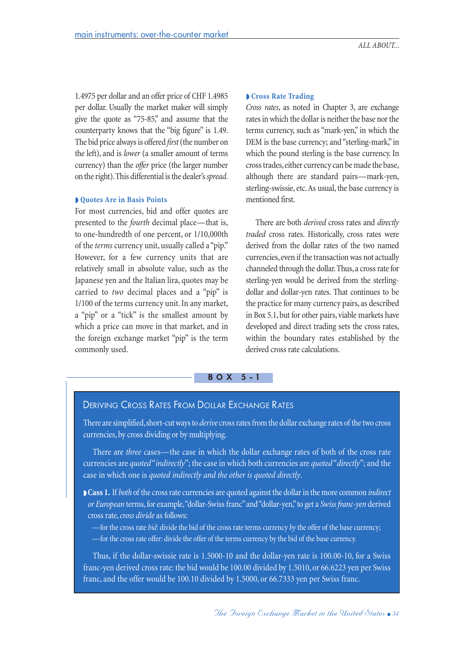1.4975 per dollar and an offer price of CHF 1.4985 per dollar. Usually the market maker will simply give the quote as "75-85," and assume that the counterparty knows that the "big figure" is 1.49. The bid price always is offered *first*(the number on the left), and is *lower* (a smaller amount of terms currency) than the *offer* price (the larger number on the right).This differential is the dealer's *spread*.

#### ◗ **Quotes Are in Basis Points**

For most currencies, bid and offer quotes are presented to the *fourth* decimal place—that is, to one-hundredth of one percent, or 1/10,000th of the *terms* currency unit, usually called a "pip." However, for a few currency units that are relatively small in absolute value, such as the Japanese yen and the Italian lira, quotes may be carried to *two* decimal places and a "pip" is 1/100 of the terms currency unit. In any market, a "pip" or a "tick" is the smallest amount by which a price can move in that market, and in the foreign exchange market "pip" is the term commonly used.

#### ◗ **Cross Rate Trading**

*Cross rates*, as noted in Chapter 3, are exchange rates in which the dollar is neither the base nor the terms currency, such as "mark-yen," in which the DEM is the base currency; and "sterling-mark," in which the pound sterling is the base currency. In cross trades,either currency can be made the base, although there are standard pairs—mark-yen, sterling-swissie, etc. As usual, the base currency is mentioned first.

There are both *derived* cross rates and *directly traded* cross rates. Historically, cross rates were derived from the dollar rates of the two named currencies, even if the transaction was not actually channeled through the dollar.Thus, a cross rate for sterling-yen would be derived from the sterlingdollar and dollar-yen rates. That continues to be the practice for many currency pairs, as described in Box 5.1, but for other pairs, viable markets have developed and direct trading sets the cross rates, within the boundary rates established by the derived cross rate calculations.

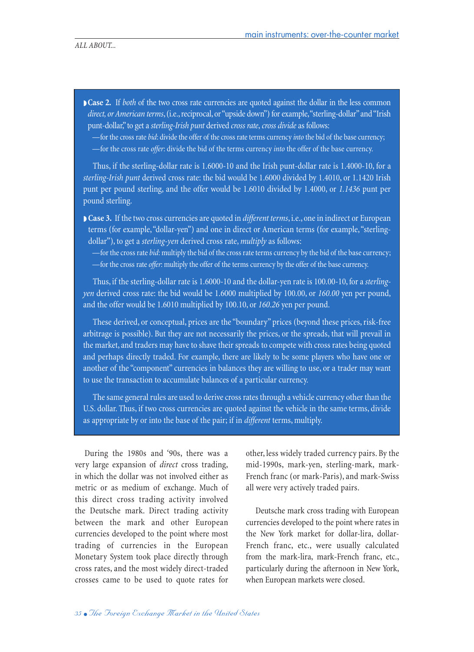◗ **Case 2.** If *both* of the two cross rate currencies are quoted against the dollar in the less common *direct, or American terms*, (i.e., reciprocal, or "upside down") for example,"sterling-dollar"and "Irish punt-dollar," to get a *sterling-Irish punt* derived *cross rate*,*cross divide* as follows:

—for the cross rate *bid*: divide the offer of the cross rate terms currency *into* the bid of the base currency;

—for the cross rate *offer*: divide the bid of the terms currency *into* the offer of the base currency.

Thus, if the sterling-dollar rate is 1.6000-10 and the Irish punt-dollar rate is 1.4000-10, for a *sterling-Irish punt* derived cross rate: the bid would be 1.6000 divided by 1.4010, or 1.1420 Irish punt per pound sterling, and the offer would be 1.6010 divided by 1.4000, or *1.1436* punt per pound sterling.

◗ **Case 3.** If the two cross currencies are quoted in *different terms*, i.e., one in indirect or European terms (for example, "dollar-yen") and one in direct or American terms (for example, "sterlingdollar"), to get a *sterling-yen* derived cross rate,*multiply* as follows:

—for the cross rate *bid*: multiply the bid of the cross rate terms currency by the bid of the base currency; —for the cross rate *offer*: multiply the offer of the terms currency by the offer of the base currency.

Thus, if the sterling-dollar rate is 1.6000-10 and the dollar-yen rate is 100.00-10, for a *sterlingyen* derived cross rate: the bid would be 1.6000 multiplied by 100.00, or *160.00* yen per pound, and the offer would be 1.6010 multiplied by 100.10, or *160.26* yen per pound.

These derived, or conceptual, prices are the "boundary" prices (beyond these prices, risk-free arbitrage is possible). But they are not necessarily the prices, or the spreads, that will prevail in the market, and traders may have to shave their spreads to compete with cross rates being quoted and perhaps directly traded. For example, there are likely to be some players who have one or another of the "component" currencies in balances they are willing to use, or a trader may want to use the transaction to accumulate balances of a particular currency.

The same general rules are used to derive cross rates through a vehicle currency other than the U.S. dollar. Thus, if two cross currencies are quoted against the vehicle in the same terms, divide as appropriate by or into the base of the pair; if in *different* terms, multiply.

During the 1980s and '90s, there was a very large expansion of *direct* cross trading, in which the dollar was not involved either as metric or as medium of exchange. Much of this direct cross trading activity involved the Deutsche mark. Direct trading activity between the mark and other European currencies developed to the point where most trading of currencies in the European Monetary System took place directly through cross rates, and the most widely direct-traded crosses came to be used to quote rates for

other, less widely traded currency pairs. By the mid-1990s, mark-yen, sterling-mark, mark-French franc (or mark-Paris), and mark-Swiss all were very actively traded pairs.

Deutsche mark cross trading with European currencies developed to the point where rates in the New York market for dollar-lira, dollar-French franc, etc., were usually calculated from the mark-lira, mark-French franc, etc., particularly during the afternoon in New York, when European markets were closed.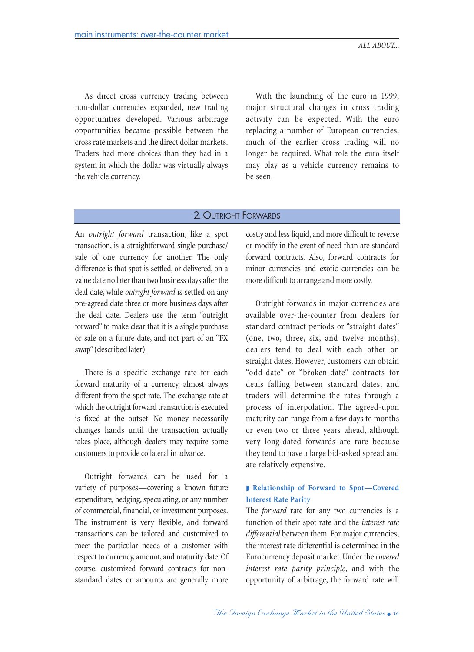As direct cross currency trading between non-dollar currencies expanded, new trading opportunities developed. Various arbitrage opportunities became possible between the cross rate markets and the direct dollar markets. Traders had more choices than they had in a system in which the dollar was virtually always the vehicle currency.

With the launching of the euro in 1999, major structural changes in cross trading activity can be expected. With the euro replacing a number of European currencies, much of the earlier cross trading will no longer be required. What role the euro itself may play as a vehicle currency remains to be seen.

#### 2. OUTRIGHT FORWARDS

An *outright forward* transaction, like a spot transaction, is a straightforward single purchase/ sale of one currency for another. The only difference is that spot is settled, or delivered, on a value date no later than two business days after the deal date, while *outright forward* is settled on any pre-agreed date three or more business days after the deal date. Dealers use the term "outright forward" to make clear that it is a single purchase or sale on a future date, and not part of an "FX swap" (described later).

There is a specific exchange rate for each forward maturity of a currency, almost always different from the spot rate. The exchange rate at which the outright forward transaction is executed is fixed at the outset. No money necessarily changes hands until the transaction actually takes place, although dealers may require some customers to provide collateral in advance.

Outright forwards can be used for a variety of purposes—covering a known future expenditure, hedging, speculating, or any number of commercial, financial, or investment purposes. The instrument is very flexible, and forward transactions can be tailored and customized to meet the particular needs of a customer with respect to currency, amount, and maturity date. Of course, customized forward contracts for nonstandard dates or amounts are generally more

costly and less liquid, and more difficult to reverse or modify in the event of need than are standard forward contracts. Also, forward contracts for minor currencies and exotic currencies can be more difficult to arrange and more costly.

Outright forwards in major currencies are available over-the-counter from dealers for standard contract periods or "straight dates" (one, two, three, six, and twelve months); dealers tend to deal with each other on straight dates. However, customers can obtain "odd-date" or "broken-date" contracts for deals falling between standard dates, and traders will determine the rates through a process of interpolation. The agreed-upon maturity can range from a few days to months or even two or three years ahead, although very long-dated forwards are rare because they tend to have a large bid-asked spread and are relatively expensive.

# ◗ **Relationship of Forward to Spot—Covered Interest Rate Parity**

The *forward* rate for any two currencies is a function of their spot rate and the *interest rate differential* between them. For major currencies, the interest rate differential is determined in the Eurocurrency deposit market. Under the *covered interest rate parity principle*, and with the opportunity of arbitrage, the forward rate will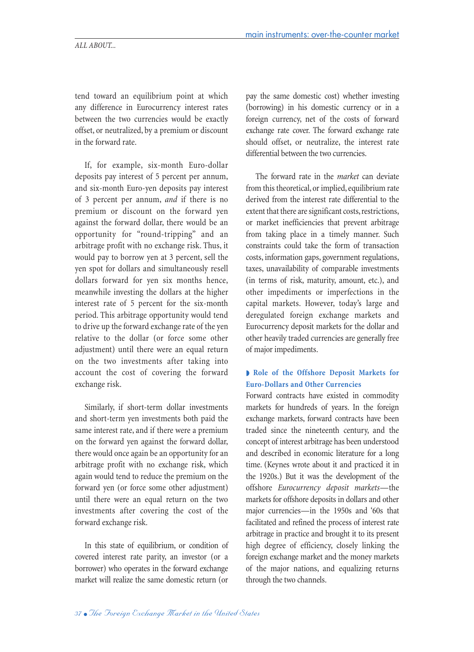tend toward an equilibrium point at which any difference in Eurocurrency interest rates between the two currencies would be exactly offset, or neutralized, by a premium or discount in the forward rate.

If, for example, six-month Euro-dollar deposits pay interest of 5 percent per annum, and six-month Euro-yen deposits pay interest of 3 percent per annum, *and* if there is no premium or discount on the forward yen against the forward dollar, there would be an opportunity for "round-tripping" and an arbitrage profit with no exchange risk. Thus, it would pay to borrow yen at 3 percent, sell the yen spot for dollars and simultaneously resell dollars forward for yen six months hence, meanwhile investing the dollars at the higher interest rate of 5 percent for the six-month period. This arbitrage opportunity would tend to drive up the forward exchange rate of the yen relative to the dollar (or force some other adjustment) until there were an equal return on the two investments after taking into account the cost of covering the forward exchange risk.

Similarly, if short-term dollar investments and short-term yen investments both paid the same interest rate, and if there were a premium on the forward yen against the forward dollar, there would once again be an opportunity for an arbitrage profit with no exchange risk, which again would tend to reduce the premium on the forward yen (or force some other adjustment) until there were an equal return on the two investments after covering the cost of the forward exchange risk.

In this state of equilibrium, or condition of covered interest rate parity, an investor (or a borrower) who operates in the forward exchange market will realize the same domestic return (or

pay the same domestic cost) whether investing (borrowing) in his domestic currency or in a foreign currency, net of the costs of forward exchange rate cover. The forward exchange rate should offset, or neutralize, the interest rate differential between the two currencies.

The forward rate in the *market* can deviate from this theoretical, or implied, equilibrium rate derived from the interest rate differential to the extent that there are significant costs, restrictions, or market inefficiencies that prevent arbitrage from taking place in a timely manner. Such constraints could take the form of transaction costs, information gaps, government regulations, taxes, unavailability of comparable investments (in terms of risk, maturity, amount, etc.), and other impediments or imperfections in the capital markets. However, today's large and deregulated foreign exchange markets and Eurocurrency deposit markets for the dollar and other heavily traded currencies are generally free of major impediments.

## ◗ **Role of the Offshore Deposit Markets for Euro-Dollars and Other Currencies**

Forward contracts have existed in commodity markets for hundreds of years. In the foreign exchange markets, forward contracts have been traded since the nineteenth century, and the concept of interest arbitrage has been understood and described in economic literature for a long time. (Keynes wrote about it and practiced it in the 1920s.) But it was the development of the offshore *Eurocurrency deposit markets*—the markets for offshore deposits in dollars and other major currencies—in the 1950s and '60s that facilitated and refined the process of interest rate arbitrage in practice and brought it to its present high degree of efficiency, closely linking the foreign exchange market and the money markets of the major nations, and equalizing returns through the two channels.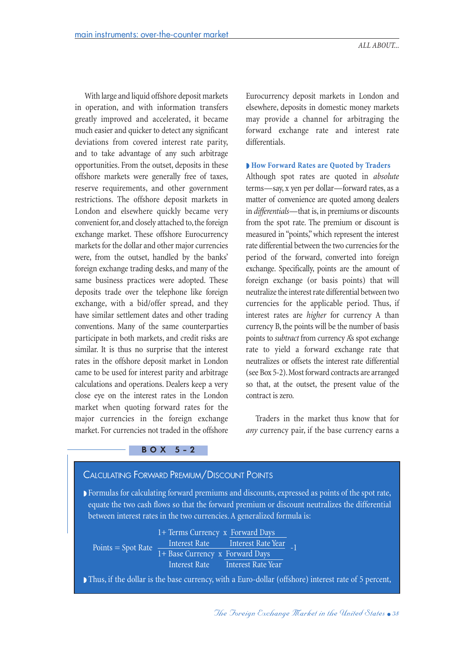With large and liquid offshore deposit markets in operation, and with information transfers greatly improved and accelerated, it became much easier and quicker to detect any significant deviations from covered interest rate parity, and to take advantage of any such arbitrage opportunities. From the outset, deposits in these offshore markets were generally free of taxes, reserve requirements, and other government restrictions. The offshore deposit markets in London and elsewhere quickly became very convenient for, and closely attached to, the foreign exchange market. These offshore Eurocurrency markets for the dollar and other major currencies were, from the outset, handled by the banks' foreign exchange trading desks, and many of the same business practices were adopted. These deposits trade over the telephone like foreign exchange, with a bid/offer spread, and they have similar settlement dates and other trading conventions. Many of the same counterparties participate in both markets, and credit risks are similar. It is thus no surprise that the interest rates in the offshore deposit market in London came to be used for interest parity and arbitrage calculations and operations. Dealers keep a very close eye on the interest rates in the London market when quoting forward rates for the major currencies in the foreign exchange market. For currencies not traded in the offshore

Eurocurrency deposit markets in London and elsewhere, deposits in domestic money markets may provide a channel for arbitraging the forward exchange rate and interest rate differentials.

#### ◗ **How Forward Rates are Quoted by Traders**

Although spot rates are quoted in *absolute* terms—say, x yen per dollar—forward rates, as a matter of convenience are quoted among dealers in *differentials*—that is, in premiums or discounts from the spot rate. The premium or discount is measured in "points," which represent the interest rate differential between the two currencies for the period of the forward, converted into foreign exchange. Specifically, points are the amount of foreign exchange (or basis points) that will neutralize the interest rate differential between two currencies for the applicable period. Thus, if interest rates are *higher* for currency A than currency B, the points will be the number of basis points to *subtract* from currency A's spot exchange rate to yield a forward exchange rate that neutralizes or offsets the interest rate differential (see Box 5-2).Most forward contracts are arranged so that, at the outset, the present value of the contract is zero.

Traders in the market thus know that for *any* currency pair, if the base currency earns a

#### **BOX 5-2**

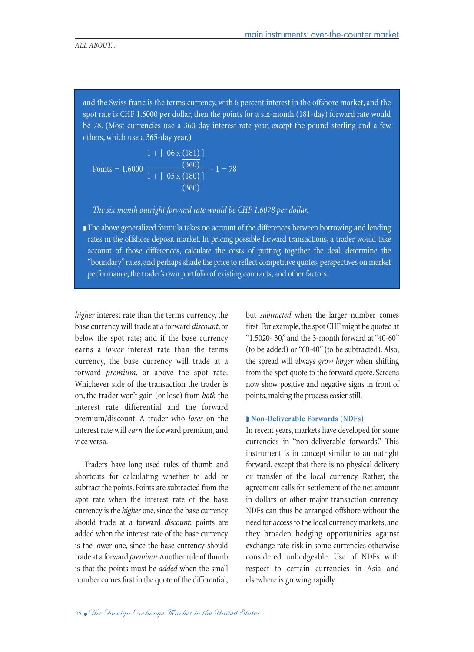and the Swiss franc is the terms currency, with 6 percent interest in the offshore market, and the spot rate is CHF 1.6000 per dollar, then the points for a six-month (181-day) forward rate would be 78. (Most currencies use a 360-day interest rate year, except the pound sterling and a few others, which use a 365-day year.)

$$
1 + [.06 \times \frac{(181)}{(360)}]
$$
  
Points = 1.6000  $\frac{(360)}{1 + [.05 \times \frac{(180)}{(360)}} - 1 = 78$ 

*The six month outright forward rate would be CHF 1.6078 per dollar.*

◗ The above generalized formula takes no account of the differences between borrowing and lending rates in the offshore deposit market. In pricing possible forward transactions, a trader would take account of those differences, calculate the costs of putting together the deal, determine the "boundary"rates, and perhaps shade the price to reflect competitive quotes, perspectives on market performance, the trader's own portfolio of existing contracts, and other factors.

*higher* interest rate than the terms currency, the base currency will trade at a forward *discount*, or below the spot rate; and if the base currency earns a *lower* interest rate than the terms currency, the base currency will trade at a forward *premium*, or above the spot rate. Whichever side of the transaction the trader is on, the trader won't gain (or lose) from *both* the interest rate differential and the forward premium/discount. A trader who *loses* on the interest rate will *earn* the forward premium, and vice versa.

Traders have long used rules of thumb and shortcuts for calculating whether to add or subtract the points. Points are subtracted from the spot rate when the interest rate of the base currency is the *higher* one, since the base currency should trade at a forward *discount*; points are added when the interest rate of the base currency is the lower one, since the base currency should trade at a forward *premium*.Another rule of thumb is that the points must be *added* when the small number comes first in the quote of the differential,

but *subtracted* when the larger number comes first. For example, the spot CHF might be quoted at "1.5020- 30," and the 3-month forward at "40-60" (to be added) or "60-40" (to be subtracted). Also, the spread will always *grow larger* when shifting from the spot quote to the forward quote. Screens now show positive and negative signs in front of points, making the process easier still.

#### ◗ **Non-Deliverable Forwards (NDFs)**

In recent years, markets have developed for some currencies in "non-deliverable forwards." This instrument is in concept similar to an outright forward, except that there is no physical delivery or transfer of the local currency. Rather, the agreement calls for settlement of the net amount in dollars or other major transaction currency. NDFs can thus be arranged offshore without the need for access to the local currency markets, and they broaden hedging opportunities against exchange rate risk in some currencies otherwise considered unhedgeable. Use of NDFs with respect to certain currencies in Asia and elsewhere is growing rapidly.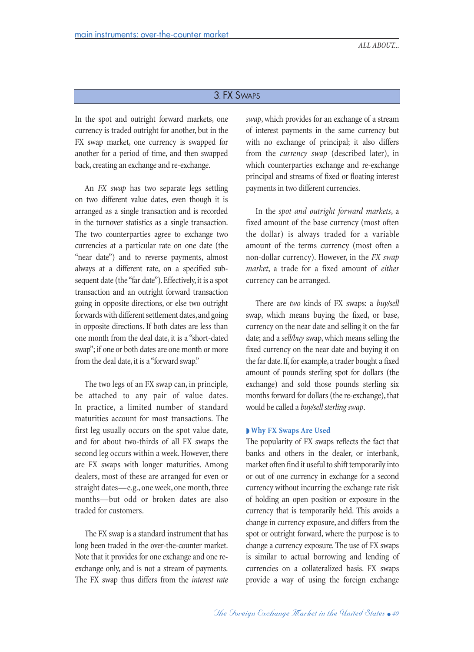# 3. FX SWAPS

In the spot and outright forward markets, one currency is traded outright for another, but in the FX swap market, one currency is swapped for another for a period of time, and then swapped back, creating an exchange and re-exchange.

An *FX swap* has two separate legs settling on two different value dates, even though it is arranged as a single transaction and is recorded in the turnover statistics as a single transaction. The two counterparties agree to exchange two currencies at a particular rate on one date (the "near date") and to reverse payments, almost always at a different rate, on a specified subsequent date (the "far date"). Effectively, it is a spot transaction and an outright forward transaction going in opposite directions, or else two outright forwards with different settlement dates, and going in opposite directions. If both dates are less than one month from the deal date, it is a "short-dated swap"; if one or both dates are one month or more from the deal date, it is a "forward swap."

The two legs of an FX swap can, in principle, be attached to any pair of value dates. In practice, a limited number of standard maturities account for most transactions. The first leg usually occurs on the spot value date, and for about two-thirds of all FX swaps the second leg occurs within a week. However, there are FX swaps with longer maturities. Among dealers, most of these are arranged for even or straight dates—e.g., one week, one month, three months—but odd or broken dates are also traded for customers.

The FX swap is a standard instrument that has long been traded in the over-the-counter market. Note that it provides for one exchange and one reexchange only, and is not a stream of payments. The FX swap thus differs from the *interest rate* *swap*, which provides for an exchange of a stream of interest payments in the same currency but with no exchange of principal; it also differs from the *currency swap* (described later), in which counterparties exchange and re-exchange principal and streams of fixed or floating interest payments in two different currencies.

In the *spot and outright forward markets*, a fixed amount of the base currency (most often the dollar) is always traded for a variable amount of the terms currency (most often a non-dollar currency). However, in the *FX swap market*, a trade for a fixed amount of *either* currency can be arranged.

There are *two* kinds of FX swaps: a *buy/sell* swap, which means buying the fixed, or base, currency on the near date and selling it on the far date; and a *sell/buy* swap, which means selling the fixed currency on the near date and buying it on the far date. If, for example, a trader bought a fixed amount of pounds sterling spot for dollars (the exchange) and sold those pounds sterling six months forward for dollars (the re-exchange), that would be called a *buy/sell sterling swap*.

#### ◗ **Why FX Swaps Are Used**

The popularity of FX swaps reflects the fact that banks and others in the dealer, or interbank, market often find it useful to shift temporarily into or out of one currency in exchange for a second currency without incurring the exchange rate risk of holding an open position or exposure in the currency that is temporarily held. This avoids a change in currency exposure, and differs from the spot or outright forward, where the purpose is to change a currency exposure. The use of FX swaps is similar to actual borrowing and lending of currencies on a collateralized basis. FX swaps provide a way of using the foreign exchange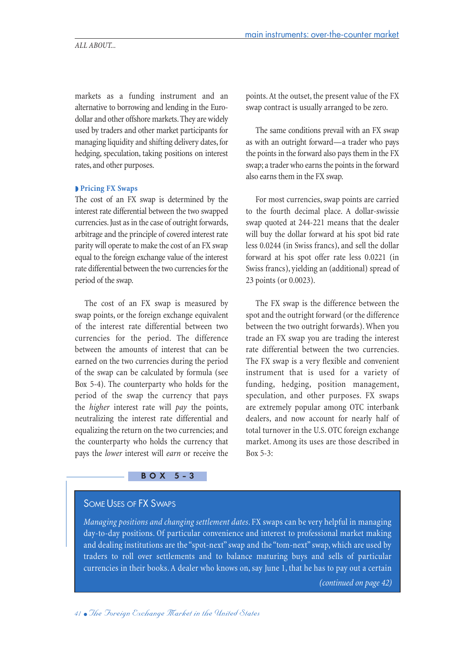markets as a funding instrument and an alternative to borrowing and lending in the Eurodollar and other offshore markets. They are widely used by traders and other market participants for managing liquidity and shifting delivery dates, for hedging, speculation, taking positions on interest rates, and other purposes.

#### ◗ **Pricing FX Swaps**

The cost of an FX swap is determined by the interest rate differential between the two swapped currencies. Just as in the case of outright forwards, arbitrage and the principle of covered interest rate parity will operate to make the cost of an FX swap equal to the foreign exchange value of the interest rate differential between the two currencies for the period of the swap.

The cost of an FX swap is measured by swap points, or the foreign exchange equivalent of the interest rate differential between two currencies for the period. The difference between the amounts of interest that can be earned on the two currencies during the period of the swap can be calculated by formula (see Box 5-4). The counterparty who holds for the period of the swap the currency that pays the *higher* interest rate will *pay* the points, neutralizing the interest rate differential and equalizing the return on the two currencies; and the counterparty who holds the currency that pays the *lower* interest will *earn* or receive the

#### **BOX 5-3**

# points. At the outset, the present value of the FX swap contract is usually arranged to be zero.

The same conditions prevail with an FX swap as with an outright forward—a trader who pays the points in the forward also pays them in the FX swap; a trader who earns the points in the forward also earns them in the FX swap.

For most currencies, swap points are carried to the fourth decimal place. A dollar-swissie swap quoted at 244-221 means that the dealer will buy the dollar forward at his spot bid rate less 0.0244 (in Swiss francs), and sell the dollar forward at his spot offer rate less 0.0221 (in Swiss francs), yielding an (additional) spread of 23 points (or 0.0023).

The FX swap is the difference between the spot and the outright forward (or the difference between the two outright forwards). When you trade an FX swap you are trading the interest rate differential between the two currencies. The FX swap is a very flexible and convenient instrument that is used for a variety of funding, hedging, position management, speculation, and other purposes. FX swaps are extremely popular among OTC interbank dealers, and now account for nearly half of total turnover in the U.S. OTC foreign exchange market. Among its uses are those described in Box 5-3:

# SOME USES OF FX SWAPS

*Managing positions and changing settlement dates*. FX swaps can be very helpful in managing day-to-day positions. Of particular convenience and interest to professional market making and dealing institutions are the "spot-next" swap and the "tom-next" swap, which are used by traders to roll over settlements and to balance maturing buys and sells of particular currencies in their books. A dealer who knows on, say June 1, that he has to pay out a certain

*(continued on page 42)*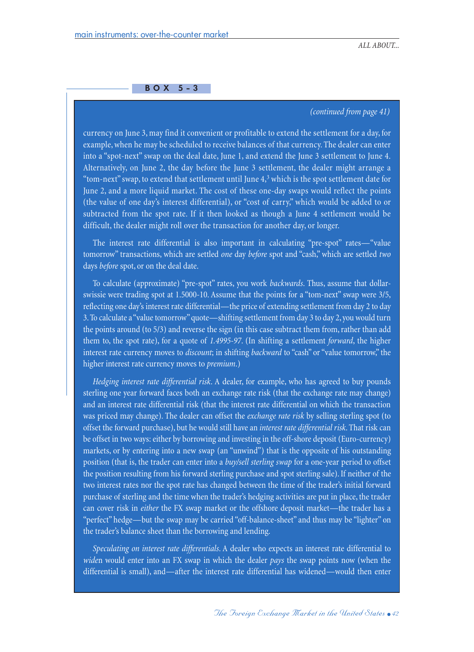**BOX 5-3**

#### *(continued from page 41)*

currency on June 3, may find it convenient or profitable to extend the settlement for a day, for example, when he may be scheduled to receive balances of that currency. The dealer can enter into a "spot-next" swap on the deal date, June 1, and extend the June 3 settlement to June 4. Alternatively, on June 2, the day before the June 3 settlement, the dealer might arrange a "tom-next" swap, to extend that settlement until June  $4<sup>3</sup>$  which is the spot settlement date for June 2, and a more liquid market. The cost of these one-day swaps would reflect the points (the value of one day's interest differential), or "cost of carry," which would be added to or subtracted from the spot rate. If it then looked as though a June 4 settlement would be difficult, the dealer might roll over the transaction for another day, or longer.

The interest rate differential is also important in calculating "pre-spot" rates—"value tomorrow" transactions, which are settled *one* day *before* spot and "cash," which are settled *two* days *before* spot, or on the deal date.

To calculate (approximate) "pre-spot" rates, you work *backwards*. Thus, assume that dollarswissie were trading spot at 1.5000-10. Assume that the points for a "tom-next" swap were 3/5, reflecting one day's interest rate differential—the price of extending settlement from day 2 to day 3. To calculate a "value tomorrow"quote—shifting settlement from day 3 to day 2, you would turn the points around (to 5/3) and reverse the sign (in this case subtract them from, rather than add them to, the spot rate), for a quote of *1.4995-97*. (In shifting a settlement *forward*, the higher interest rate currency moves to *discount*; in shifting *backward* to "cash" or "value tomorrow," the higher interest rate currency moves to *premium*.)

*Hedging interest rate differential risk*. A dealer, for example, who has agreed to buy pounds sterling one year forward faces both an exchange rate risk (that the exchange rate may change) and an interest rate differential risk (that the interest rate differential on which the transaction was priced may change). The dealer can offset the *exchange rate risk* by selling sterling spot (to offset the forward purchase), but he would still have an *interest rate differential risk*. That risk can be offset in two ways: either by borrowing and investing in the off-shore deposit (Euro-currency) markets, or by entering into a new swap (an "unwind") that is the opposite of his outstanding position (that is, the trader can enter into a *buy/sell sterling swap* for a one-year period to offset the position resulting from his forward sterling purchase and spot sterling sale). If neither of the two interest rates nor the spot rate has changed between the time of the trader's initial forward purchase of sterling and the time when the trader's hedging activities are put in place, the trader can cover risk in *either* the FX swap market or the offshore deposit market—the trader has a "perfect" hedge—but the swap may be carried "off-balance-sheet" and thus may be "lighter" on the trader's balance sheet than the borrowing and lending.

*Speculating on interest rate differentials*. A dealer who expects an interest rate differential to *wide*n would enter into an FX swap in which the dealer *pays* the swap points now (when the differential is small), and—after the interest rate differential has widened—would then enter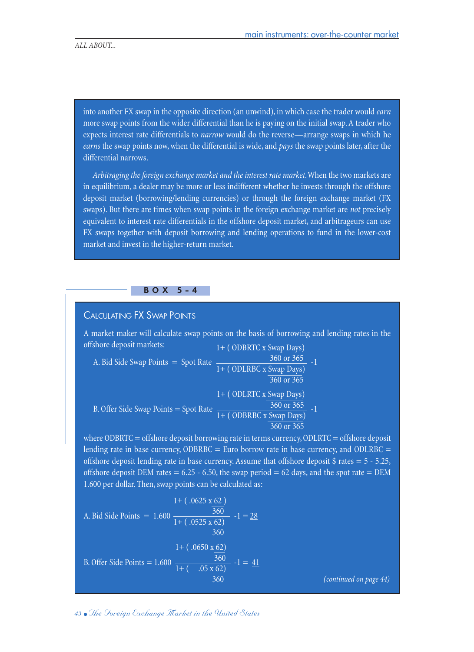into another FX swap in the opposite direction (an unwind), in which case the trader would *earn* more swap points from the wider differential than he is paying on the initial swap. A trader who expects interest rate differentials to *narrow* would do the reverse—arrange swaps in which he *earns* the swap points now, when the differential is wide, and *pays* the swap points later, after the differential narrows.

*Arbitraging the foreign exchange market and the interest rate market*.When the two markets are in equilibrium, a dealer may be more or less indifferent whether he invests through the offshore deposit market (borrowing/lending currencies) or through the foreign exchange market (FX swaps). But there are times when swap points in the foreign exchange market are *not* precisely equivalent to interest rate differentials in the offshore deposit market, and arbitrageurs can use FX swaps together with deposit borrowing and lending operations to fund in the lower-cost market and invest in the higher-return market.

#### **BOX 5-4**

# CALCULATING **FX** SWAP POINTS

A market maker will calculate swap points on the basis of borrowing and lending rates in the offshore deposit markets: 1+ ( ODBRTC x Swap Days)

| A. Bid Side Swap Points $=$ Spot Rate   | $360$ or 365 $_{-1}$                                        |  |
|-----------------------------------------|-------------------------------------------------------------|--|
|                                         | $\frac{1000 \text{ m/s}}{1 + (ODLRBC x \text{ Swap Days})}$ |  |
|                                         | 360 or 365                                                  |  |
|                                         | 1+ (ODLRTC x Swap Days)                                     |  |
| B. Offer Side Swap Points $=$ Spot Rate | $360$ or $365$                                              |  |
|                                         | $1 + (ODBRBC x Swap Days)$                                  |  |
|                                         | 360 or 365                                                  |  |

where ODBRTC = offshore deposit borrowing rate in terms currency, ODLRTC = offshore deposit lending rate in base currency,  $ODBREG = Euro borrow rate in base currency, and ODLRBC =$ offshore deposit lending rate in base currency. Assume that offshore deposit  $\$ orates = 5 - 5.25, offshore deposit DEM rates =  $6.25 - 6.50$ , the swap period =  $62$  days, and the spot rate = DEM 1.600 per dollar. Then, swap points can be calculated as:

A. Bid Side Points =  $1.600 \frac{360}{11.60} - 1 = 28$ B. Offer Side Points = 1.600  $\frac{300}{11}$  -1 = 41  $1+$  (.0625 x 62) 1+ ( .0525 x 62) 360 1+ ( .0650 x 62) 360  $.05 \times 62)$ 360 *(continued on page 44)*

*43* ● *The Foreign Exchange Market in the United States*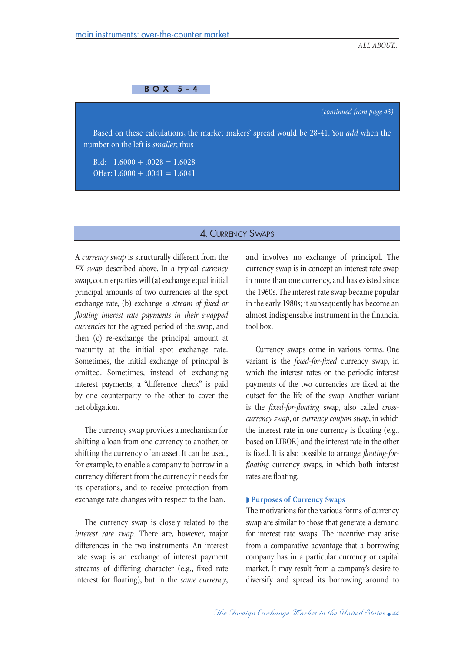**BOX 5-4**

*(continued from page 43)*

Based on these calculations, the market makers' spread would be 28-41. You *add* when the number on the left is *smaller*; thus

Bid:  $1.6000 + .0028 = 1.6028$ Offer:  $1.6000 + .0041 = 1.6041$ 

## 4. CURRENCY SWAPS

A *currency swap* is structurally different from the *FX swap* described above. In a typical *currency* swap,counterparties will (a) exchange equal initial principal amounts of two currencies at the spot exchange rate, (b) exchange *a stream of fixed or floating interest rate payments in their swapped currencies* for the agreed period of the swap, and then (c) re-exchange the principal amount at maturity at the initial spot exchange rate. Sometimes, the initial exchange of principal is omitted. Sometimes, instead of exchanging interest payments, a "difference check" is paid by one counterparty to the other to cover the net obligation.

The currency swap provides a mechanism for shifting a loan from one currency to another, or shifting the currency of an asset. It can be used, for example, to enable a company to borrow in a currency different from the currency it needs for its operations, and to receive protection from exchange rate changes with respect to the loan.

The currency swap is closely related to the *interest rate swap*. There are, however, major differences in the two instruments. An interest rate swap is an exchange of interest payment streams of differing character (e.g., fixed rate interest for floating), but in the *same currency*,

and involves no exchange of principal. The currency swap is in concept an interest rate swap in more than one currency, and has existed since the 1960s. The interest rate swap became popular in the early 1980s; it subsequently has become an almost indispensable instrument in the financial tool box.

Currency swaps come in various forms. One variant is the *fixed-for-fixed* currency swap, in which the interest rates on the periodic interest payments of the two currencies are fixed at the outset for the life of the swap. Another variant is the *fixed-for-floating* swap, also called *crosscurrency swap*, or *currency coupon swap*, in which the interest rate in one currency is floating (e.g., based on LIBOR) and the interest rate in the other is fixed. It is also possible to arrange *floating-forfloating* currency swaps, in which both interest rates are floating.

#### ◗ **Purposes of Currency Swaps**

The motivations for the various forms of currency swap are similar to those that generate a demand for interest rate swaps. The incentive may arise from a comparative advantage that a borrowing company has in a particular currency or capital market. It may result from a company's desire to diversify and spread its borrowing around to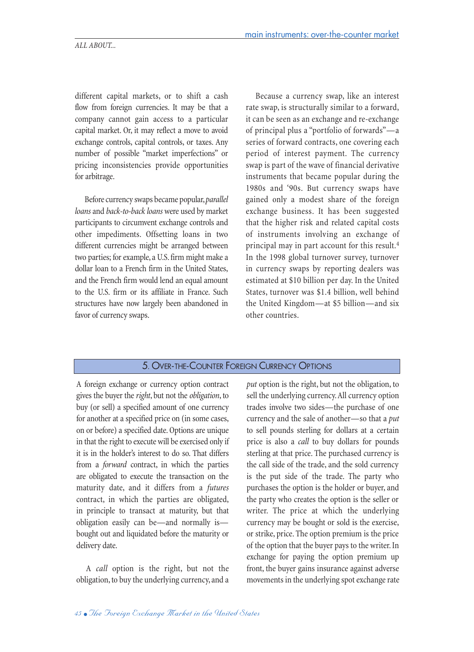different capital markets, or to shift a cash flow from foreign currencies. It may be that a company cannot gain access to a particular capital market. Or, it may reflect a move to avoid exchange controls, capital controls, or taxes. Any number of possible "market imperfections" or pricing inconsistencies provide opportunities for arbitrage.

Before currency swaps became popular,*parallel loans* and *back-to-back loans* were used by market participants to circumvent exchange controls and other impediments. Offsetting loans in two different currencies might be arranged between two parties; for example, a U.S. firm might make a dollar loan to a French firm in the United States, and the French firm would lend an equal amount to the U.S. firm or its affiliate in France. Such structures have now largely been abandoned in favor of currency swaps.

Because a currency swap, like an interest rate swap, is structurally similar to a forward, it can be seen as an exchange and re-exchange of principal plus a "portfolio of forwards"—a series of forward contracts, one covering each period of interest payment. The currency swap is part of the wave of financial derivative instruments that became popular during the 1980s and '90s. But currency swaps have gained only a modest share of the foreign exchange business. It has been suggested that the higher risk and related capital costs of instruments involving an exchange of principal may in part account for this result.<sup>4</sup> In the 1998 global turnover survey, turnover in currency swaps by reporting dealers was estimated at \$10 billion per day. In the United States, turnover was \$1.4 billion, well behind the United Kingdom—at \$5 billion—and six other countries.

# 5. OVER-THE-COUNTER FOREIGN CURRENCY OPTIONS

A foreign exchange or currency option contract gives the buyer the *right*, but not the *obligation*, to buy (or sell) a specified amount of one currency for another at a specified price on (in some cases, on or before) a specified date. Options are unique in that the right to execute will be exercised only if it is in the holder's interest to do so. That differs from a *forward* contract, in which the parties are obligated to execute the transaction on the maturity date, and it differs from a *futures* contract, in which the parties are obligated, in principle to transact at maturity, but that obligation easily can be—and normally is bought out and liquidated before the maturity or delivery date.

A *call* option is the right, but not the obligation, to buy the underlying currency, and a

*put* option is the right, but not the obligation, to sell the underlying currency. All currency option trades involve two sides—the purchase of one currency and the sale of another—so that a *put* to sell pounds sterling for dollars at a certain price is also a *call* to buy dollars for pounds sterling at that price. The purchased currency is the call side of the trade, and the sold currency is the put side of the trade. The party who purchases the option is the holder or buyer, and the party who creates the option is the seller or writer. The price at which the underlying currency may be bought or sold is the exercise, or strike, price. The option premium is the price of the option that the buyer pays to the writer. In exchange for paying the option premium up front, the buyer gains insurance against adverse movements in the underlying spot exchange rate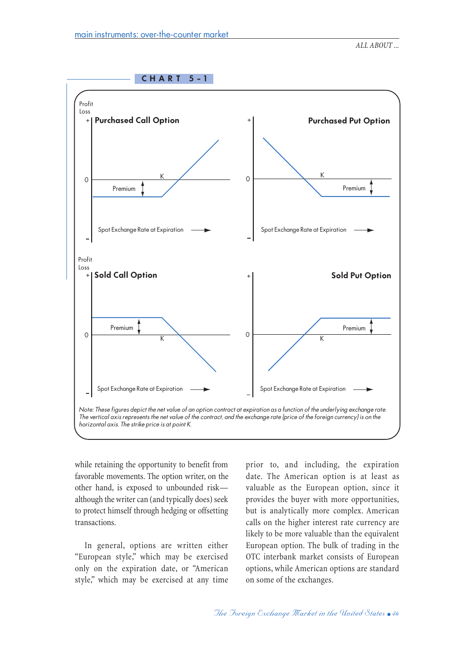

while retaining the opportunity to benefit from favorable movements. The option writer, on the other hand, is exposed to unbounded risk although the writer can (and typically does) seek to protect himself through hedging or offsetting transactions.

In general, options are written either "European style," which may be exercised only on the expiration date, or "American style," which may be exercised at any time

prior to, and including, the expiration date. The American option is at least as valuable as the European option, since it provides the buyer with more opportunities, but is analytically more complex. American calls on the higher interest rate currency are likely to be more valuable than the equivalent European option. The bulk of trading in the OTC interbank market consists of European options, while American options are standard on some of the exchanges.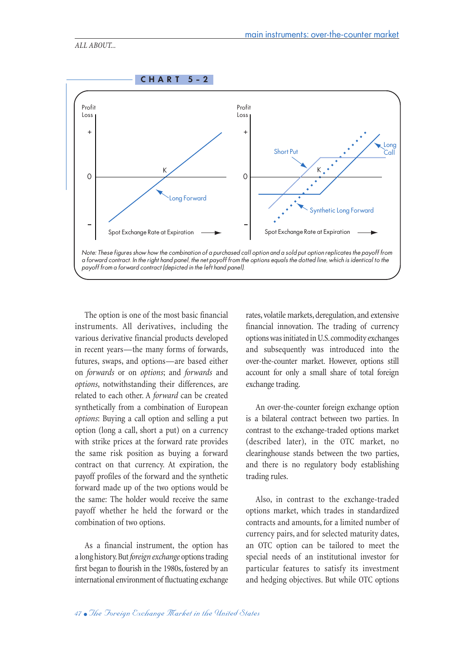

The option is one of the most basic financial instruments. All derivatives, including the various derivative financial products developed in recent years—the many forms of forwards, futures, swaps, and options—are based either on *forwards* or on *options*; and *forwards* and *options*, notwithstanding their differences, are related to each other. A *forward* can be created synthetically from a combination of European *options*: Buying a call option and selling a put option (long a call, short a put) on a currency with strike prices at the forward rate provides the same risk position as buying a forward contract on that currency. At expiration, the payoff profiles of the forward and the synthetic forward made up of the two options would be the same: The holder would receive the same payoff whether he held the forward or the combination of two options.

As a financial instrument, the option has a long history.But *foreign exchange* options trading first began to flourish in the 1980s, fostered by an international environment of fluctuating exchange rates, volatile markets, deregulation, and extensive financial innovation. The trading of currency options was initiated in U.S.commodity exchanges and subsequently was introduced into the over-the-counter market. However, options still account for only a small share of total foreign exchange trading.

An over-the-counter foreign exchange option is a bilateral contract between two parties. In contrast to the exchange-traded options market (described later), in the OTC market, no clearinghouse stands between the two parties, and there is no regulatory body establishing trading rules.

Also, in contrast to the exchange-traded options market, which trades in standardized contracts and amounts, for a limited number of currency pairs, and for selected maturity dates, an OTC option can be tailored to meet the special needs of an institutional investor for particular features to satisfy its investment and hedging objectives. But while OTC options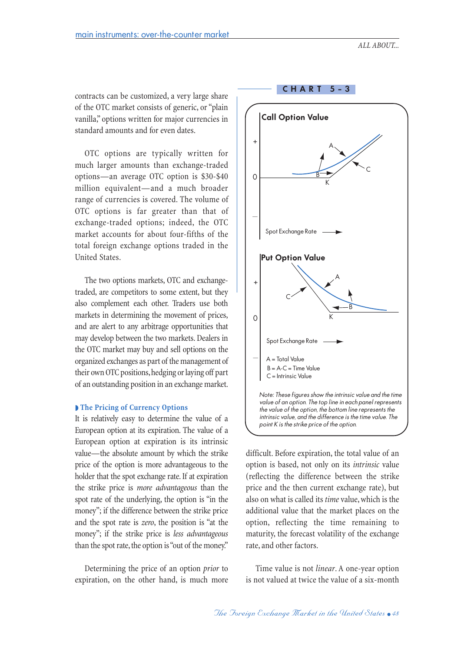contracts can be customized, a very large share of the OTC market consists of generic, or "plain vanilla," options written for major currencies in standard amounts and for even dates.

OTC options are typically written for much larger amounts than exchange-traded options—an average OTC option is \$30-\$40 million equivalent—and a much broader range of currencies is covered. The volume of OTC options is far greater than that of exchange-traded options; indeed, the OTC market accounts for about four-fifths of the total foreign exchange options traded in the United States.

The two options markets, OTC and exchangetraded, are competitors to some extent, but they also complement each other. Traders use both markets in determining the movement of prices, and are alert to any arbitrage opportunities that may develop between the two markets. Dealers in the OTC market may buy and sell options on the organized exchanges as part of the management of their own OTC positions, hedging or laying off part of an outstanding position in an exchange market.

#### ◗ **The Pricing of Currency Options**

It is relatively easy to determine the value of a European option at its expiration. The value of a European option at expiration is its intrinsic value—the absolute amount by which the strike price of the option is more advantageous to the holder that the spot exchange rate. If at expiration the strike price is *more advantageous* than the spot rate of the underlying, the option is "in the money"; if the difference between the strike price and the spot rate is *zero*, the position is "at the money"; if the strike price is *less advantageous* than the spot rate, the option is "out of the money."

Determining the price of an option *prior* to expiration, on the other hand, is much more



difficult. Before expiration, the total value of an option is based, not only on its *intrinsic* value (reflecting the difference between the strike price and the then current exchange rate), but also on what is called its *time* value, which is the additional value that the market places on the option, reflecting the time remaining to maturity, the forecast volatility of the exchange rate, and other factors.

Time value is not *linear*. A one-year option is not valued at twice the value of a six-month

#### **CHART 5-3**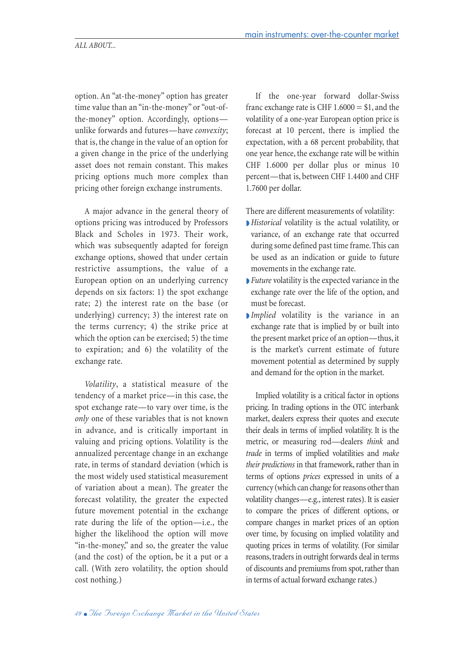option. An "at-the-money" option has greater time value than an "in-the-money" or "out-ofthe-money" option. Accordingly, options unlike forwards and futures—have *convexity*; that is, the change in the value of an option for a given change in the price of the underlying asset does not remain constant. This makes pricing options much more complex than pricing other foreign exchange instruments.

A major advance in the general theory of options pricing was introduced by Professors Black and Scholes in 1973. Their work, which was subsequently adapted for foreign exchange options, showed that under certain restrictive assumptions, the value of a European option on an underlying currency depends on six factors: 1) the spot exchange rate; 2) the interest rate on the base (or underlying) currency; 3) the interest rate on the terms currency; 4) the strike price at which the option can be exercised; 5) the time to expiration; and 6) the volatility of the exchange rate.

*Volatility*, a statistical measure of the tendency of a market price—in this case, the spot exchange rate—to vary over time, is the *only* one of these variables that is not known in advance, and is critically important in valuing and pricing options. Volatility is the annualized percentage change in an exchange rate, in terms of standard deviation (which is the most widely used statistical measurement of variation about a mean). The greater the forecast volatility, the greater the expected future movement potential in the exchange rate during the life of the option—i.e., the higher the likelihood the option will move "in-the-money," and so, the greater the value (and the cost) of the option, be it a put or a call. (With zero volatility, the option should cost nothing.)

If the one-year forward dollar-Swiss franc exchange rate is CHF  $1.6000 = $1$ , and the volatility of a one-year European option price is forecast at 10 percent, there is implied the expectation, with a 68 percent probability, that one year hence, the exchange rate will be within CHF 1.6000 per dollar plus or minus 10 percent—that is, between CHF 1.4400 and CHF 1.7600 per dollar.

There are different measurements of volatility:

- ◗ *Historical* volatility is the actual volatility, or variance, of an exchange rate that occurred during some defined past time frame. This can be used as an indication or guide to future movements in the exchange rate.
- ◗ *Future* volatility is the expected variance in the exchange rate over the life of the option, and must be forecast.
- ◗ *Implied* volatility is the variance in an exchange rate that is implied by or built into the present market price of an option—thus, it is the market's current estimate of future movement potential as determined by supply and demand for the option in the market.

Implied volatility is a critical factor in options pricing. In trading options in the OTC interbank market, dealers express their quotes and execute their deals in terms of implied volatility. It is the metric, or measuring rod—dealers *think* and *trade* in terms of implied volatilities and *make their predictions* in that framework, rather than in terms of options *prices* expressed in units of a currency (which can change for reasons other than volatility changes—e.g., interest rates). It is easier to compare the prices of different options, or compare changes in market prices of an option over time, by focusing on implied volatility and quoting prices in terms of volatility. (For similar reasons, traders in outright forwards deal in terms of discounts and premiums from spot, rather than in terms of actual forward exchange rates.)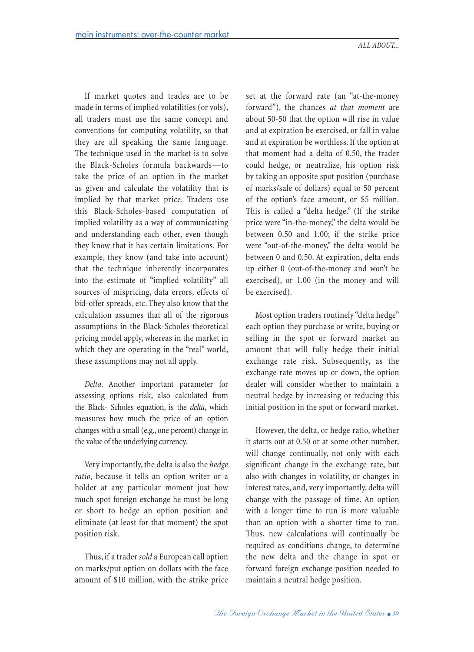If market quotes and trades are to be made in terms of implied volatilities (or vols), all traders must use the same concept and conventions for computing volatility, so that they are all speaking the same language. The technique used in the market is to solve the Black-Scholes formula backwards—to take the price of an option in the market as given and calculate the volatility that is implied by that market price. Traders use this Black-Scholes-based computation of implied volatility as a way of communicating and understanding each other, even though they know that it has certain limitations. For example, they know (and take into account) that the technique inherently incorporates into the estimate of "implied volatility" all sources of mispricing, data errors, effects of bid-offer spreads, etc. They also know that the calculation assumes that all of the rigorous assumptions in the Black-Scholes theoretical pricing model apply, whereas in the market in which they are operating in the "real" world, these assumptions may not all apply.

*Delta*. Another important parameter for assessing options risk, also calculated from the Black- Scholes equation, is the *delta*, which measures how much the price of an option changes with a small (e.g., one percent) change in the value of the underlying currency.

Very importantly, the delta is also the *hedge ratio*, because it tells an option writer or a holder at any particular moment just how much spot foreign exchange he must be long or short to hedge an option position and eliminate (at least for that moment) the spot position risk.

Thus, if a trader *sold* a European call option on marks/put option on dollars with the face amount of \$10 million, with the strike price

set at the forward rate (an "at-the-money forward"), the chances *at that moment* are about 50-50 that the option will rise in value and at expiration be exercised, or fall in value and at expiration be worthless. If the option at that moment had a delta of 0.50, the trader could hedge, or neutralize, his option risk by taking an opposite spot position (purchase of marks/sale of dollars) equal to 50 percent of the option's face amount, or \$5 million. This is called a "delta hedge." (If the strike price were "in-the-money," the delta would be between 0.50 and 1.00; if the strike price were "out-of-the-money," the delta would be between 0 and 0.50. At expiration, delta ends up either 0 (out-of-the-money and won't be exercised), or 1.00 (in the money and will be exercised).

Most option traders routinely "delta hedge" each option they purchase or write, buying or selling in the spot or forward market an amount that will fully hedge their initial exchange rate risk. Subsequently, as the exchange rate moves up or down, the option dealer will consider whether to maintain a neutral hedge by increasing or reducing this initial position in the spot or forward market.

However, the delta, or hedge ratio, whether it starts out at 0.50 or at some other number, will change continually, not only with each significant change in the exchange rate, but also with changes in volatility, or changes in interest rates, and, very importantly, delta will change with the passage of time. An option with a longer time to run is more valuable than an option with a shorter time to run. Thus, new calculations will continually be required as conditions change, to determine the new delta and the change in spot or forward foreign exchange position needed to maintain a neutral hedge position.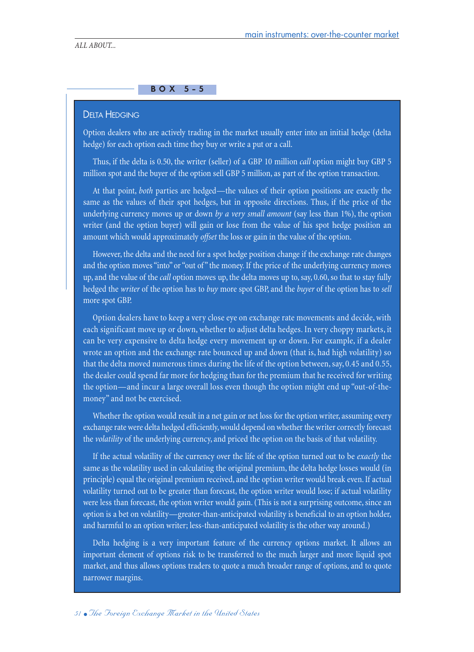**BOX 5-5**

#### **DELTA HEDGING**

Option dealers who are actively trading in the market usually enter into an initial hedge (delta hedge) for each option each time they buy or write a put or a call.

Thus, if the delta is 0.50, the writer (seller) of a GBP 10 million *call* option might buy GBP 5 million spot and the buyer of the option sell GBP 5 million, as part of the option transaction.

At that point, *both* parties are hedged—the values of their option positions are exactly the same as the values of their spot hedges, but in opposite directions. Thus, if the price of the underlying currency moves up or down *by a very small amount* (say less than 1%), the option writer (and the option buyer) will gain or lose from the value of his spot hedge position an amount which would approximately *offset* the loss or gain in the value of the option.

However, the delta and the need for a spot hedge position change if the exchange rate changes and the option moves "into" or "out of" the money. If the price of the underlying currency moves up, and the value of the *call* option moves up, the delta moves up to, say, 0.60, so that to stay fully hedged the *writer* of the option has to *buy* more spot GBP, and the *buyer* of the option has to *sell* more spot GBP.

Option dealers have to keep a very close eye on exchange rate movements and decide, with each significant move up or down, whether to adjust delta hedges. In very choppy markets, it can be very expensive to delta hedge every movement up or down. For example, if a dealer wrote an option and the exchange rate bounced up and down (that is, had high volatility) so that the delta moved numerous times during the life of the option between, say, 0.45 and 0.55, the dealer could spend far more for hedging than for the premium that he received for writing the option—and incur a large overall loss even though the option might end up "out-of-themoney" and not be exercised.

Whether the option would result in a net gain or net loss for the option writer, assuming every exchange rate were delta hedged efficiently, would depend on whether the writer correctly forecast the *volatility* of the underlying currency, and priced the option on the basis of that volatility.

If the actual volatility of the currency over the life of the option turned out to be *exactly* the same as the volatility used in calculating the original premium, the delta hedge losses would (in principle) equal the original premium received, and the option writer would break even. If actual volatility turned out to be greater than forecast, the option writer would lose; if actual volatility were less than forecast, the option writer would gain. (This is not a surprising outcome, since an option is a bet on volatility—greater-than-anticipated volatility is beneficial to an option holder, and harmful to an option writer; less-than-anticipated volatility is the other way around.)

Delta hedging is a very important feature of the currency options market. It allows an important element of options risk to be transferred to the much larger and more liquid spot market, and thus allows options traders to quote a much broader range of options, and to quote narrower margins.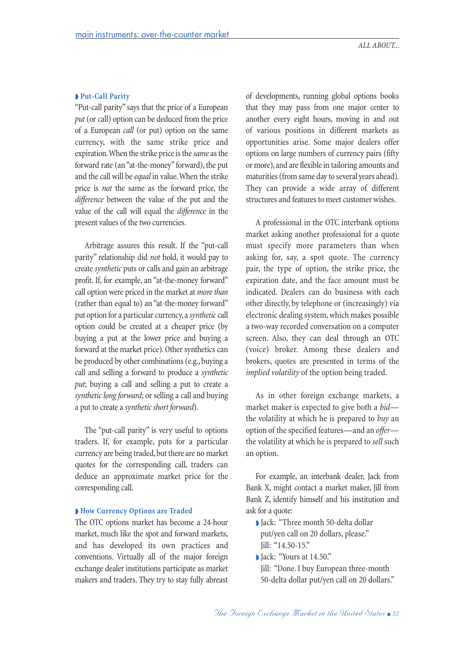#### ◗ **Put-Call Parity**

"Put-call parity" says that the price of a European *put* (or call) option can be deduced from the price of a European *call* (or put) option on the same currency, with the same strike price and expiration.When the strike price is the *same* as the forward rate (an "at-the-money" forward), the put and the call will be *equal* in value.When the strike price is *not* the same as the forward price, the *difference* between the value of the put and the value of the call will equal the *difference* in the present values of the two currencies.

Arbitrage assures this result. If the "put-call parity" relationship did *not* hold, it would pay to create *synthetic* puts or calls and gain an arbitrage profit. If, for example, an "at-the-money forward" call option were priced in the market at *more than* (rather than equal to) an "at-the-money forward" put option for a particular currency,a *synthetic*call option could be created at a cheaper price (by buying a put at the lower price and buying a forward at the market price). Other synthetics can be produced by other combinations (e.g., buying a call and selling a forward to produce a *synthetic put*; buying a call and selling a put to create a *synthetic long forward*; or selling a call and buying a put to create a *synthetic short forward*).

The "put-call parity" is very useful to options traders. If, for example, puts for a particular currency are being traded, but there are no market quotes for the corresponding call, traders can deduce an approximate market price for the corresponding call.

#### ◗ **How Currency Options are Traded**

The OTC options market has become a 24-hour market, much like the spot and forward markets, and has developed its own practices and conventions. Virtually all of the major foreign exchange dealer institutions participate as market makers and traders. They try to stay fully abreast

of developments, running global options books that they may pass from one major center to another every eight hours, moving in and out of various positions in different markets as opportunities arise. Some major dealers offer options on large numbers of currency pairs (fifty or more), and are flexible in tailoring amounts and maturities (from same day to several years ahead). They can provide a wide array of different structures and features to meet customer wishes.

A professional in the OTC interbank options market asking another professional for a quote must specify more parameters than when asking for, say, a spot quote. The currency pair, the type of option, the strike price, the expiration date, and the face amount must be indicated. Dealers can do business with each other directly, by telephone or (increasingly) via electronic dealing system, which makes possible a two-way recorded conversation on a computer screen. Also, they can deal through an OTC (voice) broker. Among these dealers and brokers, quotes are presented in terms of the *implied volatility* of the option being traded.

As in other foreign exchange markets, a market maker is expected to give both a *bid* the volatility at which he is prepared to *buy* an option of the specified features—and an *offer* the volatility at which he is prepared to *sell* such an option.

For example, an interbank dealer, Jack from Bank X, might contact a market maker, Jill from Bank Z, identify himself and his institution and ask for a quote:

- ◗ Jack: "Three month 50-delta dollar put/yen call on 20 dollars, please." Jill: "14.50-15."
- ◗ Jack: "Yours at 14.50." Jill: "Done. I buy European three-month 50-delta dollar put/yen call on 20 dollars."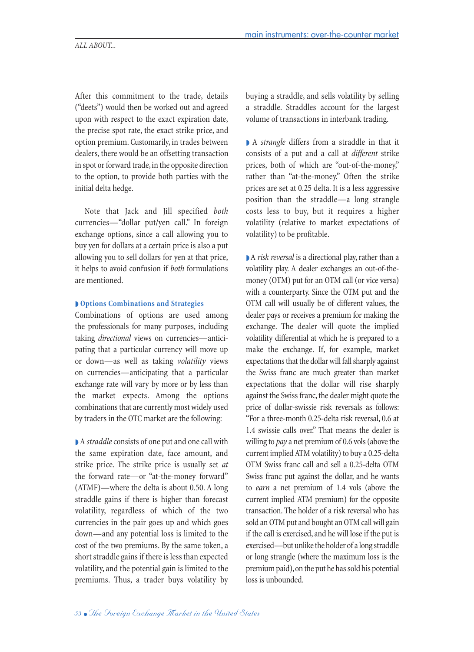After this commitment to the trade, details ("deets") would then be worked out and agreed upon with respect to the exact expiration date, the precise spot rate, the exact strike price, and option premium. Customarily, in trades between dealers, there would be an offsetting transaction in spot or forward trade, in the opposite direction to the option, to provide both parties with the initial delta hedge.

Note that Jack and Jill specified *both* currencies—"dollar put/yen call." In foreign exchange options, since a call allowing you to buy yen for dollars at a certain price is also a put allowing you to sell dollars for yen at that price, it helps to avoid confusion if *both* formulations are mentioned.

#### ◗ **Options Combinations and Strategies**

Combinations of options are used among the professionals for many purposes, including taking *directional* views on currencies—anticipating that a particular currency will move up or down—as well as taking *volatility* views on currencies—anticipating that a particular exchange rate will vary by more or by less than the market expects. Among the options combinations that are currently most widely used by traders in the OTC market are the following:

◗ A *straddle*consists of one put and one call with the same expiration date, face amount, and strike price. The strike price is usually set *at* the forward rate—or "at-the-money forward" (ATMF)—where the delta is about 0.50. A long straddle gains if there is higher than forecast volatility, regardless of which of the two currencies in the pair goes up and which goes down—and any potential loss is limited to the cost of the two premiums. By the same token, a short straddle gains if there is less than expected volatility, and the potential gain is limited to the premiums. Thus, a trader buys volatility by buying a straddle, and sells volatility by selling a straddle. Straddles account for the largest volume of transactions in interbank trading.

◗ A *strangle* differs from a straddle in that it consists of a put and a call at *different* strike prices, both of which are "out-of-the-money," rather than "at-the-money." Often the strike prices are set at 0.25 delta. It is a less aggressive position than the straddle—a long strangle costs less to buy, but it requires a higher volatility (relative to market expectations of volatility) to be profitable.

◗ A *risk reversal* is a directional play, rather than a volatility play. A dealer exchanges an out-of-themoney (OTM) put for an OTM call (or vice versa) with a counterparty. Since the OTM put and the OTM call will usually be of different values, the dealer pays or receives a premium for making the exchange. The dealer will quote the implied volatility differential at which he is prepared to a make the exchange. If, for example, market expectations that the dollar will fall sharply against the Swiss franc are much greater than market expectations that the dollar will rise sharply against the Swiss franc, the dealer might quote the price of dollar-swissie risk reversals as follows: "For a three-month 0.25-delta risk reversal, 0.6 at 1.4 swissie calls over." That means the dealer is willing to *pay* a net premium of 0.6 vols (above the current implied ATM volatility) to buy a 0.25-delta OTM Swiss franc call and sell a 0.25-delta OTM Swiss franc put against the dollar, and he wants to *earn* a net premium of 1.4 vols (above the current implied ATM premium) for the opposite transaction. The holder of a risk reversal who has sold an OTM put and bought an OTM call will gain if the call is exercised, and he will lose if the put is exercised—but unlike the holder of a long straddle or long strangle (where the maximum loss is the premium paid),on the put he has sold his potential loss is unbounded.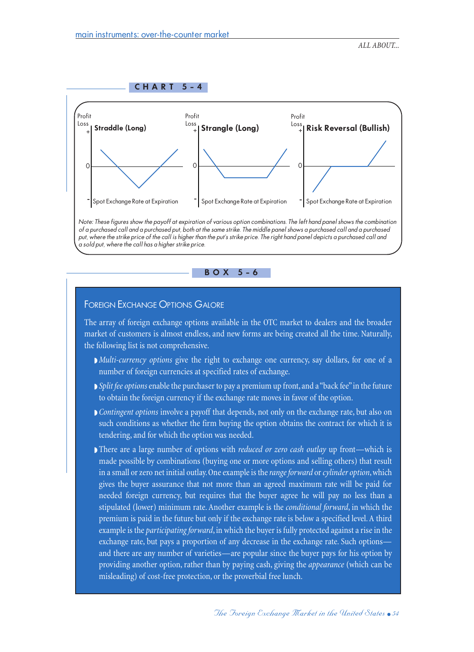

### **BOX 5-6**

# FOREIGN EXCHANGE OPTIONS GALORE

The array of foreign exchange options available in the OTC market to dealers and the broader market of customers is almost endless, and new forms are being created all the time. Naturally, the following list is not comprehensive.

- ◗ *Multi-currency options* give the right to exchange one currency, say dollars, for one of a number of foreign currencies at specified rates of exchange.
- ◗ *Split fee options*enable the purchaser to pay a premium up front, and a "back fee"in the future to obtain the foreign currency if the exchange rate moves in favor of the option.
- ◗ *Contingent options* involve a payoff that depends, not only on the exchange rate, but also on such conditions as whether the firm buying the option obtains the contract for which it is tendering, and for which the option was needed.
- ◗ There are a large number of options with *reduced or zero cash outlay* up front—which is made possible by combinations (buying one or more options and selling others) that result in a small or zero net initial outlay. One example is the *range forward* or *cylinder option*, which gives the buyer assurance that not more than an agreed maximum rate will be paid for needed foreign currency, but requires that the buyer agree he will pay no less than a stipulated (lower) minimum rate. Another example is the *conditional forward*, in which the premium is paid in the future but only if the exchange rate is below a specified level. A third example is the *participating forward*, in which the buyer is fully protected against a rise in the exchange rate, but pays a proportion of any decrease in the exchange rate. Such options and there are any number of varieties—are popular since the buyer pays for his option by providing another option, rather than by paying cash, giving the *appearance* (which can be misleading) of cost-free protection, or the proverbial free lunch.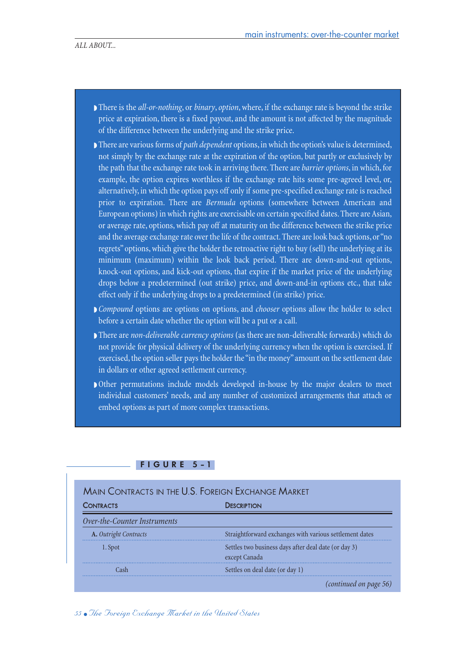- ◗ There is the *all-or-nothing*, or *binary*, *option*, where, if the exchange rate is beyond the strike price at expiration, there is a fixed payout, and the amount is not affected by the magnitude of the difference between the underlying and the strike price.
- ◗ There are various forms of *path dependent* options, in which the option's value is determined, not simply by the exchange rate at the expiration of the option, but partly or exclusively by the path that the exchange rate took in arriving there. There are *barrier options*, in which, for example, the option expires worthless if the exchange rate hits some pre-agreed level, or, alternatively, in which the option pays off only if some pre-specified exchange rate is reached prior to expiration. There are *Bermuda* options (somewhere between American and European options) in which rights are exercisable on certain specified dates. There are Asian, or average rate, options, which pay off at maturity on the difference between the strike price and the average exchange rate over the life of the contract. There are look back options, or "no regrets" options, which give the holder the retroactive right to buy (sell) the underlying at its minimum (maximum) within the look back period. There are down-and-out options, knock-out options, and kick-out options, that expire if the market price of the underlying drops below a predetermined (out strike) price, and down-and-in options etc., that take effect only if the underlying drops to a predetermined (in strike) price.
- ◗ *Compound* options are options on options, and *chooser* options allow the holder to select before a certain date whether the option will be a put or a call.
- ◗ There are *non-deliverable currency options* (as there are non-deliverable forwards) which do not provide for physical delivery of the underlying currency when the option is exercised. If exercised, the option seller pays the holder the "in the money" amount on the settlement date in dollars or other agreed settlement currency.
- ◗ Other permutations include models developed in-house by the major dealers to meet individual customers' needs, and any number of customized arrangements that attach or embed options as part of more complex transactions.

| <b>CONTRACTS</b>             | <b>DESCRIPTION</b>                                                    |
|------------------------------|-----------------------------------------------------------------------|
| Over-the-Counter Instruments |                                                                       |
| A. Outright Contracts        | Straightforward exchanges with various settlement dates               |
| 1. Spot                      | Settles two business days after deal date (or day 3)<br>except Canada |
| Cash                         | Settles on deal date (or day 1)                                       |

#### **FIGURE 5-1**

*55* ● *The Foreign Exchange Market in the United States*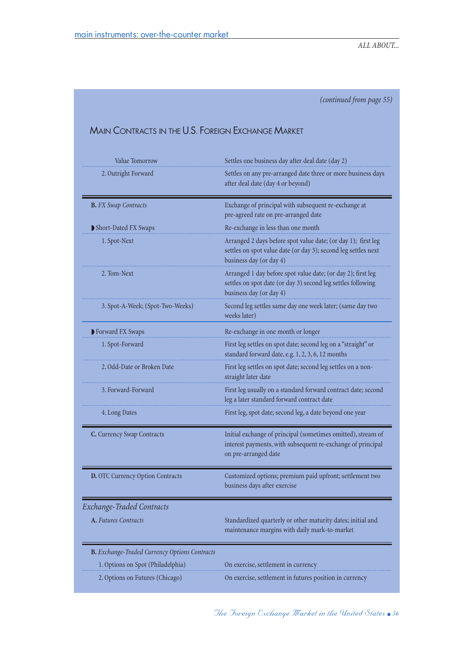*(continued from page 55)*

| Value Tomorrow                                       | Settles one business day after deal date (day 2)                                                                                                           |
|------------------------------------------------------|------------------------------------------------------------------------------------------------------------------------------------------------------------|
| 2. Outright Forward                                  | Settles on any pre-arranged date three or more business days<br>after deal date (day 4 or beyond)                                                          |
| <b>B.</b> FX Swap Contracts                          | Exchange of principal with subsequent re-exchange at<br>pre-agreed rate on pre-arranged date                                                               |
| Short-Dated FX Swaps                                 | Re-exchange in less than one month                                                                                                                         |
| 1. Spot-Next                                         | Arranged 2 days before spot value date; (or day 1); first leg<br>settles on spot value date (or day 3); second leg settles next<br>business day (or day 4) |
| 2. Tom-Next                                          | Arranged 1 day before spot value date; (or day 2); first leg<br>settles on spot date (or day 3) second leg settles following<br>business day (or day 4)    |
| 3. Spot-A-Week; (Spot-Two-Weeks)                     | Second leg settles same day one week later; (same day two<br>weeks later)                                                                                  |
| ▶ Forward FX Swaps                                   | Re-exchange in one month or longer                                                                                                                         |
| 1. Spot-Forward                                      | First leg settles on spot date; second leg on a "straight" or<br>standard forward date, e.g. 1, 2, 3, 6, 12 months                                         |
| 2. Odd-Date or Broken Date                           | First leg settles on spot date; second leg settles on a non-<br>straight later date                                                                        |
| 3. Forward-Forward                                   | First leg usually on a standard forward contract date; second<br>leg a later standard forward contract date                                                |
| 4. Long Dates                                        | First leg, spot date; second leg, a date beyond one year                                                                                                   |
| C. Currency Swap Contracts                           | Initial exchange of principal (sometimes omitted), stream of<br>interest payments, with subsequent re-exchange of principal<br>on pre-arranged date        |
| D. OTC Currency Option Contracts                     | Customized options; premium paid upfront; settlement two<br>business days after exercise                                                                   |
| <b>Exchange-Traded Contracts</b>                     |                                                                                                                                                            |
| A. Futures Contracts                                 | Standardized quarterly or other maturity dates; initial and<br>maintenance margins with daily mark-to-market                                               |
| <b>B.</b> Exchange-Traded Currency Options Contracts |                                                                                                                                                            |
| 1. Options on Spot (Philadelphia)                    | On exercise, settlement in currency                                                                                                                        |
| 2. Options on Futures (Chicago)                      | On exercise, settlement in futures position in currency                                                                                                    |

# MAIN CONTRACTS IN THE U.S. FOREIGN EXCHANGE MARKET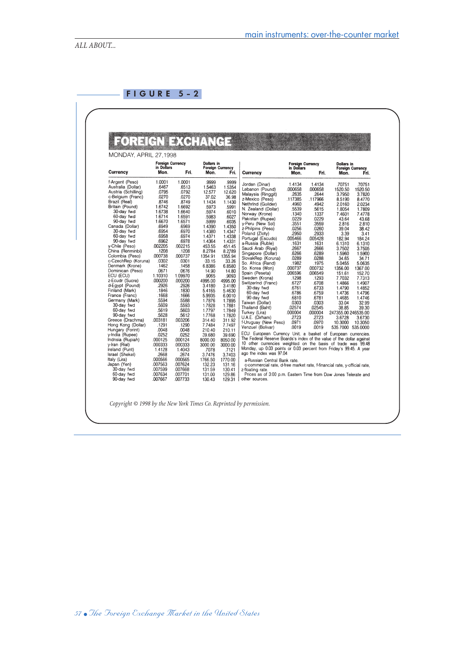*ALL ABOUT...*

| TORE CREATER WERE                                                                                                                                                                                                                                                                                                                                                                                                                                                                                                                                                                                                                                                                                                                          |                                                                                                                                                                                                                                                                                                                                                                                                     |                                                                                                                                                                                                                                                                                                                                                                                                         |                                                                                                                                                                                                                                                                                                                                                                                                                  |                                                                                                                                                                                                                                                                                                                                                                                                                |                                                                                                                                                                                                                                                                                                                                                                                                                                                                                                                                                                                                                                                                                                                                                                                                                                                                                                                                                                                                                                                                                                                                         |                                                                                                                                                                                                                                                                                       |                                                                                                                                                                                                                                                                                 |                                                                                                                                                                                                                                                                                                                             |                                                                                                                                                                                                                                                                                 |
|--------------------------------------------------------------------------------------------------------------------------------------------------------------------------------------------------------------------------------------------------------------------------------------------------------------------------------------------------------------------------------------------------------------------------------------------------------------------------------------------------------------------------------------------------------------------------------------------------------------------------------------------------------------------------------------------------------------------------------------------|-----------------------------------------------------------------------------------------------------------------------------------------------------------------------------------------------------------------------------------------------------------------------------------------------------------------------------------------------------------------------------------------------------|---------------------------------------------------------------------------------------------------------------------------------------------------------------------------------------------------------------------------------------------------------------------------------------------------------------------------------------------------------------------------------------------------------|------------------------------------------------------------------------------------------------------------------------------------------------------------------------------------------------------------------------------------------------------------------------------------------------------------------------------------------------------------------------------------------------------------------|----------------------------------------------------------------------------------------------------------------------------------------------------------------------------------------------------------------------------------------------------------------------------------------------------------------------------------------------------------------------------------------------------------------|-----------------------------------------------------------------------------------------------------------------------------------------------------------------------------------------------------------------------------------------------------------------------------------------------------------------------------------------------------------------------------------------------------------------------------------------------------------------------------------------------------------------------------------------------------------------------------------------------------------------------------------------------------------------------------------------------------------------------------------------------------------------------------------------------------------------------------------------------------------------------------------------------------------------------------------------------------------------------------------------------------------------------------------------------------------------------------------------------------------------------------------------|---------------------------------------------------------------------------------------------------------------------------------------------------------------------------------------------------------------------------------------------------------------------------------------|---------------------------------------------------------------------------------------------------------------------------------------------------------------------------------------------------------------------------------------------------------------------------------|-----------------------------------------------------------------------------------------------------------------------------------------------------------------------------------------------------------------------------------------------------------------------------------------------------------------------------|---------------------------------------------------------------------------------------------------------------------------------------------------------------------------------------------------------------------------------------------------------------------------------|
| MONDAY, APRIL 27,1998                                                                                                                                                                                                                                                                                                                                                                                                                                                                                                                                                                                                                                                                                                                      |                                                                                                                                                                                                                                                                                                                                                                                                     |                                                                                                                                                                                                                                                                                                                                                                                                         |                                                                                                                                                                                                                                                                                                                                                                                                                  |                                                                                                                                                                                                                                                                                                                                                                                                                |                                                                                                                                                                                                                                                                                                                                                                                                                                                                                                                                                                                                                                                                                                                                                                                                                                                                                                                                                                                                                                                                                                                                         |                                                                                                                                                                                                                                                                                       |                                                                                                                                                                                                                                                                                 |                                                                                                                                                                                                                                                                                                                             |                                                                                                                                                                                                                                                                                 |
| Currency                                                                                                                                                                                                                                                                                                                                                                                                                                                                                                                                                                                                                                                                                                                                   | Foreign Currency<br>in Dollars<br>Mon.                                                                                                                                                                                                                                                                                                                                                              | Fri.                                                                                                                                                                                                                                                                                                                                                                                                    | Dollars in<br>Mon.                                                                                                                                                                                                                                                                                                                                                                                               | <b>Foreign Currency</b><br>Fri.                                                                                                                                                                                                                                                                                                                                                                                | <b>Currency</b>                                                                                                                                                                                                                                                                                                                                                                                                                                                                                                                                                                                                                                                                                                                                                                                                                                                                                                                                                                                                                                                                                                                         | <b>Foreign Currency</b><br>in Dollars<br>Mon.                                                                                                                                                                                                                                         | Fri.                                                                                                                                                                                                                                                                            | Dollars in<br><b>Foreign Currency</b><br>Mon.                                                                                                                                                                                                                                                                               | Fri.                                                                                                                                                                                                                                                                            |
| f-Argent (Peso)<br>Australia (Dollar)<br>Austria (Schilling)<br>c-Belgium (Franc)<br>Brazil (Real)<br>Britain (Pound)<br>30-day fwd<br>60-day fwd<br>90-day fwd<br>Canada (Dollar)<br>30-day fwd<br>60-day fwd<br>90-day fwd<br>y-Chile (Peso)<br>China (Renminbi)<br>Colombia (Peso)<br>c-CzechRep (Koruna)<br>Denmark (Krone)<br>Dominican (Peso)<br>ECU (ECU)<br>z-Ecudr (Sucre)<br>d-Egypt (Pound)<br>Finland (Mark)<br>France (Franc)<br>Germany (Mark)<br>30-day fwd<br>60-day fwd<br>90-day fwd<br>Greece (Drachma)<br>Hong Kong (Dollar)<br>Hungary (Forint)<br>y-India (Rupee)<br>Índnsia (Rupiah)<br>y-Iran (Rial)<br>ireland (Punt)<br>Israel (Shekel)<br>Italy (Lira)<br>Japan (Yen)<br>30-day fwd<br>60-day fwd<br>90-day fwd | 1.0001<br>.6467<br>.0795<br>.0270<br>.8746<br>1.6742<br>1.6738<br>1.6714<br>1.6670<br>.6949<br>.6954<br>.6958<br>.6962<br>002205<br>.1208<br>000738<br>.0302<br>1462<br>.0671<br>1.10310<br>000200<br>.2926<br>.1846<br>.1668<br>.5594<br>.5609<br>.5619<br>5628<br>.003181<br>.1291<br>.0048<br>.0252<br>000125<br>.000333<br>1.4128<br>2668<br>000566<br>.007563<br>.007599<br>.007634<br>.007667 | 1.0001<br>.6513<br>.0792<br>.0270<br>.8749<br>1.6692<br>1.6640<br>1.6591<br>1.6571<br>.6969<br>.6970<br>.6974<br>.6978<br>002215<br>.1208<br>.000737<br>.0301<br>.1458<br>.0676<br>1.09970<br>.000200<br>.2926<br>.1830<br>.1666<br>.5588<br>5593<br>.5603<br>5612<br>.003206<br>.1290<br>.0048<br>.0252<br>.000124<br>.000333<br>1.4043<br>2674<br>.000565<br>.007624<br>.007668<br>.007701<br>.007733 | 9999<br>1.5463<br>12.577<br>37.02<br>1.1434<br>.5973<br>.5974<br>.5983<br>.5999<br>1.4390<br>1.4380<br>1.4371<br>1.4364<br>453.55<br>8.2784<br>1354.91<br>33.15<br>6.8386<br>14.90<br>.9065<br>4995.00<br>3.4180<br>5.4165<br>5.9935<br>1.7876<br>1.7828<br>1.7797<br>1.7768<br>314.40<br>7.7484<br>210.40<br>39.680<br>8000.00<br>3000.00<br>.7078<br>3.7476<br>1766.50<br>132.23<br>131.59<br>131.00<br>130.43 | 9999<br>1.5354<br>12.620<br>36.98<br>1.1430<br>.5991<br>.6010<br>6027<br>6035<br>1.4350<br>1.4347<br>1.4338<br>1.4331<br>451.45<br>8.2789<br>1355.94<br>33.26<br>6.8580<br>14.80<br>.9093<br>4995.00<br>3.4180<br>5.4630<br>6.0010<br>1.7895<br>1.7881<br>1.7849<br>1.7820<br>311.92<br>7.7497<br>210.11<br>39.690<br>8050.00<br>3000.00<br>.7121<br>3.7403<br>1770.00<br>131.16<br>130.41<br>129.86<br>129.31 | Jordan (Dinar)<br>Lebanon (Pound)<br>Malaysia (Ringgit)<br>z-Mexico (Peso)<br>Nethrind (Guilder)<br>N. Zealand (Dollar)<br>Norway (Krone)<br>Pakistan (Rupee)<br>y-Peru (New Sol)<br>z-Philpins (Peso)<br>Poland (Zloty)<br>Portugal (Escudo)<br>a-Russia (Ruble)<br>Saudi Arab (Rival)<br>Singapore (Dollar)<br>SlovakRep (Koruna)<br>So. Africa (Rand)<br>So. Korea (Won)<br>Spain (Peseta)<br>Sweden (Krona)<br>SwitzerInd (Franc)<br>30-day fwd<br>60-day fwd<br>90-day fwd<br>Taiwan (Dollar)<br>Thailand (Baht)<br>Turkey (Lira)<br>U.A.E. (Dirham)<br>f-Uruguay (New Peso)<br>Venzuel (Bolivar)<br>ECU: European Currency Unit, a basket of European currencies.<br>The Federal Reserve Boards's index of the value of the dollar against<br>10 other currencies weighted on the basis of trade was 99.48<br>Monday, up 0.03 points or 0.03 percent from Friday's 99.45. A year<br>ago the index was 97.04<br>a-Russian Central Bank rate.<br>c-commercial rate, d-free market rate, f-financial rate, y-official rate,<br>z-floating rate.<br>Prices as of 3:00 p.m. Eastern Time from Dow Jones Telerate and<br>other sources. | 1.4134<br>.000658<br>.2635<br>.117385<br>.4960<br>.5539<br>.1340<br>.0229<br>.3551<br>.0256<br>2950<br>005466<br>.1631<br>.2667<br>.6266<br>.0289<br>.1982<br>.000737<br>.006596<br>.1298<br>.6727<br>.6761<br>.6786<br>.6810<br>.0303<br>.02574<br>000004<br>.2723<br>.0971<br>.0019 | 1.4134<br>000658<br>.2644<br>117966<br>.4942<br>.5615<br>.1337<br>.0229<br>.3559<br>.0260<br>2933<br>005428<br>.1631<br>.2666<br>.6289<br>.0288<br>.1975<br>000732<br>006549<br>.1293<br>.6708<br>.6733<br>6759<br>.6781<br>.0303<br>02545<br>000004<br>.2723<br>.0970<br>.0019 | .70751<br>1520.50<br>3.7950<br>8.5190<br>2.0160<br>1.8054<br>7.4601<br>43.64<br>2.816<br>39.04<br>3.39<br>182.94<br>6.1310<br>3.7502<br>1.5960<br>34.65<br>5.0455<br>1356.00<br>151.61<br>7.7032<br>1.4866<br>1.4790<br>1.4736<br>1.4685<br>33.04<br>38.85<br>247355.00 246535.00<br>3.6728<br>10.3000<br>535.7000 535.0000 | .70751<br>1520.50<br>3.7820<br>8.4770<br>2.0234<br>1.7809<br>7.4778<br>43.68<br>2.810<br>38.42<br>3.41<br>184.24<br>6.1310<br>3.7505<br>1.5900<br>34.71<br>5.0635<br>1367.00<br>152.70<br>7.7313<br>1.4907<br>1.4852<br>1.4796<br>1.4746<br>32.99<br>39.30<br>3.6730<br>10.3050 |

*57* ● *The Foreign Exchange Market in the United States*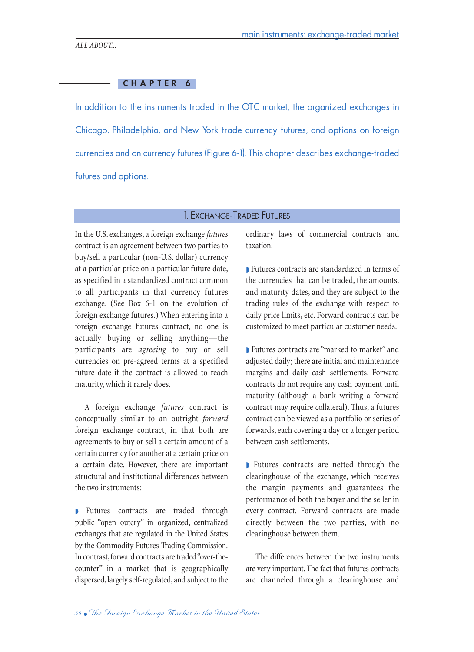**CHAPTER 6**

In addition to the instruments traded in the OTC market, the organized exchanges in Chicago, Philadelphia, and New York trade currency futures, and options on foreign currencies and on currency futures (Figure 6-1). This chapter describes exchange-traded futures and options.

# 1. EXCHANGE-TRADED FUTURES

In the U.S. exchanges, a foreign exchange *futures* contract is an agreement between two parties to buy/sell a particular (non-U.S. dollar) currency at a particular price on a particular future date, as specified in a standardized contract common to all participants in that currency futures exchange. (See Box 6-1 on the evolution of foreign exchange futures.) When entering into a foreign exchange futures contract, no one is actually buying or selling anything—the participants are *agreeing* to buy or sell currencies on pre-agreed terms at a specified future date if the contract is allowed to reach maturity, which it rarely does.

A foreign exchange *futures* contract is conceptually similar to an outright *forward* foreign exchange contract, in that both are agreements to buy or sell a certain amount of a certain currency for another at a certain price on a certain date. However, there are important structural and institutional differences between the two instruments:

◗ Futures contracts are traded through public "open outcry" in organized, centralized exchanges that are regulated in the United States by the Commodity Futures Trading Commission. In contrast, forward contracts are traded "over-thecounter" in a market that is geographically dispersed, largely self-regulated, and subject to the

ordinary laws of commercial contracts and taxation.

◗ Futures contracts are standardized in terms of the currencies that can be traded, the amounts, and maturity dates, and they are subject to the trading rules of the exchange with respect to daily price limits, etc. Forward contracts can be customized to meet particular customer needs.

◗ Futures contracts are "marked to market" and adjusted daily; there are initial and maintenance margins and daily cash settlements. Forward contracts do not require any cash payment until maturity (although a bank writing a forward contract may require collateral). Thus, a futures contract can be viewed as a portfolio or series of forwards, each covering a day or a longer period between cash settlements.

◗ Futures contracts are netted through the clearinghouse of the exchange, which receives the margin payments and guarantees the performance of both the buyer and the seller in every contract. Forward contracts are made directly between the two parties, with no clearinghouse between them.

The differences between the two instruments are very important. The fact that futures contracts are channeled through a clearinghouse and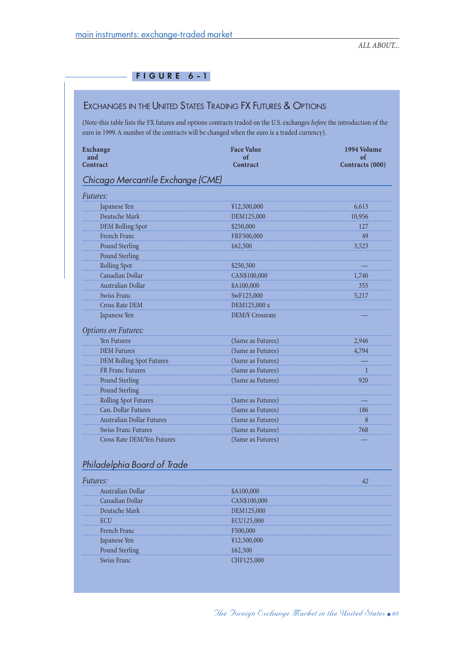# **FIGURE 6-1**

# EXCHANGES IN THE UNITED STATES TRADING FX FUTURES & OPTIONS

(Note-this table lists the FX futures and options contracts traded on the U.S. exchanges *before* the introduction of the euro in 1999. A number of the contracts will be changed when the euro is a traded currency).

| <b>Exchange</b><br>and            | <b>Face Value</b><br>of | 1994 Volume<br>of |
|-----------------------------------|-------------------------|-------------------|
| Contract                          | Contract                | Contracts (000)   |
| Chicago Mercantile Exchange (CME) |                         |                   |
| <i>Futures:</i>                   |                         |                   |
| Japanese Yen                      | ¥12,500,000             | 6,613             |
| Deutsche Mark                     | DEM125,000              | 10,956            |
| <b>DEM Rolling Spot</b>           | \$250,000               | 127               |
| French Franc                      | FRF500,000              | 49                |
| Pound Sterling                    | £62,500                 | 3,523             |
| <b>Pound Sterling</b>             |                         |                   |
| <b>Rolling Spot</b>               | \$250,500               |                   |
| Canadian Dollar                   | CAN\$100,000            | 1,740             |
| Australian Dollar                 | \$A100,000              | 355               |
| Swiss Franc                       | SwF125,000              | 5,217             |
| Cross Rate DEM                    | DEM125,000 x            |                   |
| Japanese Yen                      | DEM/¥ Crossrate         |                   |
| <b>Options on Futures:</b>        |                         |                   |
| Yen Futures                       | (Same as Futures)       | 2,946             |
| <b>DEM Futures</b>                | (Same as Futures)       | 4,794             |
| <b>DEM Rolling Spot Futures</b>   | (Same as Futures)       |                   |
| FR Franc Futures                  | (Same as Futures)       |                   |
| Pound Sterling                    | (Same as Futures)       | 920               |
| <b>Pound Sterling</b>             |                         |                   |
| <b>Rolling Spot Futures</b>       | (Same as Futures)       |                   |
| Can. Dollar Futures               | (Same as Futures)       | 186               |
| Australian Dollar Futures         | (Same as Futures)       | 8                 |
| <b>Swiss Franc Futures</b>        | (Same as Futures)       | 768               |
| Cross Rate DEM/Yen Futures        | (Same as Futures)       |                   |

# Philadelphia Board of Trade

| Futures:          |              |
|-------------------|--------------|
| Australian Dollar | \$A100,000   |
| Canadian Dollar   | CAN\$100,000 |
| Deutsche Mark     | DEM125,000   |
| ECU               | ECU125,000   |
| French Franc      | F500,000     |
| Japanese Yen      | ¥12,500,000  |
| Pound Sterling    | £62,500      |
| Swiss Franc       | CHF125,000   |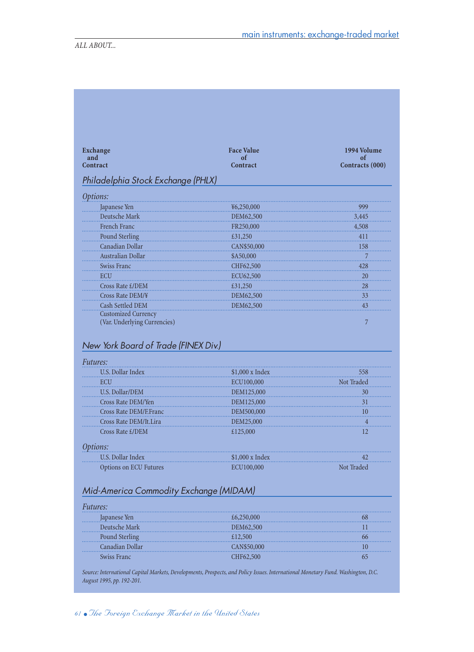| Exchange<br>and<br>Contract<br>Philadelphia Stock Exchange (PHLX) | <b>Face Value</b><br>of<br>Contract |       |  |  |
|-------------------------------------------------------------------|-------------------------------------|-------|--|--|
| Options:                                                          |                                     |       |  |  |
| Japanese Yen                                                      | 46,250,000                          | 999   |  |  |
| Deutsche Mark                                                     | DEM62,500                           | 3,445 |  |  |
| French Franc                                                      | FR250,000                           | 4,508 |  |  |
| Pound Sterling                                                    | £31,250                             | 411   |  |  |
| Canadian Dollar                                                   | CAN\$50,000                         | 158   |  |  |
| Australian Dollar                                                 | \$A50,000                           |       |  |  |
| Swiss Franc                                                       | CHF62,500                           | 428   |  |  |
| <b>ECU</b>                                                        | ECU62,500                           | 20    |  |  |
| Cross Rate £/DEM                                                  | £31,250                             | 28    |  |  |
| Cross Rate DEM/¥                                                  | DEM62,500                           | 33    |  |  |
| Cash Settled DEM                                                  | DEM62,500                           | 43    |  |  |
| <b>Customized Currency</b><br>(Var. Underlying Currencies)        |                                     | 7     |  |  |

# New York Board of Trade (FINEX Div.)

| <i>Futures:</i>         |                  |            |
|-------------------------|------------------|------------|
| U.S. Dollar Index       | $$1,000$ x Index | 558        |
| ECU                     | ECU100,000       | Not Traded |
| <b>U.S. Dollar/DEM</b>  | DEM125,000       | 30         |
| Cross Rate DEM/Yen      | DEM125,000       | 31         |
| Cross Rate DEM/F. Franc | DEM500,000       | 10         |
| Cross Rate DEM/It.Lira  | DEM25,000        | 4          |
| Cross Rate £/DEM        | £125,000         | 12         |
| Dptions:                |                  |            |
| U.S. Dollar Index       | $$1,000$ x Index | 42         |
| Options on ECU Futures  | ECU100,000       | Not Traded |

# Mid-America Commodity Exchange (MIDAM)

| <i>Futures:</i> |             |    |
|-----------------|-------------|----|
| Japanese Yen    | £6,250,000  | or |
| Deutsche Mark   | DEM62,500   |    |
| Pound Sterling  | £12,500     | nr |
| Canadian Dollar | CAN\$50,000 |    |
| Swiss Franc     | CHF62.500   |    |

*Source: International Capital Markets, Developments, Prospects, and Policy Issues. International Monetary Fund. Washington, D.C. August 1995, pp. 192-201.*

## *61* ● *The Foreign Exchange Market in the United States*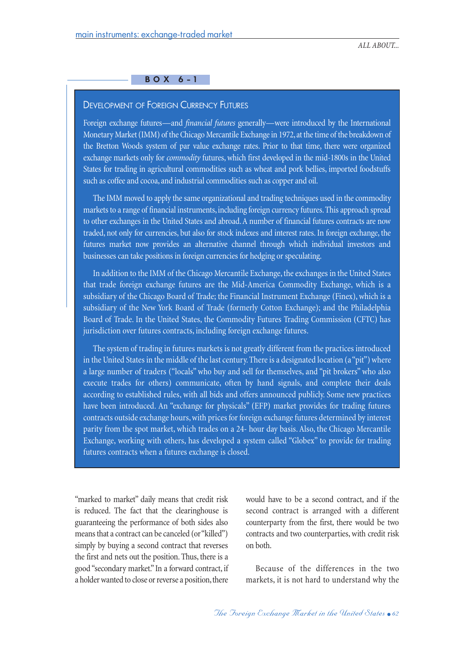#### **BOX 6-1**

## DEVELOPMENT OF FOREIGN CURRENCY FUTURES

Foreign exchange futures—and *financial futures* generally—were introduced by the International Monetary Market (IMM) of the Chicago Mercantile Exchange in 1972, at the time of the breakdown of the Bretton Woods system of par value exchange rates. Prior to that time, there were organized exchange markets only for *commodity* futures, which first developed in the mid-1800s in the United States for trading in agricultural commodities such as wheat and pork bellies, imported foodstuffs such as coffee and cocoa, and industrial commodities such as copper and oil.

The IMM moved to apply the same organizational and trading techniques used in the commodity markets to a range of financial instruments, including foreign currency futures. This approach spread to other exchanges in the United States and abroad. A number of financial futures contracts are now traded, not only for currencies, but also for stock indexes and interest rates. In foreign exchange, the futures market now provides an alternative channel through which individual investors and businesses can take positions in foreign currencies for hedging or speculating.

In addition to the IMM of the Chicago Mercantile Exchange, the exchanges in the United States that trade foreign exchange futures are the Mid-America Commodity Exchange, which is a subsidiary of the Chicago Board of Trade; the Financial Instrument Exchange (Finex), which is a subsidiary of the New York Board of Trade (formerly Cotton Exchange); and the Philadelphia Board of Trade. In the United States, the Commodity Futures Trading Commission (CFTC) has jurisdiction over futures contracts, including foreign exchange futures.

The system of trading in futures markets is not greatly different from the practices introduced in the United States in the middle of the last century. There is a designated location (a "pit") where a large number of traders ("locals" who buy and sell for themselves, and "pit brokers" who also execute trades for others) communicate, often by hand signals, and complete their deals according to established rules, with all bids and offers announced publicly. Some new practices have been introduced. An "exchange for physicals" (EFP) market provides for trading futures contracts outside exchange hours, with prices for foreign exchange futures determined by interest parity from the spot market, which trades on a 24- hour day basis. Also, the Chicago Mercantile Exchange, working with others, has developed a system called "Globex" to provide for trading futures contracts when a futures exchange is closed.

"marked to market" daily means that credit risk is reduced. The fact that the clearinghouse is guaranteeing the performance of both sides also means that a contract can be canceled (or "killed") simply by buying a second contract that reverses the first and nets out the position. Thus, there is a good "secondary market." In a forward contract, if a holder wanted to close or reverse a position, there

would have to be a second contract, and if the second contract is arranged with a different counterparty from the first, there would be two contracts and two counterparties, with credit risk on both.

Because of the differences in the two markets, it is not hard to understand why the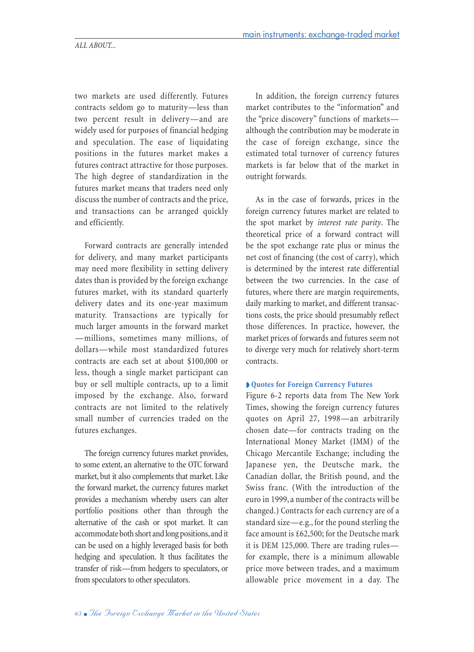two markets are used differently. Futures contracts seldom go to maturity—less than two percent result in delivery—and are widely used for purposes of financial hedging and speculation. The ease of liquidating positions in the futures market makes a futures contract attractive for those purposes. The high degree of standardization in the futures market means that traders need only discuss the number of contracts and the price, and transactions can be arranged quickly and efficiently.

Forward contracts are generally intended for delivery, and many market participants may need more flexibility in setting delivery dates than is provided by the foreign exchange futures market, with its standard quarterly delivery dates and its one-year maximum maturity. Transactions are typically for much larger amounts in the forward market —millions, sometimes many millions, of dollars—while most standardized futures contracts are each set at about \$100,000 or less, though a single market participant can buy or sell multiple contracts, up to a limit imposed by the exchange. Also, forward contracts are not limited to the relatively small number of currencies traded on the futures exchanges.

The foreign currency futures market provides, to some extent, an alternative to the OTC forward market, but it also complements that market. Like the forward market, the currency futures market provides a mechanism whereby users can alter portfolio positions other than through the alternative of the cash or spot market. It can accommodate both short and long positions,and it can be used on a highly leveraged basis for both hedging and speculation. It thus facilitates the transfer of risk—from hedgers to speculators, or from speculators to other speculators.

In addition, the foreign currency futures market contributes to the "information" and the "price discovery" functions of markets although the contribution may be moderate in the case of foreign exchange, since the estimated total turnover of currency futures markets is far below that of the market in outright forwards.

As in the case of forwards, prices in the foreign currency futures market are related to the spot market by *interest rate parity*. The theoretical price of a forward contract will be the spot exchange rate plus or minus the net cost of financing (the cost of carry), which is determined by the interest rate differential between the two currencies. In the case of futures, where there are margin requirements, daily marking to market, and different transactions costs, the price should presumably reflect those differences. In practice, however, the market prices of forwards and futures seem not to diverge very much for relatively short-term contracts.

## ◗ **Quotes for Foreign Currency Futures**

Figure 6-2 reports data from The New York Times, showing the foreign currency futures quotes on April 27, 1998—an arbitrarily chosen date—for contracts trading on the International Money Market (IMM) of the Chicago Mercantile Exchange; including the Japanese yen, the Deutsche mark, the Canadian dollar, the British pound, and the Swiss franc. (With the introduction of the euro in 1999, a number of the contracts will be changed.) Contracts for each currency are of a standard size—e.g., for the pound sterling the face amount is £62,500; for the Deutsche mark it is DEM 125,000. There are trading rules for example, there is a minimum allowable price move between trades, and a maximum allowable price movement in a day. The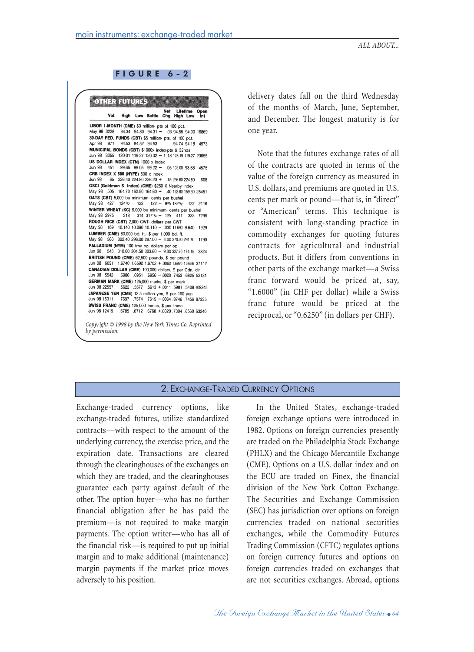### **FIGURE 6-2**

|               | Vol. | Hiah                                                        |                   |                         | <b>Net</b> | Low Settle Chg. High Low                     | Lifetime         | Open<br>int |
|---------------|------|-------------------------------------------------------------|-------------------|-------------------------|------------|----------------------------------------------|------------------|-------------|
|               |      | LIBOR 1-MONTH (CME) \$3 million- pts of 100 pct.            |                   |                         |            |                                              |                  |             |
|               |      | May 98 3228 94.34 94.30 94.31 - .03 94.55 94.00 16869       |                   |                         |            |                                              |                  |             |
|               |      | 30-DAY FED. FUNDS (CBT) \$5 million- pts. of 100 pct.       |                   |                         |            |                                              |                  |             |
| Apr 98        | 971  |                                                             | 94.53 94.52 94.53 |                         |            |                                              | 94.74 94.18 4573 |             |
|               |      | MUNICIPAL BONDS (CBT) \$1000x index-pts & 32nds             |                   |                         |            |                                              |                  |             |
|               |      | Jun 98 3355 120-31 119-27 120-02 - 1 18 125-19 119-27 23655 |                   |                         |            |                                              |                  |             |
|               |      | US DOLLAR INDEX (CTN) 1000 x index                          |                   |                         |            |                                              |                  |             |
| <b>Jun 98</b> | 451  |                                                             |                   |                         |            | 99.65 99.05 99.22 - .05 102.00 93.68         |                  | 4575        |
|               |      | CRB INDEX X 500 (NYFE) 500 x index                          |                   |                         |            |                                              |                  |             |
| Jun 98        |      | 65 226.40 224.80 226.20 + .15 236.60 224.80                 |                   |                         |            |                                              |                  | 608         |
|               |      | GSCI (Goldman S. Index) (CME) \$250 X Nearby Index          |                   |                         |            |                                              |                  |             |
|               |      | May 98 505 164.70 162.50 164.60 + .40 192.80 159.30 25451   |                   |                         |            |                                              |                  |             |
| May 98 427    |      | OATS (CBT) 5,000 bu minimum- cents per bushel<br>1241/2     | 122               |                         |            | $122 - 93/4$ 1821/2                          |                  |             |
|               |      |                                                             |                   |                         |            |                                              |                  | 122 2116    |
| May 98 2975   |      | WINTER WHEAT (KC) 5,000 bu minimum- cents per bushel<br>318 |                   | $314$ $3171/4$ – $13/4$ |            | 411                                          | 333              | 7295        |
|               |      | ROUGH RICE (CBT) 2,000 CWT- dollars per CWT                 |                   |                         |            |                                              |                  |             |
| May 98        |      | 169 10.140 10.090 10.110 - .030 11.690 9.640 1929           |                   |                         |            |                                              |                  |             |
|               |      | LUMBER (CME) 80,000 bd. ft.- \$ per 1,000 bd. ft.           |                   |                         |            |                                              |                  |             |
| May 98 560    |      |                                                             |                   |                         |            | 302.40 296.00 297.00 - 4.00 370.00 291.70    |                  | 1790        |
|               |      | PALLADIUM (NYM) 100 troy oz- dollars per oz                 |                   |                         |            |                                              |                  |             |
| Jun 98        | 545  |                                                             |                   |                         |            | 310.00 301.50 303.60 - 9.30 327 70 174 15    |                  | 3824        |
|               |      | BRITISH POUND (CME) 62,500 pounds, \$ per pound             |                   |                         |            |                                              |                  |             |
|               |      | Jun 98 6691 1.6740 1.6592 1.6702 + 0062 1.6920 1.5656 37142 |                   |                         |            |                                              |                  |             |
|               |      | CANADIAN DOLLAR (CME) 100,000 dollars, \$ per Cdn. dir      |                   |                         |            |                                              |                  |             |
| Jun 98 5542   |      |                                                             |                   |                         |            | .6986 .6951 .6956 - .0020 .7453 .6825 52131  |                  |             |
|               |      | GERMAN MARK (CME) 125,000 marks, \$ per mark                |                   |                         |            |                                              |                  |             |
| Jun 98 22557  |      |                                                             |                   |                         |            | .5622 .5577 .5613 + .0011 .5981 .5409 109245 |                  |             |
|               |      | JAPANESE YEN (CME) 12.5 million yen, \$ per 100 yen         |                   |                         |            |                                              |                  |             |
| Jun 98 15311  |      |                                                             |                   |                         |            | 7697 7697. 8746. 0064. 7615 7456. 7697.      |                  |             |
|               |      | SWISS FRANC (CME) 125,000 francs, \$ per franc              |                   |                         |            |                                              |                  |             |
|               |      | Jun 98 12419 .6785 .6712 .6768 +.0020 .7304 .6560 63240     |                   |                         |            |                                              |                  |             |

delivery dates fall on the third Wednesday of the months of March, June, September, and December. The longest maturity is for one year.

Note that the futures exchange rates of all of the contracts are quoted in terms of the value of the foreign currency as measured in U.S. dollars, and premiums are quoted in U.S. cents per mark or pound—that is, in "direct" or "American" terms. This technique is consistent with long-standing practice in commodity exchanges for quoting futures contracts for agricultural and industrial products. But it differs from conventions in other parts of the exchange market—a Swiss franc forward would be priced at, say, "1.6000" (in CHF per dollar) while a Swiss franc future would be priced at the reciprocal, or "0.6250" (in dollars per CHF).

# 2. EXCHANGE-TRADED CURRENCY OPTIONS

Exchange-traded currency options, like exchange-traded futures, utilize standardized contracts—with respect to the amount of the underlying currency, the exercise price, and the expiration date. Transactions are cleared through the clearinghouses of the exchanges on which they are traded, and the clearinghouses guarantee each party against default of the other. The option buyer—who has no further financial obligation after he has paid the premium—is not required to make margin payments. The option writer—who has all of the financial risk—is required to put up initial margin and to make additional (maintenance) margin payments if the market price moves adversely to his position.

In the United States, exchange-traded foreign exchange options were introduced in 1982. Options on foreign currencies presently are traded on the Philadelphia Stock Exchange (PHLX) and the Chicago Mercantile Exchange (CME). Options on a U.S. dollar index and on the ECU are traded on Finex, the financial division of the New York Cotton Exchange. The Securities and Exchange Commission (SEC) has jurisdiction over options on foreign currencies traded on national securities exchanges, while the Commodity Futures Trading Commission (CFTC) regulates options on foreign currency futures and options on foreign currencies traded on exchanges that are not securities exchanges. Abroad, options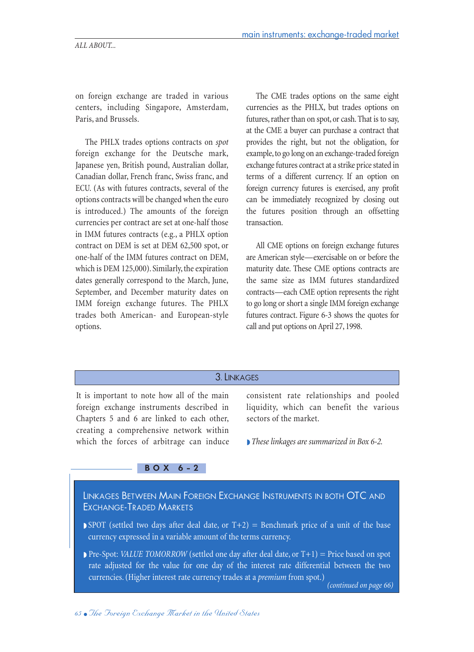on foreign exchange are traded in various centers, including Singapore, Amsterdam, Paris, and Brussels.

The PHLX trades options contracts on *spot* foreign exchange for the Deutsche mark, Japanese yen, British pound, Australian dollar, Canadian dollar, French franc, Swiss franc, and ECU. (As with futures contracts, several of the options contracts will be changed when the euro is introduced.) The amounts of the foreign currencies per contract are set at one-half those in IMM futures contracts (e.g., a PHLX option contract on DEM is set at DEM 62,500 spot, or one-half of the IMM futures contract on DEM, which is DEM 125,000). Similarly, the expiration dates generally correspond to the March, June, September, and December maturity dates on IMM foreign exchange futures. The PHLX trades both American- and European-style options.

The CME trades options on the same eight currencies as the PHLX, but trades options on futures, rather than on spot, or cash. That is to say, at the CME a buyer can purchase a contract that provides the right, but not the obligation, for example, to go long on an exchange-traded foreign exchange futures contract at a strike price stated in terms of a different currency. If an option on foreign currency futures is exercised, any profit can be immediately recognized by closing out the futures position through an offsetting transaction.

All CME options on foreign exchange futures are American style—exercisable on or before the maturity date. These CME options contracts are the same size as IMM futures standardized contracts—each CME option represents the right to go long or short a single IMM foreign exchange futures contract. Figure 6-3 shows the quotes for call and put options on April 27, 1998.

# 3. LINKAGES

It is important to note how all of the main foreign exchange instruments described in Chapters 5 and 6 are linked to each other, creating a comprehensive network within which the forces of arbitrage can induce consistent rate relationships and pooled liquidity, which can benefit the various sectors of the market.

◗ *These linkages are summarized in Box 6-2.*

#### **BOX 6-2**

LINKAGES BETWEEN MAIN FOREIGN EXCHANGE INSTRUMENTS IN BOTH OTC AND EXCHANGE-TRADED MARKETS

- $\blacktriangleright$  SPOT (settled two days after deal date, or T+2) = Benchmark price of a unit of the base currency expressed in a variable amount of the terms currency.
- ◗ Pre-Spot: *VALUE TOMORROW* (settled one day after deal date, or T+1) = Price based on spot rate adjusted for the value for one day of the interest rate differential between the two currencies. (Higher interest rate currency trades at a *premium* from spot.)

*(continued on page 66)*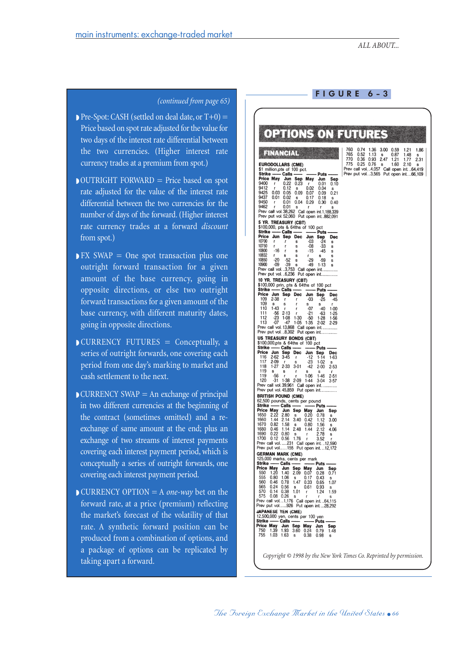*ALL ABOUT...*

**FIGURE 6-3**

#### *(continued from page 65)*

- $\rho$  Pre-Spot: CASH (settled on deal date, or T+0) = Price based on spot rate adjusted for the value for two days of the interest rate differential between the two currencies. (Higher interest rate currency trades at a premium from spot.)
- ◗ OUTRIGHT FORWARD = Price based on spot rate adjusted for the value of the interest rate differential between the two currencies for the number of days of the forward. (Higher interest rate currency trades at a forward *discount* from spot.)
- $\triangleright$  FX SWAP = One spot transaction plus one outright forward transaction for a given amount of the base currency, going in opposite directions, or else two outright forward transactions for a given amount of the base currency, with different maturity dates, going in opposite directions.
- ◗ CURRENCY FUTURES = Conceptually, a series of outright forwards, one covering each period from one day's marking to market and cash settlement to the next.
- $\triangle$  CURRENCY SWAP = An exchange of principal in two different currencies at the beginning of the contract (sometimes omitted) and a reexchange of same amount at the end; plus an exchange of two streams of interest payments covering each interest payment period, which is conceptually a series of outright forwards, one covering each interest payment period.
- ◗ CURRENCY OPTION = A *one-way* bet on the forward rate, at a price (premium) reflecting the market's forecast of the volatility of that rate. A synthetic forward position can be produced from a combination of options, and a package of options can be replicated by taking apart a forward.

|                         |                                                                                |                                           |                               | TI                          | 0                                                                                 |                                    | ETTI TITI : TEC   |                                                         |              |                        |              |                      |                   |
|-------------------------|--------------------------------------------------------------------------------|-------------------------------------------|-------------------------------|-----------------------------|-----------------------------------------------------------------------------------|------------------------------------|-------------------|---------------------------------------------------------|--------------|------------------------|--------------|----------------------|-------------------|
|                         | aninyan u                                                                      |                                           |                               |                             |                                                                                   |                                    | 760<br>765<br>770 | 0.74<br>0.52<br>0.36 0.93                               | 1.36<br>1.13 | 3.00 0.59<br>s<br>2.47 | 0.87<br>1.21 | 1.21<br>1.48<br>1.77 | 1.86<br>s<br>2.31 |
|                         | <b>EURODOLLARS (CME)</b><br>\$1 million, pts of 100 pct.                       |                                           |                               |                             |                                                                                   |                                    | 775               | 0.25 0.76<br>Prev call vol. 4,057 Call open int. 64,419 |              | $\mathbf{s}$           | 1.60         | 2.10                 | s                 |
| Strike —<br>9400        | Price May<br>$\mathbf{r}$                                                      | - Calls -<br>0.22                         | Jun Sep<br>0.23               | May<br>$\mathbf{r}$         | Puts<br>Jun                                                                       | Sep                                |                   | Prev put vol. 3,565 Put open int.  66,109               |              |                        |              |                      |                   |
| 9412<br>9425            | r                                                                              | 0.12<br>0.03 0.05                         | s<br>0.09                     | 0.02<br>0.07                | 0.01<br>0.04<br>0.09                                                              | 0.10<br>s<br>0.21                  |                   |                                                         |              |                        |              |                      |                   |
| 9437<br>9450            | 0.01<br>$\mathbf{r}$                                                           | 0.02<br>0.01                              | s                             | 0.17<br>$0.04$ 0.29         | 0.18<br>0.30                                                                      | s<br>0.40                          |                   |                                                         |              |                        |              |                      |                   |
| 9462                    |                                                                                | 0.01                                      | s                             | r                           | r<br>Prev call vol. 38,262 Call open int.1.188.339                                | s                                  |                   |                                                         |              |                        |              |                      |                   |
|                         | 5 YR. TREASURY (CBT)                                                           |                                           |                               |                             | Prev put vol. 52,060 Put open int. 882,091                                        |                                    |                   |                                                         |              |                        |              |                      |                   |
| Strike ·                | \$100,000, pts & 64ths of 100 pct                                              | — Calls -                                 |                               |                             | - Puts -                                                                          |                                    |                   |                                                         |              |                        |              |                      |                   |
| 10700                   | Price Jun Sep Dec<br>г                                                         | $\cdot$ r                                 | s                             | Jun<br>-03                  | Sep<br>$-24$                                                                      | Dec<br>s                           |                   |                                                         |              |                        |              |                      |                   |
| 10750<br>10800<br>10832 | r<br>$-16$<br>r.                                                               | $\mathsf{r}$<br>$\mathbf{r}$<br>s         | s<br>s<br>s                   | -08<br>$-15$<br>r.          | -33<br>-45<br>s                                                                   | s<br>s                             |                   |                                                         |              |                        |              |                      |                   |
| 10850<br>10900          | $-20$<br>$-09$                                                                 | $-52$<br>$-39$                            | s<br>s                        | $-29$<br>-49                | $-59$<br>$1 - 13$                                                                 | s<br>s<br>s                        |                   |                                                         |              |                        |              |                      |                   |
|                         |                                                                                |                                           |                               |                             | Prev call vol. 3,753 Call open int.<br>Prev put vol. 6,236 Put open int           |                                    |                   |                                                         |              |                        |              |                      |                   |
|                         | 10 YR. TREASURY (CBT)                                                          |                                           |                               |                             | \$100,000 prin, pts & 64ths of 100 pct                                            |                                    |                   |                                                         |              |                        |              |                      |                   |
| Strike —                | Price Jun Sep Dec                                                              | — Calls -                                 |                               | Jun                         | — Puts<br>Sep                                                                     | Dec                                |                   |                                                         |              |                        |              |                      |                   |
| 109<br>109              | $2 - 38$<br>s<br>$1-43$                                                        | r<br>s                                    | r<br>r                        | $-03$<br>s                  | $-25$<br>s                                                                        | $-45$<br>r                         |                   |                                                         |              |                        |              |                      |                   |
| 110<br>111<br>112       | -23                                                                            | $\mathbf{r}$<br>$-56$ 2-13<br>$1-08$      | $\mathbf{r}$<br>r<br>$1 - 30$ | $-07$<br>$-21$<br>-50       | $-40$<br>-63<br>$1-28$                                                            | $1 - 00$<br>$1 - 25$<br>$1-56$     |                   |                                                         |              |                        |              |                      |                   |
| 113                     | -07                                                                            | $-47$                                     | 1-05 1-35                     |                             | $2 - 02$<br>Prev call vol. 13,868 Call open int                                   | $2 - 29$                           |                   |                                                         |              |                        |              |                      |                   |
|                         | US TREASURY BONDS (CBT)                                                        |                                           |                               |                             | Prev put vol. 8,302 Put open int                                                  |                                    |                   |                                                         |              |                        |              |                      |                   |
|                         | \$100,000,pts & 64ths of 100 pct<br>Strike - Calls -                           |                                           |                               |                             | - Puts ·                                                                          |                                    |                   |                                                         |              |                        |              |                      |                   |
| Price<br>116            | 2-62                                                                           | Jun Sep Dec<br>$3-45$ r                   |                               | $-12$                       | Jun Sep<br>$1 - 14$                                                               | Dec<br>1-63                        |                   |                                                         |              |                        |              |                      |                   |
| 117<br>118              | $2 - 09$                                                                       | $\mathbf{r}$<br>1-27 2-33                 | s<br>$3 - 01$                 | -23<br>$-42$                | $1-02$<br>$2 - 00$                                                                | s<br>$2 - 53$                      |                   |                                                         |              |                        |              |                      |                   |
| 119<br>119<br>120       | s<br>-56                                                                       | s<br>$\mathbf{r}$<br>$-31$ 1-38 2-09 1-44 | $\mathbf r$<br>r              | s<br>$1-06$                 | s<br>$1-46$<br>3-04                                                               | $\mathbf{r}$<br>$2 - 51$<br>$3-57$ |                   |                                                         |              |                        |              |                      |                   |
|                         |                                                                                |                                           |                               |                             | Prev call vol. 39,961 Call open int<br>Prev put vol. 45,859 Put open int          |                                    |                   |                                                         |              |                        |              |                      |                   |
|                         | <b>BRITISH POUND (CME)</b><br>62,500 pounds, cents per pound                   |                                           |                               |                             |                                                                                   |                                    |                   |                                                         |              |                        |              |                      |                   |
| Strike -                | Price May                                                                      | — Calls —                                 | -- -<br>Jun Sep May           |                             | - Puts -<br>Jun                                                                   | Sep                                |                   |                                                         |              |                        |              |                      |                   |
| 1650<br>1660            | $2.22$ $2.80$                                                                  | 1.44 2.14 3.40 0.42                       | $\mathbf{s}$                  | 0.20                        | 0.78<br>1.12                                                                      | s<br>3.00                          |                   |                                                         |              |                        |              |                      |                   |
| 1670<br>1680            | 0.82<br>0.46                                                                   | 1.58<br>1.14                              | $\mathbf{s}$<br>2.48          | 0.80<br>1.44                | 1.56<br>2.12                                                                      | s<br>4.06                          |                   |                                                         |              |                        |              |                      |                   |
| 1690<br>1700            | 0.22<br>$0.12$ $0.56$                                                          | 0.80                                      | s<br>1.76                     | $\mathbf{r}$<br>$\mathsf r$ | 2.78<br>3.52                                                                      | s                                  |                   |                                                         |              |                        |              |                      |                   |
|                         |                                                                                |                                           |                               |                             | Prev call vol. 231 Call open int. 12,590<br>Prev put vol155 Put open int12,172    |                                    |                   |                                                         |              |                        |              |                      |                   |
|                         | <b>GERMAN MARK (CME)</b><br>125,000 marks, cents per mark<br>Strike —— Calls — |                                           | - -                           |                             | ----- Puts -                                                                      |                                    |                   |                                                         |              |                        |              |                      |                   |
| 550                     | Price May Jun<br>1.20                                                          | 1.40                                      | Son<br>2.09                   | May<br>0.07                 | Jun<br>0.28                                                                       | Se<br>0.71                         |                   |                                                         |              |                        |              |                      |                   |
| 555<br>560              | 0.80<br>0.46                                                                   | 1.06<br>0.78                              | s<br>1.47                     | 0.17<br>0.33                | 0.43<br>0.65                                                                      | s<br>1.07                          |                   |                                                         |              |                        |              |                      |                   |
| 565<br>570              | 0.24<br>0.14                                                                   | 0.56<br>0.38                              | s<br>1.01                     | 0.61<br>r                   | 0.93<br>1.24                                                                      | s<br>1.59                          |                   |                                                         |              |                        |              |                      |                   |
| 575                     | 0.08                                                                           | 0.26                                      | s                             | r                           | ŗ<br>Prev call vol1,176 Call open int64,115<br>Prev put vol926 Put open int28,292 | s                                  |                   |                                                         |              |                        |              |                      |                   |
|                         | JAPANESE YEN (CME)<br>12,500,000 yen, cents per 100 yen                        |                                           |                               |                             |                                                                                   |                                    |                   |                                                         |              |                        |              |                      |                   |
| Strike<br>Price May     |                                                                                | · Calls<br>Jun                            | Sep                           | May                         | Puts<br>Jun                                                                       | Sep                                |                   |                                                         |              |                        |              |                      |                   |
| 750<br>755              | 1.39<br>1.03                                                                   | 1.93<br>1.63                              | 3.60<br>s                     | 0.24<br>0.38                | 0.79<br>0.98                                                                      | 1.48<br>s                          |                   |                                                         |              |                        |              |                      |                   |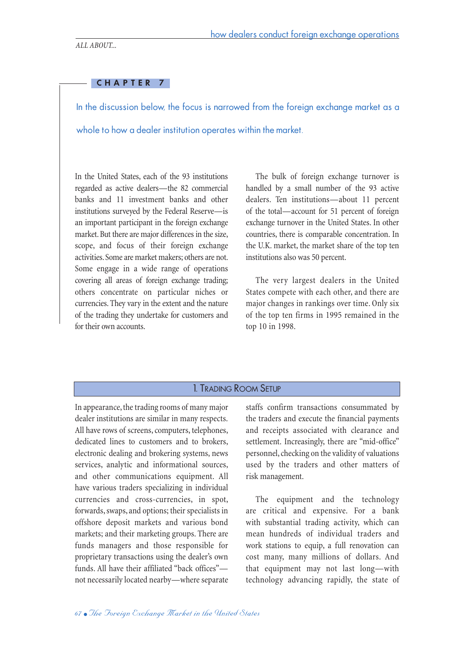# **CHAPTER 7**

In the discussion below, the focus is narrowed from the foreign exchange market as a whole to how a dealer institution operates within the market.

In the United States, each of the 93 institutions regarded as active dealers—the 82 commercial banks and 11 investment banks and other institutions surveyed by the Federal Reserve—is an important participant in the foreign exchange market. But there are major differences in the size, scope, and focus of their foreign exchange activities. Some are market makers; others are not. Some engage in a wide range of operations covering all areas of foreign exchange trading; others concentrate on particular niches or currencies. They vary in the extent and the nature of the trading they undertake for customers and for their own accounts.

The bulk of foreign exchange turnover is handled by a small number of the 93 active dealers. Ten institutions—about 11 percent of the total—account for 51 percent of foreign exchange turnover in the United States. In other countries, there is comparable concentration. In the U.K. market, the market share of the top ten institutions also was 50 percent.

The very largest dealers in the United States compete with each other, and there are major changes in rankings over time. Only six of the top ten firms in 1995 remained in the top 10 in 1998.

# 1. TRADING ROOM SETUP

In appearance, the trading rooms of many major dealer institutions are similar in many respects. All have rows of screens, computers, telephones, dedicated lines to customers and to brokers, electronic dealing and brokering systems, news services, analytic and informational sources, and other communications equipment. All have various traders specializing in individual currencies and cross-currencies, in spot, forwards, swaps, and options; their specialists in offshore deposit markets and various bond markets; and their marketing groups. There are funds managers and those responsible for proprietary transactions using the dealer's own funds. All have their affiliated "back offices" not necessarily located nearby—where separate

staffs confirm transactions consummated by the traders and execute the financial payments and receipts associated with clearance and settlement. Increasingly, there are "mid-office" personnel, checking on the validity of valuations used by the traders and other matters of risk management.

The equipment and the technology are critical and expensive. For a bank with substantial trading activity, which can mean hundreds of individual traders and work stations to equip, a full renovation can cost many, many millions of dollars. And that equipment may not last long—with technology advancing rapidly, the state of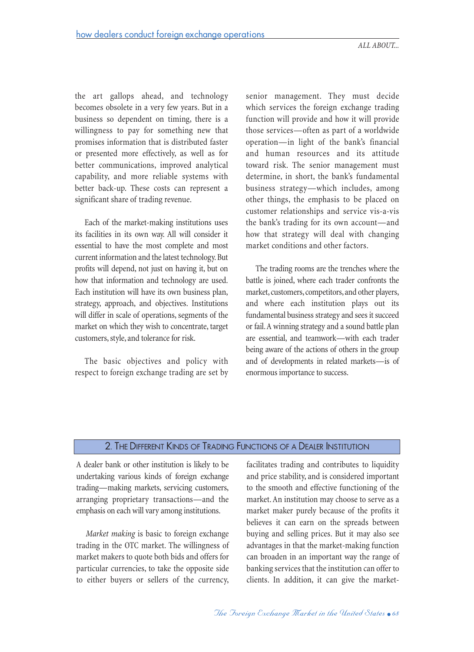the art gallops ahead, and technology becomes obsolete in a very few years. But in a business so dependent on timing, there is a willingness to pay for something new that promises information that is distributed faster or presented more effectively, as well as for better communications, improved analytical capability, and more reliable systems with better back-up. These costs can represent a significant share of trading revenue.

Each of the market-making institutions uses its facilities in its own way. All will consider it essential to have the most complete and most current information and the latest technology. But profits will depend, not just on having it, but on how that information and technology are used. Each institution will have its own business plan, strategy, approach, and objectives. Institutions will differ in scale of operations, segments of the market on which they wish to concentrate, target customers, style, and tolerance for risk.

The basic objectives and policy with respect to foreign exchange trading are set by senior management. They must decide which services the foreign exchange trading function will provide and how it will provide those services—often as part of a worldwide operation—in light of the bank's financial and human resources and its attitude toward risk. The senior management must determine, in short, the bank's fundamental business strategy—which includes, among other things, the emphasis to be placed on customer relationships and service vis-a-vis the bank's trading for its own account—and how that strategy will deal with changing market conditions and other factors.

The trading rooms are the trenches where the battle is joined, where each trader confronts the market, customers, competitors, and other players, and where each institution plays out its fundamental business strategy and sees it succeed or fail.A winning strategy and a sound battle plan are essential, and teamwork—with each trader being aware of the actions of others in the group and of developments in related markets—is of enormous importance to success.

# 2. THE DIFFERENT KINDS OF TRADING FUNCTIONS OF A DEALER INSTITUTION

A dealer bank or other institution is likely to be undertaking various kinds of foreign exchange trading—making markets, servicing customers, arranging proprietary transactions—and the emphasis on each will vary among institutions.

*Market making* is basic to foreign exchange trading in the OTC market. The willingness of market makers to quote both bids and offers for particular currencies, to take the opposite side to either buyers or sellers of the currency, facilitates trading and contributes to liquidity and price stability, and is considered important to the smooth and effective functioning of the market. An institution may choose to serve as a market maker purely because of the profits it believes it can earn on the spreads between buying and selling prices. But it may also see advantages in that the market-making function can broaden in an important way the range of banking services that the institution can offer to clients. In addition, it can give the market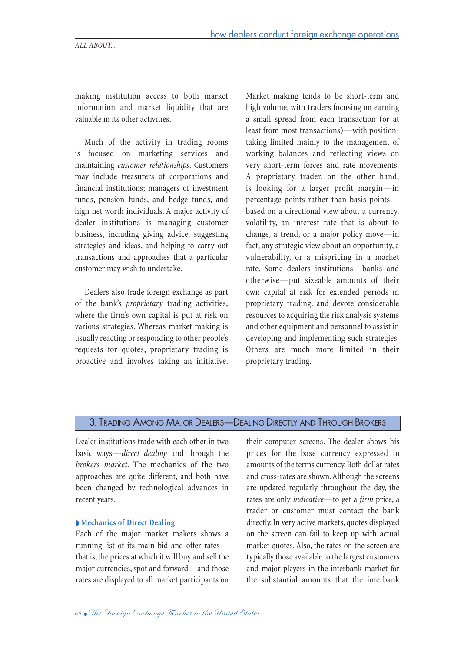making institution access to both market information and market liquidity that are valuable in its other activities.

Much of the activity in trading rooms is focused on marketing services and maintaining *customer relationships*. Customers may include treasurers of corporations and financial institutions; managers of investment funds, pension funds, and hedge funds, and high net worth individuals. A major activity of dealer institutions is managing customer business, including giving advice, suggesting strategies and ideas, and helping to carry out transactions and approaches that a particular customer may wish to undertake.

Dealers also trade foreign exchange as part of the bank's *proprietary* trading activities, where the firm's own capital is put at risk on various strategies. Whereas market making is usually reacting or responding to other people's requests for quotes, proprietary trading is proactive and involves taking an initiative.

Market making tends to be short-term and high volume, with traders focusing on earning a small spread from each transaction (or at least from most transactions)—with positiontaking limited mainly to the management of working balances and reflecting views on very short-term forces and rate movements. A proprietary trader, on the other hand, is looking for a larger profit margin—in percentage points rather than basis points based on a directional view about a currency, volatility, an interest rate that is about to change, a trend, or a major policy move—in fact, any strategic view about an opportunity, a vulnerability, or a mispricing in a market rate. Some dealers institutions—banks and otherwise—put sizeable amounts of their own capital at risk for extended periods in proprietary trading, and devote considerable resources to acquiring the risk analysis systems and other equipment and personnel to assist in developing and implementing such strategies. Others are much more limited in their proprietary trading.

# 3. TRADING AMONG MAJOR DEALERS—DEALING DIRECTLY AND THROUGH BROKERS

Dealer institutions trade with each other in two basic ways—*direct dealing* and through the *brokers market*. The mechanics of the two approaches are quite different, and both have been changed by technological advances in recent years.

#### ◗ **Mechanics of Direct Dealing**

Each of the major market makers shows a running list of its main bid and offer rates that is, the prices at which it will buy and sell the major currencies, spot and forward—and those rates are displayed to all market participants on their computer screens. The dealer shows his prices for the base currency expressed in amounts of the terms currency. Both dollar rates and cross-rates are shown. Although the screens are updated regularly throughout the day, the rates are only *indicative*—to get a *firm* price, a trader or customer must contact the bank directly. In very active markets, quotes displayed on the screen can fail to keep up with actual market quotes. Also, the rates on the screen are typically those available to the largest customers and major players in the interbank market for the substantial amounts that the interbank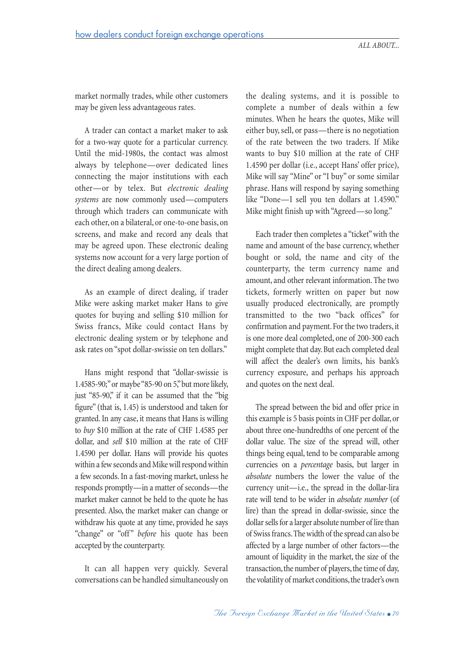market normally trades, while other customers may be given less advantageous rates.

A trader can contact a market maker to ask for a two-way quote for a particular currency. Until the mid-1980s, the contact was almost always by telephone—over dedicated lines connecting the major institutions with each other—or by telex. But *electronic dealing systems* are now commonly used—computers through which traders can communicate with each other, on a bilateral, or one-to-one basis, on screens, and make and record any deals that may be agreed upon. These electronic dealing systems now account for a very large portion of the direct dealing among dealers.

As an example of direct dealing, if trader Mike were asking market maker Hans to give quotes for buying and selling \$10 million for Swiss francs, Mike could contact Hans by electronic dealing system or by telephone and ask rates on "spot dollar-swissie on ten dollars."

Hans might respond that "dollar-swissie is 1.4585-90;"or maybe "85-90 on 5,"but more likely, just "85-90," if it can be assumed that the "big figure" (that is, 1.45) is understood and taken for granted. In any case, it means that Hans is willing to *buy* \$10 million at the rate of CHF 1.4585 per dollar, and *sell* \$10 million at the rate of CHF 1.4590 per dollar. Hans will provide his quotes within a few seconds and Mike will respond within a few seconds. In a fast-moving market, unless he responds promptly—in a matter of seconds—the market maker cannot be held to the quote he has presented. Also, the market maker can change or withdraw his quote at any time, provided he says "change" or "off" *before* his quote has been accepted by the counterparty.

It can all happen very quickly. Several conversations can be handled simultaneously on

the dealing systems, and it is possible to complete a number of deals within a few minutes. When he hears the quotes, Mike will either buy, sell, or pass—there is no negotiation of the rate between the two traders. If Mike wants to buy \$10 million at the rate of CHF 1.4590 per dollar (i.e., accept Hans' offer price), Mike will say "Mine" or "I buy" or some similar phrase. Hans will respond by saying something like "Done—I sell you ten dollars at 1.4590." Mike might finish up with "Agreed—so long."

Each trader then completes a "ticket" with the name and amount of the base currency, whether bought or sold, the name and city of the counterparty, the term currency name and amount, and other relevant information. The two tickets, formerly written on paper but now usually produced electronically, are promptly transmitted to the two "back offices" for confirmation and payment. For the two traders, it is one more deal completed, one of 200-300 each might complete that day. But each completed deal will affect the dealer's own limits, his bank's currency exposure, and perhaps his approach and quotes on the next deal.

The spread between the bid and offer price in this example is 5 basis points in CHF per dollar, or about three one-hundredths of one percent of the dollar value. The size of the spread will, other things being equal, tend to be comparable among currencies on a *percentage* basis, but larger in *absolute* numbers the lower the value of the currency unit—i.e., the spread in the dollar-lira rate will tend to be wider in *absolute number* (of lire) than the spread in dollar-swissie, since the dollar sells for a larger absolute number of lire than of Swiss francs.The width of the spread can also be affected by a large number of other factors—the amount of liquidity in the market, the size of the transaction, the number of players, the time of day, the volatility of market conditions, the trader's own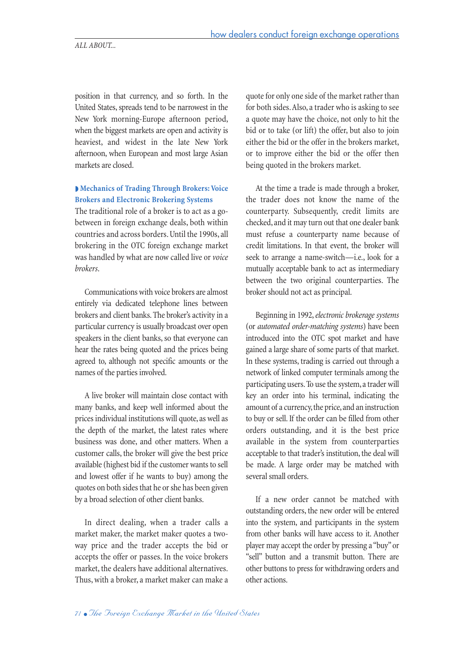position in that currency, and so forth. In the United States, spreads tend to be narrowest in the New York morning-Europe afternoon period, when the biggest markets are open and activity is heaviest, and widest in the late New York afternoon, when European and most large Asian markets are closed.

# ◗ **Mechanics of Trading Through Brokers: Voice Brokers and Electronic Brokering Systems**

The traditional role of a broker is to act as a gobetween in foreign exchange deals, both within countries and across borders. Until the 1990s, all brokering in the OTC foreign exchange market was handled by what are now called live or *voice brokers*.

Communications with voice brokers are almost entirely via dedicated telephone lines between brokers and client banks. The broker's activity in a particular currency is usually broadcast over open speakers in the client banks, so that everyone can hear the rates being quoted and the prices being agreed to, although not specific amounts or the names of the parties involved.

A live broker will maintain close contact with many banks, and keep well informed about the prices individual institutions will quote, as well as the depth of the market, the latest rates where business was done, and other matters. When a customer calls, the broker will give the best price available (highest bid if the customer wants to sell and lowest offer if he wants to buy) among the quotes on both sides that he or she has been given by a broad selection of other client banks.

In direct dealing, when a trader calls a market maker, the market maker quotes a twoway price and the trader accepts the bid or accepts the offer or passes. In the voice brokers market, the dealers have additional alternatives. Thus, with a broker, a market maker can make a quote for only one side of the market rather than for both sides.Also, a trader who is asking to see a quote may have the choice, not only to hit the bid or to take (or lift) the offer, but also to join either the bid or the offer in the brokers market, or to improve either the bid or the offer then being quoted in the brokers market.

At the time a trade is made through a broker, the trader does not know the name of the counterparty. Subsequently, credit limits are checked, and it may turn out that one dealer bank must refuse a counterparty name because of credit limitations. In that event, the broker will seek to arrange a name-switch—i.e., look for a mutually acceptable bank to act as intermediary between the two original counterparties. The broker should not act as principal.

Beginning in 1992,*electronic brokerage systems* (or *automated order-matching systems*) have been introduced into the OTC spot market and have gained a large share of some parts of that market. In these systems, trading is carried out through a network of linked computer terminals among the participating users. To use the system, a trader will key an order into his terminal, indicating the amount of a currency, the price, and an instruction to buy or sell. If the order can be filled from other orders outstanding, and it is the best price available in the system from counterparties acceptable to that trader's institution, the deal will be made. A large order may be matched with several small orders.

If a new order cannot be matched with outstanding orders, the new order will be entered into the system, and participants in the system from other banks will have access to it. Another player may accept the order by pressing a "buy" or "sell" button and a transmit button. There are other buttons to press for withdrawing orders and other actions.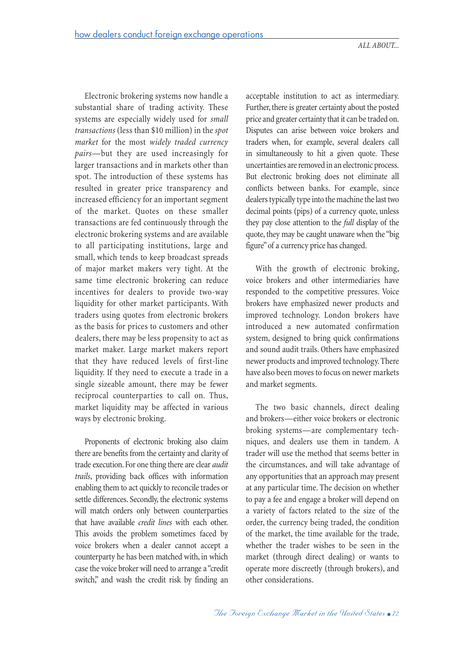Electronic brokering systems now handle a substantial share of trading activity. These systems are especially widely used for *small transactions* (less than \$10 million) in the *spot market* for the most *widely traded currency pairs*—but they are used increasingly for larger transactions and in markets other than spot. The introduction of these systems has resulted in greater price transparency and increased efficiency for an important segment of the market. Quotes on these smaller transactions are fed continuously through the electronic brokering systems and are available to all participating institutions, large and small, which tends to keep broadcast spreads of major market makers very tight. At the same time electronic brokering can reduce incentives for dealers to provide two-way liquidity for other market participants. With traders using quotes from electronic brokers as the basis for prices to customers and other dealers, there may be less propensity to act as market maker. Large market makers report that they have reduced levels of first-line liquidity. If they need to execute a trade in a single sizeable amount, there may be fewer reciprocal counterparties to call on. Thus, market liquidity may be affected in various ways by electronic broking.

Proponents of electronic broking also claim there are benefits from the certainty and clarity of trade execution. For one thing there are clear *audit trails*, providing back offices with information enabling them to act quickly to reconcile trades or settle differences. Secondly, the electronic systems will match orders only between counterparties that have available *credit lines* with each other. This avoids the problem sometimes faced by voice brokers when a dealer cannot accept a counterparty he has been matched with, in which case the voice broker will need to arrange a "credit switch," and wash the credit risk by finding an

acceptable institution to act as intermediary. Further, there is greater certainty about the posted price and greater certainty that it can be traded on. Disputes can arise between voice brokers and traders when, for example, several dealers call in simultaneously to hit a given quote. These uncertainties are removed in an electronic process. But electronic broking does not eliminate all conflicts between banks. For example, since dealers typically type into the machine the last two decimal points (pips) of a currency quote, unless they pay close attention to the *full* display of the quote, they may be caught unaware when the "big figure" of a currency price has changed.

With the growth of electronic broking, voice brokers and other intermediaries have responded to the competitive pressures. Voice brokers have emphasized newer products and improved technology. London brokers have introduced a new automated confirmation system, designed to bring quick confirmations and sound audit trails. Others have emphasized newer products and improved technology. There have also been moves to focus on newer markets and market segments.

The two basic channels, direct dealing and brokers—either voice brokers or electronic broking systems—are complementary techniques, and dealers use them in tandem. A trader will use the method that seems better in the circumstances, and will take advantage of any opportunities that an approach may present at any particular time. The decision on whether to pay a fee and engage a broker will depend on a variety of factors related to the size of the order, the currency being traded, the condition of the market, the time available for the trade, whether the trader wishes to be seen in the market (through direct dealing) or wants to operate more discreetly (through brokers), and other considerations.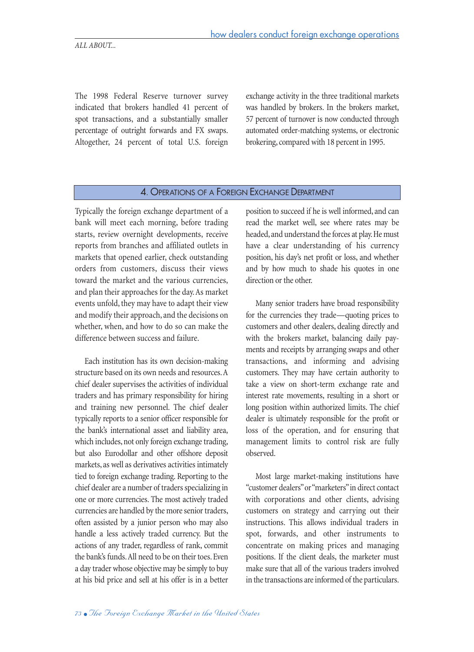The 1998 Federal Reserve turnover survey indicated that brokers handled 41 percent of spot transactions, and a substantially smaller percentage of outright forwards and FX swaps. Altogether, 24 percent of total U.S. foreign

exchange activity in the three traditional markets was handled by brokers. In the brokers market, 57 percent of turnover is now conducted through automated order-matching systems, or electronic brokering, compared with 18 percent in 1995.

# 4. OPERATIONS OF A FOREIGN EXCHANGE DEPARTMENT

Typically the foreign exchange department of a bank will meet each morning, before trading starts, review overnight developments, receive reports from branches and affiliated outlets in markets that opened earlier, check outstanding orders from customers, discuss their views toward the market and the various currencies, and plan their approaches for the day.As market events unfold, they may have to adapt their view and modify their approach, and the decisions on whether, when, and how to do so can make the difference between success and failure.

Each institution has its own decision-making structure based on its own needs and resources.A chief dealer supervises the activities of individual traders and has primary responsibility for hiring and training new personnel. The chief dealer typically reports to a senior officer responsible for the bank's international asset and liability area, which includes, not only foreign exchange trading, but also Eurodollar and other offshore deposit markets, as well as derivatives activities intimately tied to foreign exchange trading. Reporting to the chief dealer are a number of traders specializing in one or more currencies. The most actively traded currencies are handled by the more senior traders, often assisted by a junior person who may also handle a less actively traded currency. But the actions of any trader, regardless of rank, commit the bank's funds.All need to be on their toes. Even a day trader whose objective may be simply to buy at his bid price and sell at his offer is in a better

position to succeed if he is well informed, and can read the market well, see where rates may be headed, and understand the forces at play. He must have a clear understanding of his currency position, his day's net profit or loss, and whether and by how much to shade his quotes in one direction or the other.

Many senior traders have broad responsibility for the currencies they trade—quoting prices to customers and other dealers, dealing directly and with the brokers market, balancing daily payments and receipts by arranging swaps and other transactions, and informing and advising customers. They may have certain authority to take a view on short-term exchange rate and interest rate movements, resulting in a short or long position within authorized limits. The chief dealer is ultimately responsible for the profit or loss of the operation, and for ensuring that management limits to control risk are fully observed.

Most large market-making institutions have "customer dealers"or "marketers"in direct contact with corporations and other clients, advising customers on strategy and carrying out their instructions. This allows individual traders in spot, forwards, and other instruments to concentrate on making prices and managing positions. If the client deals, the marketer must make sure that all of the various traders involved in the transactions are informed of the particulars.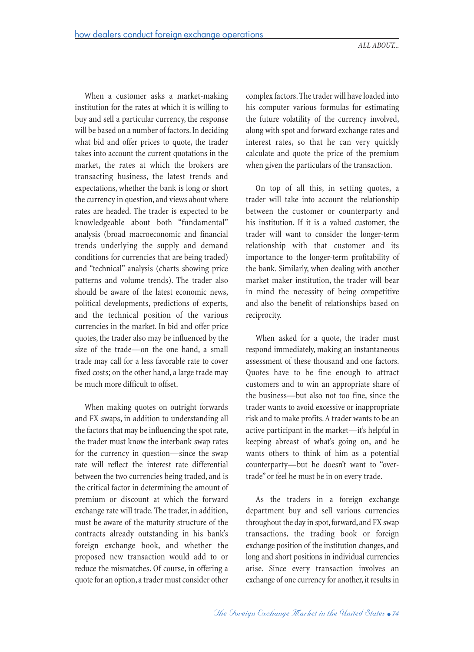When a customer asks a market-making institution for the rates at which it is willing to buy and sell a particular currency, the response will be based on a number of factors. In deciding what bid and offer prices to quote, the trader takes into account the current quotations in the market, the rates at which the brokers are transacting business, the latest trends and expectations, whether the bank is long or short the currency in question, and views about where rates are headed. The trader is expected to be knowledgeable about both "fundamental" analysis (broad macroeconomic and financial trends underlying the supply and demand conditions for currencies that are being traded) and "technical" analysis (charts showing price patterns and volume trends). The trader also should be aware of the latest economic news, political developments, predictions of experts, and the technical position of the various currencies in the market. In bid and offer price quotes, the trader also may be influenced by the size of the trade—on the one hand, a small trade may call for a less favorable rate to cover fixed costs; on the other hand, a large trade may be much more difficult to offset.

When making quotes on outright forwards and FX swaps, in addition to understanding all the factors that may be influencing the spot rate, the trader must know the interbank swap rates for the currency in question—since the swap rate will reflect the interest rate differential between the two currencies being traded, and is the critical factor in determining the amount of premium or discount at which the forward exchange rate will trade. The trader, in addition, must be aware of the maturity structure of the contracts already outstanding in his bank's foreign exchange book, and whether the proposed new transaction would add to or reduce the mismatches. Of course, in offering a quote for an option, a trader must consider other

complex factors. The trader will have loaded into his computer various formulas for estimating the future volatility of the currency involved, along with spot and forward exchange rates and interest rates, so that he can very quickly calculate and quote the price of the premium when given the particulars of the transaction.

On top of all this, in setting quotes, a trader will take into account the relationship between the customer or counterparty and his institution. If it is a valued customer, the trader will want to consider the longer-term relationship with that customer and its importance to the longer-term profitability of the bank. Similarly, when dealing with another market maker institution, the trader will bear in mind the necessity of being competitive and also the benefit of relationships based on reciprocity.

When asked for a quote, the trader must respond immediately, making an instantaneous assessment of these thousand and one factors. Quotes have to be fine enough to attract customers and to win an appropriate share of the business—but also not too fine, since the trader wants to avoid excessive or inappropriate risk and to make profits. A trader wants to be an active participant in the market—it's helpful in keeping abreast of what's going on, and he wants others to think of him as a potential counterparty—but he doesn't want to "overtrade" or feel he must be in on every trade.

As the traders in a foreign exchange department buy and sell various currencies throughout the day in spot, forward, and FX swap transactions, the trading book or foreign exchange position of the institution changes, and long and short positions in individual currencies arise. Since every transaction involves an exchange of one currency for another, it results in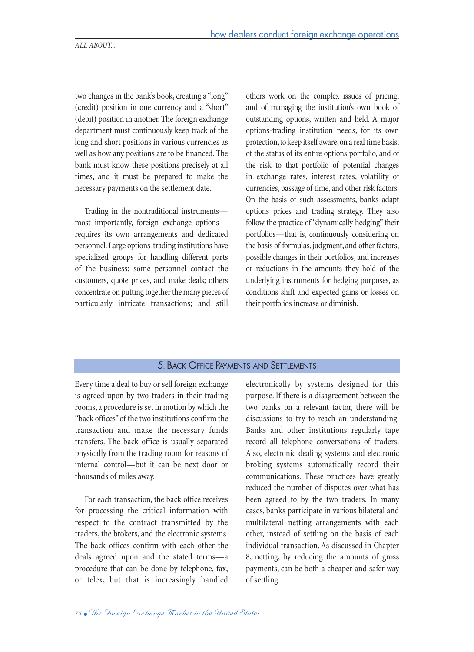two changes in the bank's book, creating a "long" (credit) position in one currency and a "short" (debit) position in another. The foreign exchange department must continuously keep track of the long and short positions in various currencies as well as how any positions are to be financed. The bank must know these positions precisely at all times, and it must be prepared to make the necessary payments on the settlement date.

Trading in the nontraditional instruments most importantly, foreign exchange options requires its own arrangements and dedicated personnel. Large options-trading institutions have specialized groups for handling different parts of the business: some personnel contact the customers, quote prices, and make deals; others concentrate on putting together the many pieces of particularly intricate transactions; and still

others work on the complex issues of pricing, and of managing the institution's own book of outstanding options, written and held. A major options-trading institution needs, for its own protection, to keep itself aware, on a real time basis, of the status of its entire options portfolio, and of the risk to that portfolio of potential changes in exchange rates, interest rates, volatility of currencies, passage of time, and other risk factors. On the basis of such assessments, banks adapt options prices and trading strategy. They also follow the practice of "dynamically hedging" their portfolios—that is, continuously considering on the basis of formulas, judgment, and other factors, possible changes in their portfolios, and increases or reductions in the amounts they hold of the underlying instruments for hedging purposes, as conditions shift and expected gains or losses on their portfolios increase or diminish.

# 5. BACK OFFICE PAYMENTS AND SETTLEMENTS

Every time a deal to buy or sell foreign exchange is agreed upon by two traders in their trading rooms, a procedure is set in motion by which the "back offices"of the two institutions confirm the transaction and make the necessary funds transfers. The back office is usually separated physically from the trading room for reasons of internal control—but it can be next door or thousands of miles away.

For each transaction, the back office receives for processing the critical information with respect to the contract transmitted by the traders, the brokers, and the electronic systems. The back offices confirm with each other the deals agreed upon and the stated terms—a procedure that can be done by telephone, fax, or telex, but that is increasingly handled electronically by systems designed for this purpose. If there is a disagreement between the two banks on a relevant factor, there will be discussions to try to reach an understanding. Banks and other institutions regularly tape record all telephone conversations of traders. Also, electronic dealing systems and electronic broking systems automatically record their communications. These practices have greatly reduced the number of disputes over what has been agreed to by the two traders. In many cases, banks participate in various bilateral and multilateral netting arrangements with each other, instead of settling on the basis of each individual transaction. As discussed in Chapter 8, netting, by reducing the amounts of gross payments, can be both a cheaper and safer way of settling.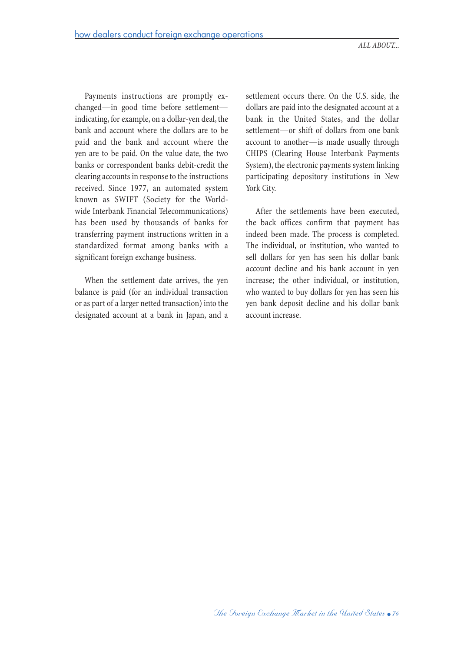Payments instructions are promptly exchanged—in good time before settlement indicating, for example, on a dollar-yen deal, the bank and account where the dollars are to be paid and the bank and account where the yen are to be paid. On the value date, the two banks or correspondent banks debit-credit the clearing accounts in response to the instructions received. Since 1977, an automated system known as SWIFT (Society for the Worldwide Interbank Financial Telecommunications) has been used by thousands of banks for transferring payment instructions written in a standardized format among banks with a significant foreign exchange business.

When the settlement date arrives, the yen balance is paid (for an individual transaction or as part of a larger netted transaction) into the designated account at a bank in Japan, and a

settlement occurs there. On the U.S. side, the dollars are paid into the designated account at a bank in the United States, and the dollar settlement—or shift of dollars from one bank account to another—is made usually through CHIPS (Clearing House Interbank Payments System), the electronic payments system linking participating depository institutions in New York City.

After the settlements have been executed, the back offices confirm that payment has indeed been made. The process is completed. The individual, or institution, who wanted to sell dollars for yen has seen his dollar bank account decline and his bank account in yen increase; the other individual, or institution, who wanted to buy dollars for yen has seen his yen bank deposit decline and his dollar bank account increase.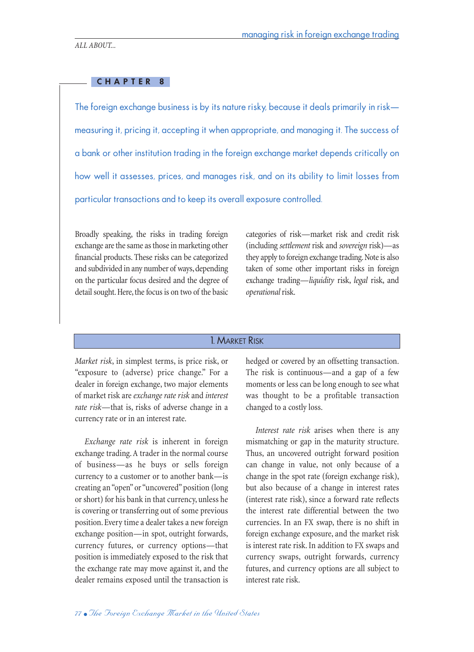# **CHAPTER 8**

The foreign exchange business is by its nature risky, because it deals primarily in risk measuring it, pricing it, accepting it when appropriate, and managing it. The success of a bank or other institution trading in the foreign exchange market depends critically on how well it assesses, prices, and manages risk, and on its ability to limit losses from particular transactions and to keep its overall exposure controlled.

Broadly speaking, the risks in trading foreign exchange are the same as those in marketing other financial products. These risks can be categorized and subdivided in any number of ways, depending on the particular focus desired and the degree of detail sought. Here, the focus is on two of the basic

categories of risk—market risk and credit risk (including *settlement* risk and *sovereign* risk)—as they apply to foreign exchange trading.Note is also taken of some other important risks in foreign exchange trading—*liquidity* risk, *legal* risk, and *operational* risk.

## 1. MARKET RISK

*Market risk*, in simplest terms, is price risk, or "exposure to (adverse) price change." For a dealer in foreign exchange, two major elements of market risk are*exchange rate risk* and *interest rate risk*—that is, risks of adverse change in a currency rate or in an interest rate.

*Exchange rate risk* is inherent in foreign exchange trading. A trader in the normal course of business—as he buys or sells foreign currency to a customer or to another bank—is creating an "open" or "uncovered" position (long or short) for his bank in that currency, unless he is covering or transferring out of some previous position. Every time a dealer takes a new foreign exchange position—in spot, outright forwards, currency futures, or currency options—that position is immediately exposed to the risk that the exchange rate may move against it, and the dealer remains exposed until the transaction is

hedged or covered by an offsetting transaction. The risk is continuous—and a gap of a few moments or less can be long enough to see what was thought to be a profitable transaction changed to a costly loss.

*Interest rate risk* arises when there is any mismatching or gap in the maturity structure. Thus, an uncovered outright forward position can change in value, not only because of a change in the spot rate (foreign exchange risk), but also because of a change in interest rates (interest rate risk), since a forward rate reflects the interest rate differential between the two currencies. In an FX swap, there is no shift in foreign exchange exposure, and the market risk is interest rate risk. In addition to FX swaps and currency swaps, outright forwards, currency futures, and currency options are all subject to interest rate risk.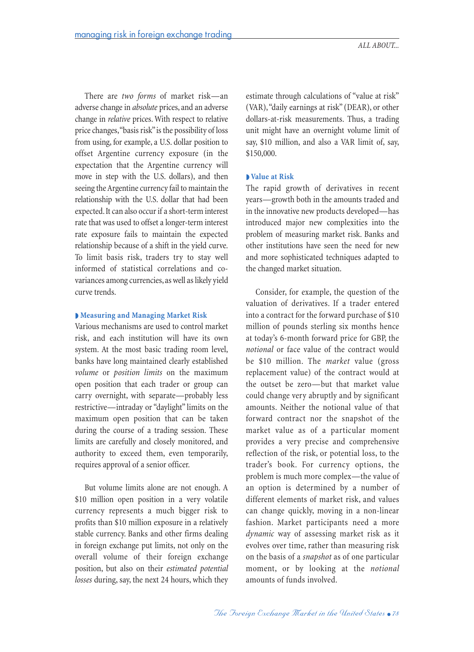There are *two forms* of market risk—an adverse change in *absolute* prices, and an adverse change in *relative* prices. With respect to relative price changes,"basis risk"is the possibility of loss from using, for example, a U.S. dollar position to offset Argentine currency exposure (in the expectation that the Argentine currency will move in step with the U.S. dollars), and then seeing the Argentine currency fail to maintain the relationship with the U.S. dollar that had been expected. It can also occur if a short-term interest rate that was used to offset a longer-term interest rate exposure fails to maintain the expected relationship because of a shift in the yield curve. To limit basis risk, traders try to stay well informed of statistical correlations and covariances among currencies, as well as likely yield curve trends.

## ◗ **Measuring and Managing Market Risk**

Various mechanisms are used to control market risk, and each institution will have its own system. At the most basic trading room level, banks have long maintained clearly established *volume* or *position limits* on the maximum open position that each trader or group can carry overnight, with separate—probably less restrictive—intraday or "daylight" limits on the maximum open position that can be taken during the course of a trading session. These limits are carefully and closely monitored, and authority to exceed them, even temporarily, requires approval of a senior officer.

But volume limits alone are not enough. A \$10 million open position in a very volatile currency represents a much bigger risk to profits than \$10 million exposure in a relatively stable currency. Banks and other firms dealing in foreign exchange put limits, not only on the overall volume of their foreign exchange position, but also on their *estimated potential losses* during, say, the next 24 hours, which they

estimate through calculations of "value at risk" (VAR), "daily earnings at risk" (DEAR), or other dollars-at-risk measurements. Thus, a trading unit might have an overnight volume limit of say, \$10 million, and also a VAR limit of, say, \$150,000.

### ◗ **Value at Risk**

The rapid growth of derivatives in recent years—growth both in the amounts traded and in the innovative new products developed—has introduced major new complexities into the problem of measuring market risk. Banks and other institutions have seen the need for new and more sophisticated techniques adapted to the changed market situation.

Consider, for example, the question of the valuation of derivatives. If a trader entered into a contract for the forward purchase of \$10 million of pounds sterling six months hence at today's 6-month forward price for GBP, the *notional* or face value of the contract would be \$10 million. The *market* value (gross replacement value) of the contract would at the outset be zero—but that market value could change very abruptly and by significant amounts. Neither the notional value of that forward contract nor the snapshot of the market value as of a particular moment provides a very precise and comprehensive reflection of the risk, or potential loss, to the trader's book. For currency options, the problem is much more complex—the value of an option is determined by a number of different elements of market risk, and values can change quickly, moving in a non-linear fashion. Market participants need a more *dynamic* way of assessing market risk as it evolves over time, rather than measuring risk on the basis of a *snapshot* as of one particular moment, or by looking at the *notional* amounts of funds involved.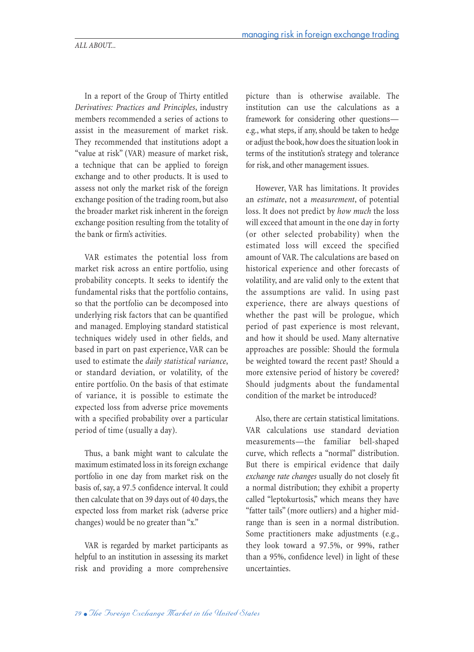In a report of the Group of Thirty entitled *Derivatives: Practices and Principles*, industry members recommended a series of actions to assist in the measurement of market risk. They recommended that institutions adopt a "value at risk" (VAR) measure of market risk, a technique that can be applied to foreign exchange and to other products. It is used to assess not only the market risk of the foreign exchange position of the trading room, but also the broader market risk inherent in the foreign exchange position resulting from the totality of the bank or firm's activities.

VAR estimates the potential loss from market risk across an entire portfolio, using probability concepts. It seeks to identify the fundamental risks that the portfolio contains, so that the portfolio can be decomposed into underlying risk factors that can be quantified and managed. Employing standard statistical techniques widely used in other fields, and based in part on past experience, VAR can be used to estimate the *daily statistical variance*, or standard deviation, or volatility, of the entire portfolio. On the basis of that estimate of variance, it is possible to estimate the expected loss from adverse price movements with a specified probability over a particular period of time (usually a day).

Thus, a bank might want to calculate the maximum estimated loss in its foreign exchange portfolio in one day from market risk on the basis of, say, a 97.5 confidence interval. It could then calculate that on 39 days out of 40 days, the expected loss from market risk (adverse price changes) would be no greater than "x."

VAR is regarded by market participants as helpful to an institution in assessing its market risk and providing a more comprehensive

picture than is otherwise available. The institution can use the calculations as a framework for considering other questions e.g., what steps, if any, should be taken to hedge or adjust the book, how does the situation look in terms of the institution's strategy and tolerance for risk, and other management issues.

However, VAR has limitations. It provides an *estimate*, not a *measurement*, of potential loss. It does not predict by *how much* the loss will exceed that amount in the one day in forty (or other selected probability) when the estimated loss will exceed the specified amount of VAR. The calculations are based on historical experience and other forecasts of volatility, and are valid only to the extent that the assumptions are valid. In using past experience, there are always questions of whether the past will be prologue, which period of past experience is most relevant, and how it should be used. Many alternative approaches are possible: Should the formula be weighted toward the recent past? Should a more extensive period of history be covered? Should judgments about the fundamental condition of the market be introduced?

Also, there are certain statistical limitations. VAR calculations use standard deviation measurements—the familiar bell-shaped curve, which reflects a "normal" distribution. But there is empirical evidence that daily *exchange rate changes* usually do not closely fit a normal distribution; they exhibit a property called "leptokurtosis," which means they have "fatter tails" (more outliers) and a higher midrange than is seen in a normal distribution. Some practitioners make adjustments (e.g., they look toward a 97.5%, or 99%, rather than a 95%, confidence level) in light of these uncertainties.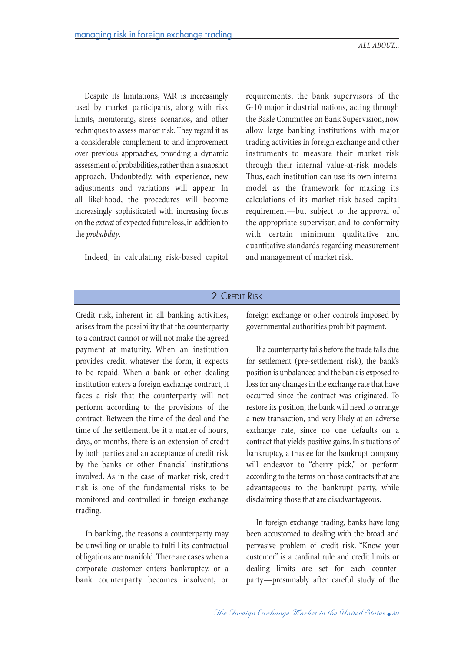Despite its limitations, VAR is increasingly used by market participants, along with risk limits, monitoring, stress scenarios, and other techniques to assess market risk. They regard it as a considerable complement to and improvement over previous approaches, providing a dynamic assessment of probabilities, rather than a snapshot approach. Undoubtedly, with experience, new adjustments and variations will appear. In all likelihood, the procedures will become increasingly sophisticated with increasing focus on the *extent* of expected future loss, in addition to the *probability*.

Indeed, in calculating risk-based capital

requirements, the bank supervisors of the G-10 major industrial nations, acting through the Basle Committee on Bank Supervision, now allow large banking institutions with major trading activities in foreign exchange and other instruments to measure their market risk through their internal value-at-risk models. Thus, each institution can use its own internal model as the framework for making its calculations of its market risk-based capital requirement—but subject to the approval of the appropriate supervisor, and to conformity with certain minimum qualitative and quantitative standards regarding measurement and management of market risk.

### 2. CREDIT RISK

Credit risk, inherent in all banking activities, arises from the possibility that the counterparty to a contract cannot or will not make the agreed payment at maturity. When an institution provides credit, whatever the form, it expects to be repaid. When a bank or other dealing institution enters a foreign exchange contract, it faces a risk that the counterparty will not perform according to the provisions of the contract. Between the time of the deal and the time of the settlement, be it a matter of hours, days, or months, there is an extension of credit by both parties and an acceptance of credit risk by the banks or other financial institutions involved. As in the case of market risk, credit risk is one of the fundamental risks to be monitored and controlled in foreign exchange trading.

In banking, the reasons a counterparty may be unwilling or unable to fulfill its contractual obligations are manifold. There are cases when a corporate customer enters bankruptcy, or a bank counterparty becomes insolvent, or

foreign exchange or other controls imposed by governmental authorities prohibit payment.

If a counterparty fails before the trade falls due for settlement (pre-settlement risk), the bank's position is unbalanced and the bank is exposed to loss for any changes in the exchange rate that have occurred since the contract was originated. To restore its position, the bank will need to arrange a new transaction, and very likely at an adverse exchange rate, since no one defaults on a contract that yields positive gains. In situations of bankruptcy, a trustee for the bankrupt company will endeavor to "cherry pick," or perform according to the terms on those contracts that are advantageous to the bankrupt party, while disclaiming those that are disadvantageous.

In foreign exchange trading, banks have long been accustomed to dealing with the broad and pervasive problem of credit risk. "Know your customer" is a cardinal rule and credit limits or dealing limits are set for each counterparty—presumably after careful study of the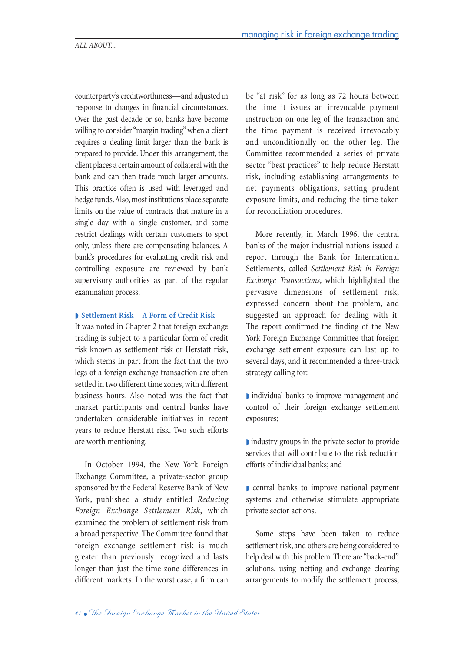counterparty's creditworthiness—and adjusted in response to changes in financial circumstances. Over the past decade or so, banks have become willing to consider "margin trading" when a client requires a dealing limit larger than the bank is prepared to provide. Under this arrangement, the client places a certain amount of collateral with the bank and can then trade much larger amounts. This practice often is used with leveraged and hedge funds.Also, most institutions place separate limits on the value of contracts that mature in a single day with a single customer, and some restrict dealings with certain customers to spot only, unless there are compensating balances. A bank's procedures for evaluating credit risk and controlling exposure are reviewed by bank supervisory authorities as part of the regular examination process.

#### ◗ **Settlement Risk—A Form of Credit Risk**

It was noted in Chapter 2 that foreign exchange trading is subject to a particular form of credit risk known as settlement risk or Herstatt risk, which stems in part from the fact that the two legs of a foreign exchange transaction are often settled in two different time zones, with different business hours. Also noted was the fact that market participants and central banks have undertaken considerable initiatives in recent years to reduce Herstatt risk. Two such efforts are worth mentioning.

In October 1994, the New York Foreign Exchange Committee, a private-sector group sponsored by the Federal Reserve Bank of New York, published a study entitled *Reducing Foreign Exchange Settlement Risk*, which examined the problem of settlement risk from a broad perspective. The Committee found that foreign exchange settlement risk is much greater than previously recognized and lasts longer than just the time zone differences in different markets. In the worst case, a firm can be "at risk" for as long as 72 hours between the time it issues an irrevocable payment instruction on one leg of the transaction and the time payment is received irrevocably and unconditionally on the other leg. The Committee recommended a series of private sector "best practices" to help reduce Herstatt risk, including establishing arrangements to net payments obligations, setting prudent exposure limits, and reducing the time taken for reconciliation procedures.

More recently, in March 1996, the central banks of the major industrial nations issued a report through the Bank for International Settlements, called *Settlement Risk in Foreign Exchange Transactions*, which highlighted the pervasive dimensions of settlement risk, expressed concern about the problem, and suggested an approach for dealing with it. The report confirmed the finding of the New York Foreign Exchange Committee that foreign exchange settlement exposure can last up to several days, and it recommended a three-track strategy calling for:

◗ individual banks to improve management and control of their foreign exchange settlement exposures;

◗ industry groups in the private sector to provide services that will contribute to the risk reduction efforts of individual banks; and

◗ central banks to improve national payment systems and otherwise stimulate appropriate private sector actions.

Some steps have been taken to reduce settlement risk, and others are being considered to help deal with this problem. There are "back-end" solutions, using netting and exchange clearing arrangements to modify the settlement process,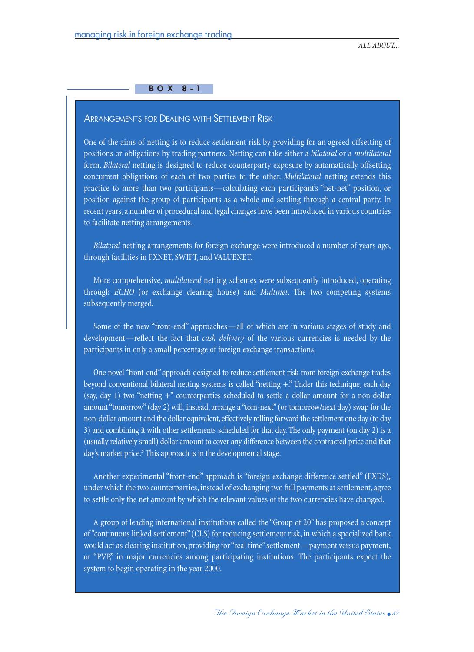**BOX 8-1**

### ARRANGEMENTS FOR DEALING WITH SETTLEMENT RISK

One of the aims of netting is to reduce settlement risk by providing for an agreed offsetting of positions or obligations by trading partners. Netting can take either a *bilateral* or a *multilateral* form. *Bilateral* netting is designed to reduce counterparty exposure by automatically offsetting concurrent obligations of each of two parties to the other. *Multilateral* netting extends this practice to more than two participants—calculating each participant's "net-net" position, or position against the group of participants as a whole and settling through a central party. In recent years, a number of procedural and legal changes have been introduced in various countries to facilitate netting arrangements.

*Bilateral* netting arrangements for foreign exchange were introduced a number of years ago, through facilities in FXNET, SWIFT, and VALUENET.

More comprehensive, *multilateral* netting schemes were subsequently introduced, operating through *ECHO* (or exchange clearing house) and *Multinet*. The two competing systems subsequently merged.

Some of the new "front-end" approaches—all of which are in various stages of study and development—reflect the fact that *cash delivery* of the various currencies is needed by the participants in only a small percentage of foreign exchange transactions.

One novel "front-end" approach designed to reduce settlement risk from foreign exchange trades beyond conventional bilateral netting systems is called "netting +." Under this technique, each day (say, day  $1)$  two "netting  $+$ " counterparties scheduled to settle a dollar amount for a non-dollar amount "tomorrow" (day 2) will, instead, arrange a "tom-next" (or tomorrow/next day) swap for the non-dollar amount and the dollar equivalent, effectively rolling forward the settlement one day (to day 3) and combining it with other settlements scheduled for that day. The only payment (on day 2) is a (usually relatively small) dollar amount to cover any difference between the contracted price and that day's market price.<sup>5</sup> This approach is in the developmental stage.

Another experimental "front-end" approach is "foreign exchange difference settled" (FXDS), under which the two counterparties, instead of exchanging two full payments at settlement, agree to settle only the net amount by which the relevant values of the two currencies have changed.

A group of leading international institutions called the "Group of 20" has proposed a concept of "continuous linked settlement" (CLS) for reducing settlement risk, in which a specialized bank would act as clearing institution, providing for "real time" settlement—payment versus payment, or "PVP," in major currencies among participating institutions. The participants expect the system to begin operating in the year 2000.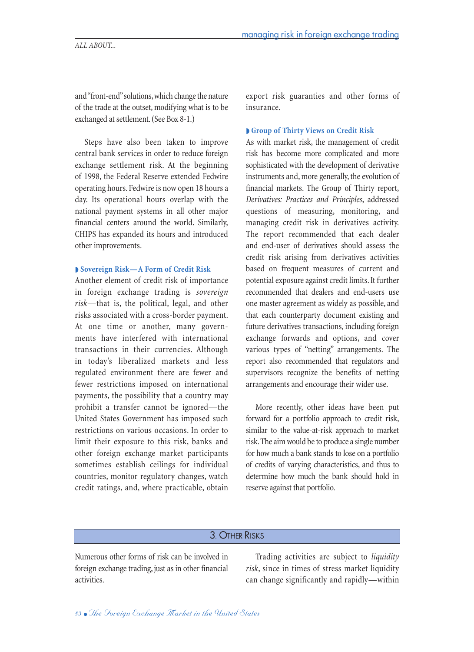and "front-end"solutions,which change the nature of the trade at the outset, modifying what is to be exchanged at settlement. (See Box 8-1.)

Steps have also been taken to improve central bank services in order to reduce foreign exchange settlement risk. At the beginning of 1998, the Federal Reserve extended Fedwire operating hours. Fedwire is now open 18 hours a day. Its operational hours overlap with the national payment systems in all other major financial centers around the world. Similarly, CHIPS has expanded its hours and introduced other improvements.

#### ◗ **Sovereign Risk—A Form of Credit Risk**

Another element of credit risk of importance in foreign exchange trading is *sovereign risk*—that is, the political, legal, and other risks associated with a cross-border payment. At one time or another, many governments have interfered with international transactions in their currencies. Although in today's liberalized markets and less regulated environment there are fewer and fewer restrictions imposed on international payments, the possibility that a country may prohibit a transfer cannot be ignored—the United States Government has imposed such restrictions on various occasions. In order to limit their exposure to this risk, banks and other foreign exchange market participants sometimes establish ceilings for individual countries, monitor regulatory changes, watch credit ratings, and, where practicable, obtain

export risk guaranties and other forms of insurance.

#### ◗ **Group of Thirty Views on Credit Risk**

As with market risk, the management of credit risk has become more complicated and more sophisticated with the development of derivative instruments and, more generally, the evolution of financial markets. The Group of Thirty report, *Derivatives: Practices and Principles*, addressed questions of measuring, monitoring, and managing credit risk in derivatives activity. The report recommended that each dealer and end-user of derivatives should assess the credit risk arising from derivatives activities based on frequent measures of current and potential exposure against credit limits. It further recommended that dealers and end-users use one master agreement as widely as possible, and that each counterparty document existing and future derivatives transactions, including foreign exchange forwards and options, and cover various types of "netting" arrangements. The report also recommended that regulators and supervisors recognize the benefits of netting arrangements and encourage their wider use.

More recently, other ideas have been put forward for a portfolio approach to credit risk, similar to the value-at-risk approach to market risk.The aim would be to produce a single number for how much a bank stands to lose on a portfolio of credits of varying characteristics, and thus to determine how much the bank should hold in reserve against that portfolio.

## 3. OTHER RISKS

Numerous other forms of risk can be involved in foreign exchange trading, just as in other financial activities.

Trading activities are subject to *liquidity risk*, since in times of stress market liquidity can change significantly and rapidly—within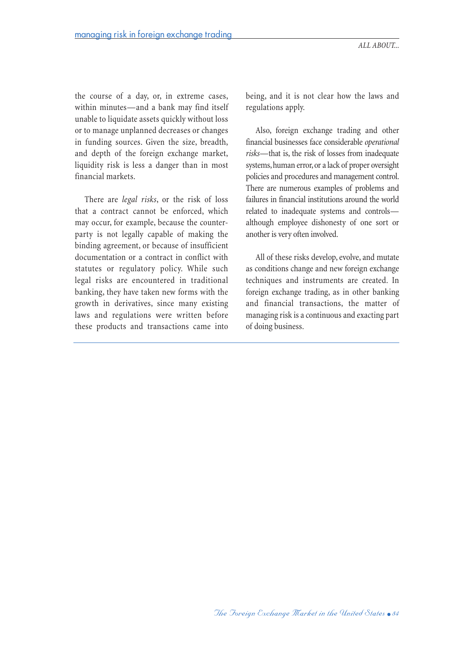the course of a day, or, in extreme cases, within minutes—and a bank may find itself unable to liquidate assets quickly without loss or to manage unplanned decreases or changes in funding sources. Given the size, breadth, and depth of the foreign exchange market, liquidity risk is less a danger than in most financial markets.

There are *legal risks*, or the risk of loss that a contract cannot be enforced, which may occur, for example, because the counterparty is not legally capable of making the binding agreement, or because of insufficient documentation or a contract in conflict with statutes or regulatory policy. While such legal risks are encountered in traditional banking, they have taken new forms with the growth in derivatives, since many existing laws and regulations were written before these products and transactions came into

being, and it is not clear how the laws and regulations apply.

Also, foreign exchange trading and other financial businesses face considerable *operational risks*—that is, the risk of losses from inadequate systems, human error, or a lack of proper oversight policies and procedures and management control. There are numerous examples of problems and failures in financial institutions around the world related to inadequate systems and controls although employee dishonesty of one sort or another is very often involved.

All of these risks develop, evolve, and mutate as conditions change and new foreign exchange techniques and instruments are created. In foreign exchange trading, as in other banking and financial transactions, the matter of managing risk is a continuous and exacting part of doing business.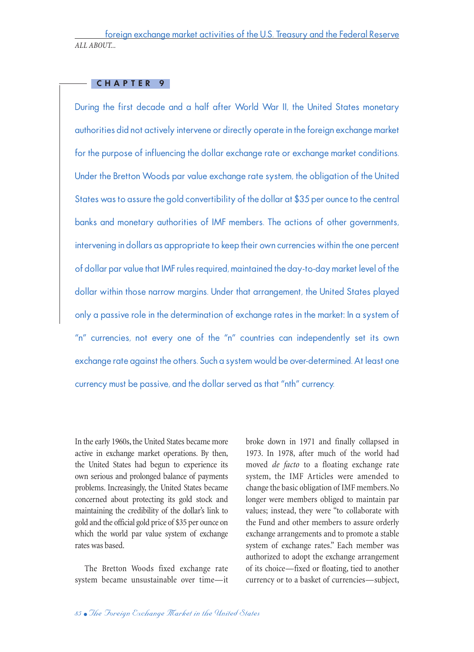foreign exchange market activities of the U.S. Treasury and the Federal Reserve *ALL ABOUT...*

### **CHAPTER 9**

During the first decade and a half after World War II, the United States monetary authorities did not actively intervene or directly operate in the foreign exchange market for the purpose of influencing the dollar exchange rate or exchange market conditions. Under the Bretton Woods par value exchange rate system, the obligation of the United States was to assure the gold convertibility of the dollar at \$35 per ounce to the central banks and monetary authorities of IMF members. The actions of other governments, intervening in dollars as appropriate to keep their own currencies within the one percent of dollar par value that IMF rules required, maintained the day-to-day market level of the dollar within those narrow margins. Under that arrangement, the United States played only a passive role in the determination of exchange rates in the market: In a system of "n" currencies, not every one of the "n" countries can independently set its own exchange rate against the others. Such a system would be over-determined. At least one currency must be passive, and the dollar served as that "nth" currency.

In the early 1960s, the United States became more active in exchange market operations. By then, the United States had begun to experience its own serious and prolonged balance of payments problems. Increasingly, the United States became concerned about protecting its gold stock and maintaining the credibility of the dollar's link to gold and the official gold price of \$35 per ounce on which the world par value system of exchange rates was based.

The Bretton Woods fixed exchange rate system became unsustainable over time—it

broke down in 1971 and finally collapsed in 1973. In 1978, after much of the world had moved *de facto* to a floating exchange rate system, the IMF Articles were amended to change the basic obligation of IMF members. No longer were members obliged to maintain par values; instead, they were "to collaborate with the Fund and other members to assure orderly exchange arrangements and to promote a stable system of exchange rates." Each member was authorized to adopt the exchange arrangement of its choice—fixed or floating, tied to another currency or to a basket of currencies—subject,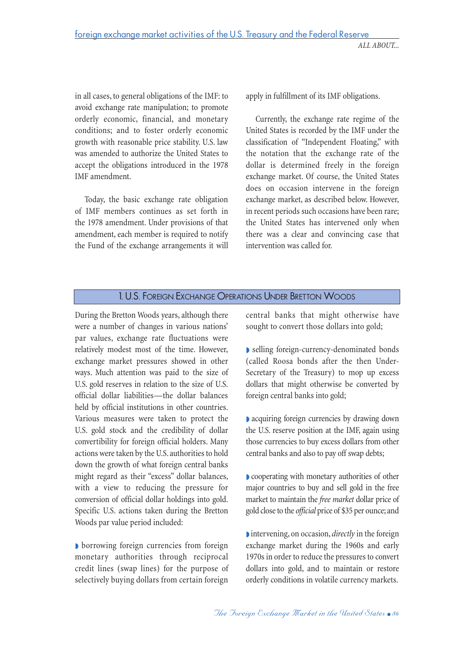in all cases, to general obligations of the IMF: to avoid exchange rate manipulation; to promote orderly economic, financial, and monetary conditions; and to foster orderly economic growth with reasonable price stability. U.S. law was amended to authorize the United States to accept the obligations introduced in the 1978 IMF amendment.

Today, the basic exchange rate obligation of IMF members continues as set forth in the 1978 amendment. Under provisions of that amendment, each member is required to notify the Fund of the exchange arrangements it will

apply in fulfillment of its IMF obligations.

Currently, the exchange rate regime of the United States is recorded by the IMF under the classification of "Independent Floating," with the notation that the exchange rate of the dollar is determined freely in the foreign exchange market. Of course, the United States does on occasion intervene in the foreign exchange market, as described below. However, in recent periods such occasions have been rare; the United States has intervened only when there was a clear and convincing case that intervention was called for.

# 1. U.S. FOREIGN EXCHANGE OPERATIONS UNDER BRETTON WOODS

During the Bretton Woods years, although there were a number of changes in various nations' par values, exchange rate fluctuations were relatively modest most of the time. However, exchange market pressures showed in other ways. Much attention was paid to the size of U.S. gold reserves in relation to the size of U.S. official dollar liabilities—the dollar balances held by official institutions in other countries. Various measures were taken to protect the U.S. gold stock and the credibility of dollar convertibility for foreign official holders. Many actions were taken by the U.S. authorities to hold down the growth of what foreign central banks might regard as their "excess" dollar balances, with a view to reducing the pressure for conversion of official dollar holdings into gold. Specific U.S. actions taken during the Bretton Woods par value period included:

◗ borrowing foreign currencies from foreign monetary authorities through reciprocal credit lines (swap lines) for the purpose of selectively buying dollars from certain foreign

central banks that might otherwise have sought to convert those dollars into gold;

◗ selling foreign-currency-denominated bonds (called Roosa bonds after the then Under-Secretary of the Treasury) to mop up excess dollars that might otherwise be converted by foreign central banks into gold;

◗ acquiring foreign currencies by drawing down the U.S. reserve position at the IMF, again using those currencies to buy excess dollars from other central banks and also to pay off swap debts;

◗ cooperating with monetary authorities of other major countries to buy and sell gold in the free market to maintain the *free market* dollar price of gold close to the *official* price of \$35 per ounce; and

◗ intervening, on occasion, *directly* in the foreign exchange market during the 1960s and early 1970s in order to reduce the pressures to convert dollars into gold, and to maintain or restore orderly conditions in volatile currency markets.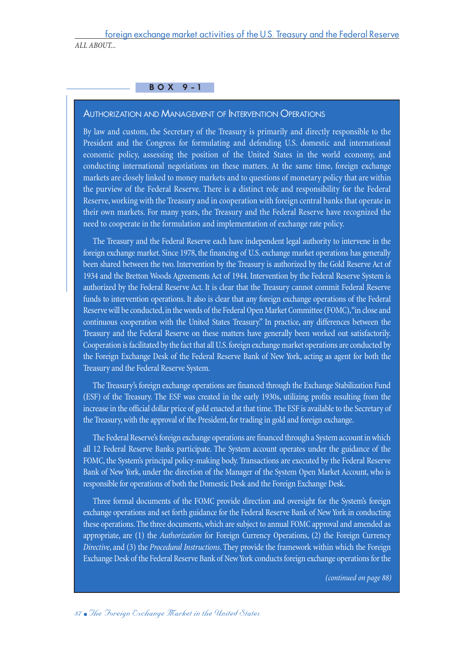foreign exchange market activities of the U.S. Treasury and the Federal Reserve *ALL ABOUT...*

**BOX 9-1**

### AUTHORIZATION AND MANAGEMENT OF INTERVENTION OPERATIONS

By law and custom, the Secretary of the Treasury is primarily and directly responsible to the President and the Congress for formulating and defending U.S. domestic and international economic policy, assessing the position of the United States in the world economy, and conducting international negotiations on these matters. At the same time, foreign exchange markets are closely linked to money markets and to questions of monetary policy that are within the purview of the Federal Reserve. There is a distinct role and responsibility for the Federal Reserve, working with the Treasury and in cooperation with foreign central banks that operate in their own markets. For many years, the Treasury and the Federal Reserve have recognized the need to cooperate in the formulation and implementation of exchange rate policy.

The Treasury and the Federal Reserve each have independent legal authority to intervene in the foreign exchange market. Since 1978, the financing of U.S. exchange market operations has generally been shared between the two. Intervention by the Treasury is authorized by the Gold Reserve Act of 1934 and the Bretton Woods Agreements Act of 1944. Intervention by the Federal Reserve System is authorized by the Federal Reserve Act. It is clear that the Treasury cannot commit Federal Reserve funds to intervention operations. It also is clear that any foreign exchange operations of the Federal Reserve will be conducted, in the words of the Federal Open Market Committee (FOMC), "in close and continuous cooperation with the United States Treasury." In practice, any differences between the Treasury and the Federal Reserve on these matters have generally been worked out satisfactorily. Cooperation is facilitated by the fact that all U.S.foreign exchange market operations are conducted by the Foreign Exchange Desk of the Federal Reserve Bank of New York, acting as agent for both the Treasury and the Federal Reserve System.

The Treasury's foreign exchange operations are financed through the Exchange Stabilization Fund (ESF) of the Treasury. The ESF was created in the early 1930s, utilizing profits resulting from the increase in the official dollar price of gold enacted at that time. The ESF is available to the Secretary of the Treasury, with the approval of the President, for trading in gold and foreign exchange.

The Federal Reserve's foreign exchange operations are financed through a System account in which all 12 Federal Reserve Banks participate. The System account operates under the guidance of the FOMC, the System's principal policy-making body. Transactions are executed by the Federal Reserve Bank of New York, under the direction of the Manager of the System Open Market Account, who is responsible for operations of both the Domestic Desk and the Foreign Exchange Desk.

Three formal documents of the FOMC provide direction and oversight for the System's foreign exchange operations and set forth guidance for the Federal Reserve Bank of New York in conducting these operations. The three documents, which are subject to annual FOMC approval and amended as appropriate, are (1) the *Authorization* for Foreign Currency Operations, (2) the Foreign Currency *Directive*, and (3) the *Procedural Instructions*. They provide the framework within which the Foreign Exchange Desk of the Federal Reserve Bank of New York conducts foreign exchange operations for the

*(continued on page 88)*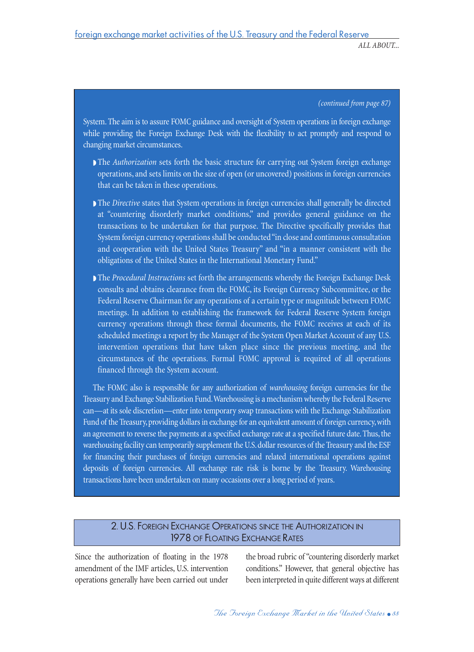## *(continued from page 87)*

System. The aim is to assure FOMC guidance and oversight of System operations in foreign exchange while providing the Foreign Exchange Desk with the flexibility to act promptly and respond to changing market circumstances.

- ◗ The *Authorization* sets forth the basic structure for carrying out System foreign exchange operations, and sets limits on the size of open (or uncovered) positions in foreign currencies that can be taken in these operations.
- ◗ The *Directive* states that System operations in foreign currencies shall generally be directed at "countering disorderly market conditions," and provides general guidance on the transactions to be undertaken for that purpose. The Directive specifically provides that System foreign currency operations shall be conducted "in close and continuous consultation and cooperation with the United States Treasury" and "in a manner consistent with the obligations of the United States in the International Monetary Fund."
- ◗ The *Procedural Instructions* set forth the arrangements whereby the Foreign Exchange Desk consults and obtains clearance from the FOMC, its Foreign Currency Subcommittee, or the Federal Reserve Chairman for any operations of a certain type or magnitude between FOMC meetings. In addition to establishing the framework for Federal Reserve System foreign currency operations through these formal documents, the FOMC receives at each of its scheduled meetings a report by the Manager of the System Open Market Account of any U.S. intervention operations that have taken place since the previous meeting, and the circumstances of the operations. Formal FOMC approval is required of all operations financed through the System account.

The FOMC also is responsible for any authorization of *warehousing* foreign currencies for the Treasury and Exchange Stabilization Fund.Warehousing is a mechanism whereby the Federal Reserve can—at its sole discretion—enter into temporary swap transactions with the Exchange Stabilization Fund of the Treasury, providing dollars in exchange for an equivalent amount of foreign currency, with an agreement to reverse the payments at a specified exchange rate at a specified future date. Thus, the warehousing facility can temporarily supplement the U.S.dollar resources of the Treasury and the ESF for financing their purchases of foreign currencies and related international operations against deposits of foreign currencies. All exchange rate risk is borne by the Treasury. Warehousing transactions have been undertaken on many occasions over a long period of years.

# 2. U.S. FOREIGN EXCHANGE OPERATIONS SINCE THE AUTHORIZATION IN 1978 OF FLOATING EXCHANGE RATES

Since the authorization of floating in the 1978 amendment of the IMF articles, U.S. intervention operations generally have been carried out under

the broad rubric of "countering disorderly market conditions." However, that general objective has been interpreted in quite different ways at different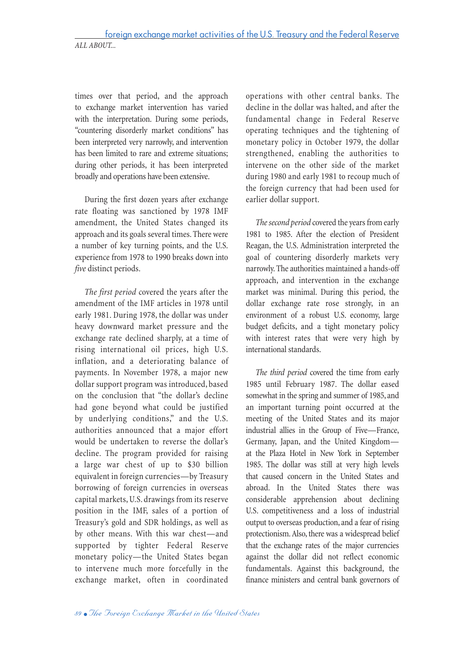times over that period, and the approach to exchange market intervention has varied with the interpretation. During some periods, "countering disorderly market conditions" has been interpreted very narrowly, and intervention has been limited to rare and extreme situations; during other periods, it has been interpreted broadly and operations have been extensive.

During the first dozen years after exchange rate floating was sanctioned by 1978 IMF amendment, the United States changed its approach and its goals several times. There were a number of key turning points, and the U.S. experience from 1978 to 1990 breaks down into *five* distinct periods.

*The first period* covered the years after the amendment of the IMF articles in 1978 until early 1981. During 1978, the dollar was under heavy downward market pressure and the exchange rate declined sharply, at a time of rising international oil prices, high U.S. inflation, and a deteriorating balance of payments. In November 1978, a major new dollar support program was introduced, based on the conclusion that "the dollar's decline had gone beyond what could be justified by underlying conditions," and the U.S. authorities announced that a major effort would be undertaken to reverse the dollar's decline. The program provided for raising a large war chest of up to \$30 billion equivalent in foreign currencies—by Treasury borrowing of foreign currencies in overseas capital markets, U.S. drawings from its reserve position in the IMF, sales of a portion of Treasury's gold and SDR holdings, as well as by other means. With this war chest—and supported by tighter Federal Reserve monetary policy—the United States began to intervene much more forcefully in the exchange market, often in coordinated operations with other central banks. The decline in the dollar was halted, and after the fundamental change in Federal Reserve operating techniques and the tightening of monetary policy in October 1979, the dollar strengthened, enabling the authorities to intervene on the other side of the market during 1980 and early 1981 to recoup much of the foreign currency that had been used for earlier dollar support.

*The second period* covered the years from early 1981 to 1985. After the election of President Reagan, the U.S. Administration interpreted the goal of countering disorderly markets very narrowly. The authorities maintained a hands-off approach, and intervention in the exchange market was minimal. During this period, the dollar exchange rate rose strongly, in an environment of a robust U.S. economy, large budget deficits, and a tight monetary policy with interest rates that were very high by international standards.

*The third period* covered the time from early 1985 until February 1987. The dollar eased somewhat in the spring and summer of 1985, and an important turning point occurred at the meeting of the United States and its major industrial allies in the Group of Five—France, Germany, Japan, and the United Kingdom at the Plaza Hotel in New York in September 1985. The dollar was still at very high levels that caused concern in the United States and abroad. In the United States there was considerable apprehension about declining U.S. competitiveness and a loss of industrial output to overseas production, and a fear of rising protectionism. Also, there was a widespread belief that the exchange rates of the major currencies against the dollar did not reflect economic fundamentals. Against this background, the finance ministers and central bank governors of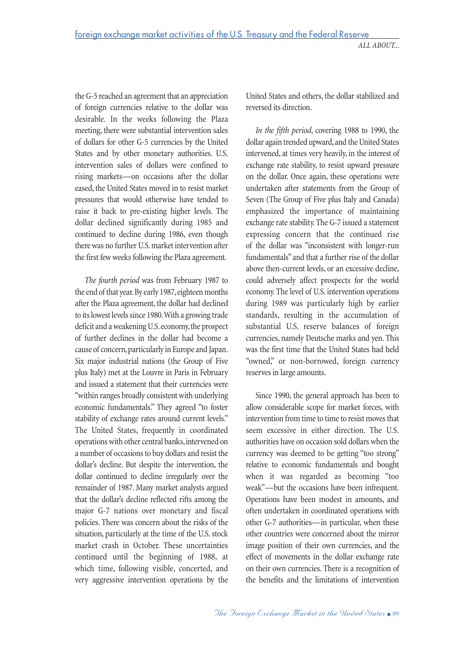the G-5 reached an agreement that an appreciation of foreign currencies relative to the dollar was desirable. In the weeks following the Plaza meeting, there were substantial intervention sales of dollars for other G-5 currencies by the United States and by other monetary authorities. U.S. intervention sales of dollars were confined to rising markets—on occasions after the dollar eased, the United States moved in to resist market pressures that would otherwise have tended to raise it back to pre-existing higher levels. The dollar declined significantly during 1985 and continued to decline during 1986, even though there was no further U.S.market intervention after the first few weeks following the Plaza agreement.

*The fourth period* was from February 1987 to the end of that year.By early 1987,eighteen months after the Plaza agreement, the dollar had declined to its lowest levels since 1980.With a growing trade deficit and a weakening U.S. economy, the prospect of further declines in the dollar had become a cause of concern,particularly in Europe and Japan. Six major industrial nations (the Group of Five plus Italy) met at the Louvre in Paris in February and issued a statement that their currencies were "within ranges broadly consistent with underlying economic fundamentals." They agreed "to foster stability of exchange rates around current levels." The United States, frequently in coordinated operations with other central banks, intervened on a number of occasions to buy dollars and resist the dollar's decline. But despite the intervention, the dollar continued to decline irregularly over the remainder of 1987. Many market analysts argued that the dollar's decline reflected rifts among the major G-7 nations over monetary and fiscal policies. There was concern about the risks of the situation, particularly at the time of the U.S. stock market crash in October. These uncertainties continued until the beginning of 1988, at which time, following visible, concerted, and very aggressive intervention operations by the

United States and others, the dollar stabilized and reversed its direction.

*In the fifth period*, covering 1988 to 1990, the dollar again trended upward, and the United States intervened, at times very heavily, in the interest of exchange rate stability, to resist upward pressure on the dollar. Once again, these operations were undertaken after statements from the Group of Seven (The Group of Five plus Italy and Canada) emphasized the importance of maintaining exchange rate stability. The G-7 issued a statement expressing concern that the continued rise of the dollar was "inconsistent with longer-run fundamentals" and that a further rise of the dollar above then-current levels, or an excessive decline, could adversely affect prospects for the world economy. The level of U.S. intervention operations during 1989 was particularly high by earlier standards, resulting in the accumulation of substantial U.S. reserve balances of foreign currencies, namely Deutsche marks and yen. This was the first time that the United States had held "owned," or non-borrowed, foreign currency reserves in large amounts.

Since 1990, the general approach has been to allow considerable scope for market forces, with intervention from time to time to resist moves that seem excessive in either direction. The U.S. authorities have on occasion sold dollars when the currency was deemed to be getting "too strong" relative to economic fundamentals and bought when it was regarded as becoming "too weak"—but the occasions have been infrequent. Operations have been modest in amounts, and often undertaken in coordinated operations with other G-7 authorities—in particular, when these other countries were concerned about the mirror image position of their own currencies, and the effect of movements in the dollar exchange rate on their own currencies. There is a recognition of the benefits and the limitations of intervention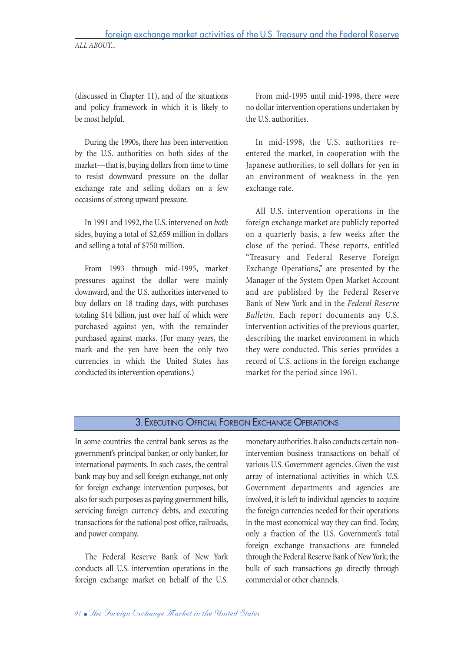(discussed in Chapter 11), and of the situations and policy framework in which it is likely to be most helpful.

During the 1990s, there has been intervention by the U.S. authorities on both sides of the market—that is, buying dollars from time to time to resist downward pressure on the dollar exchange rate and selling dollars on a few occasions of strong upward pressure.

In 1991 and 1992, the U.S. intervened on *both* sides, buying a total of \$2,659 million in dollars and selling a total of \$750 million.

From 1993 through mid-1995, market pressures against the dollar were mainly downward, and the U.S. authorities intervened to buy dollars on 18 trading days, with purchases totaling \$14 billion, just over half of which were purchased against yen, with the remainder purchased against marks. (For many years, the mark and the yen have been the only two currencies in which the United States has conducted its intervention operations.)

From mid-1995 until mid-1998, there were no dollar intervention operations undertaken by the U.S. authorities.

In mid-1998, the U.S. authorities reentered the market, in cooperation with the Japanese authorities, to sell dollars for yen in an environment of weakness in the yen exchange rate.

All U.S. intervention operations in the foreign exchange market are publicly reported on a quarterly basis, a few weeks after the close of the period. These reports, entitled "Treasury and Federal Reserve Foreign Exchange Operations," are presented by the Manager of the System Open Market Account and are published by the Federal Reserve Bank of New York and in the *Federal Reserve Bulletin*. Each report documents any U.S. intervention activities of the previous quarter, describing the market environment in which they were conducted. This series provides a record of U.S. actions in the foreign exchange market for the period since 1961.

# 3. EXECUTING OFFICIAL FOREIGN EXCHANGE OPERATIONS

In some countries the central bank serves as the government's principal banker, or only banker, for international payments. In such cases, the central bank may buy and sell foreign exchange, not only for foreign exchange intervention purposes, but also for such purposes as paying government bills, servicing foreign currency debts, and executing transactions for the national post office, railroads, and power company.

The Federal Reserve Bank of New York conducts all U.S. intervention operations in the foreign exchange market on behalf of the U.S. monetary authorities.It also conducts certain nonintervention business transactions on behalf of various U.S. Government agencies. Given the vast array of international activities in which U.S. Government departments and agencies are involved, it is left to individual agencies to acquire the foreign currencies needed for their operations in the most economical way they can find. Today, only a fraction of the U.S. Government's total foreign exchange transactions are funneled through the Federal Reserve Bank of New York; the bulk of such transactions go directly through commercial or other channels.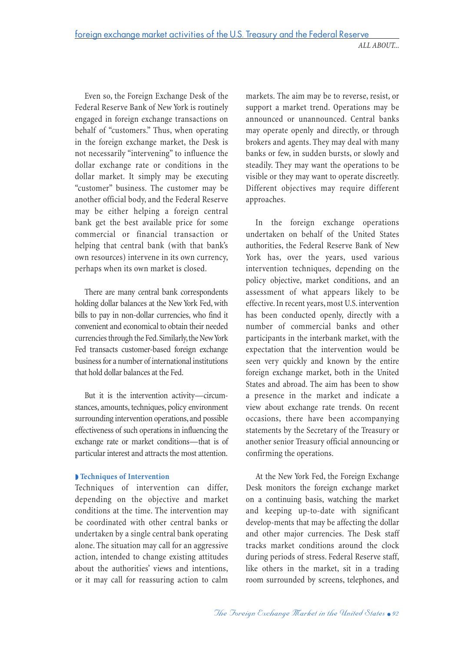Even so, the Foreign Exchange Desk of the Federal Reserve Bank of New York is routinely engaged in foreign exchange transactions on behalf of "customers." Thus, when operating in the foreign exchange market, the Desk is not necessarily "intervening" to influence the dollar exchange rate or conditions in the dollar market. It simply may be executing "customer" business. The customer may be another official body, and the Federal Reserve may be either helping a foreign central bank get the best available price for some commercial or financial transaction or helping that central bank (with that bank's own resources) intervene in its own currency, perhaps when its own market is closed.

There are many central bank correspondents holding dollar balances at the New York Fed, with bills to pay in non-dollar currencies, who find it convenient and economical to obtain their needed currencies through the Fed.Similarly,the New York Fed transacts customer-based foreign exchange business for a number of international institutions that hold dollar balances at the Fed.

But it is the intervention activity—circumstances, amounts, techniques, policy environment surrounding intervention operations, and possible effectiveness of such operations in influencing the exchange rate or market conditions—that is of particular interest and attracts the most attention.

#### ◗ **Techniques of Intervention**

Techniques of intervention can differ, depending on the objective and market conditions at the time. The intervention may be coordinated with other central banks or undertaken by a single central bank operating alone. The situation may call for an aggressive action, intended to change existing attitudes about the authorities' views and intentions, or it may call for reassuring action to calm

markets. The aim may be to reverse, resist, or support a market trend. Operations may be announced or unannounced. Central banks may operate openly and directly, or through brokers and agents. They may deal with many banks or few, in sudden bursts, or slowly and steadily. They may want the operations to be visible or they may want to operate discreetly. Different objectives may require different approaches.

In the foreign exchange operations undertaken on behalf of the United States authorities, the Federal Reserve Bank of New York has, over the years, used various intervention techniques, depending on the policy objective, market conditions, and an assessment of what appears likely to be effective. In recent years, most U.S. intervention has been conducted openly, directly with a number of commercial banks and other participants in the interbank market, with the expectation that the intervention would be seen very quickly and known by the entire foreign exchange market, both in the United States and abroad. The aim has been to show a presence in the market and indicate a view about exchange rate trends. On recent occasions, there have been accompanying statements by the Secretary of the Treasury or another senior Treasury official announcing or confirming the operations.

At the New York Fed, the Foreign Exchange Desk monitors the foreign exchange market on a continuing basis, watching the market and keeping up-to-date with significant develop-ments that may be affecting the dollar and other major currencies. The Desk staff tracks market conditions around the clock during periods of stress. Federal Reserve staff, like others in the market, sit in a trading room surrounded by screens, telephones, and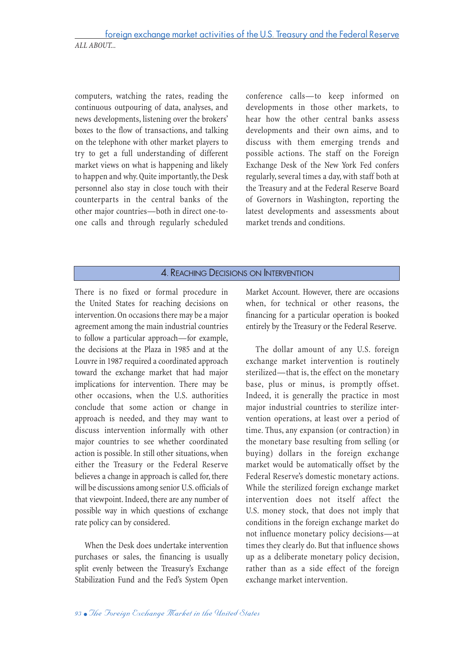computers, watching the rates, reading the continuous outpouring of data, analyses, and news developments, listening over the brokers' boxes to the flow of transactions, and talking on the telephone with other market players to try to get a full understanding of different market views on what is happening and likely to happen and why. Quite importantly, the Desk personnel also stay in close touch with their counterparts in the central banks of the other major countries—both in direct one-toone calls and through regularly scheduled

conference calls—to keep informed on developments in those other markets, to hear how the other central banks assess developments and their own aims, and to discuss with them emerging trends and possible actions. The staff on the Foreign Exchange Desk of the New York Fed confers regularly, several times a day, with staff both at the Treasury and at the Federal Reserve Board of Governors in Washington, reporting the latest developments and assessments about market trends and conditions.

# 4. REACHING DECISIONS ON INTERVENTION

There is no fixed or formal procedure in the United States for reaching decisions on intervention. On occasions there may be a major agreement among the main industrial countries to follow a particular approach—for example, the decisions at the Plaza in 1985 and at the Louvre in 1987 required a coordinated approach toward the exchange market that had major implications for intervention. There may be other occasions, when the U.S. authorities conclude that some action or change in approach is needed, and they may want to discuss intervention informally with other major countries to see whether coordinated action is possible. In still other situations, when either the Treasury or the Federal Reserve believes a change in approach is called for, there will be discussions among senior U.S. officials of that viewpoint. Indeed, there are any number of possible way in which questions of exchange rate policy can by considered.

When the Desk does undertake intervention purchases or sales, the financing is usually split evenly between the Treasury's Exchange Stabilization Fund and the Fed's System Open

Market Account. However, there are occasions when, for technical or other reasons, the financing for a particular operation is booked entirely by the Treasury or the Federal Reserve.

The dollar amount of any U.S. foreign exchange market intervention is routinely sterilized—that is, the effect on the monetary base, plus or minus, is promptly offset. Indeed, it is generally the practice in most major industrial countries to sterilize intervention operations, at least over a period of time. Thus, any expansion (or contraction) in the monetary base resulting from selling (or buying) dollars in the foreign exchange market would be automatically offset by the Federal Reserve's domestic monetary actions. While the sterilized foreign exchange market intervention does not itself affect the U.S. money stock, that does not imply that conditions in the foreign exchange market do not influence monetary policy decisions—at times they clearly do. But that influence shows up as a deliberate monetary policy decision, rather than as a side effect of the foreign exchange market intervention.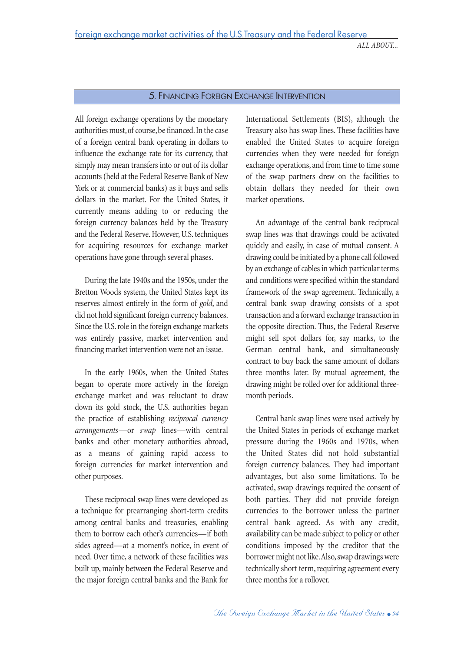*ALL ABOUT...*

## 5. FINANCING FOREIGN EXCHANGE INTERVENTION

All foreign exchange operations by the monetary authorities must, of course, be financed. In the case of a foreign central bank operating in dollars to influence the exchange rate for its currency, that simply may mean transfers into or out of its dollar accounts (held at the Federal Reserve Bank of New York or at commercial banks) as it buys and sells dollars in the market. For the United States, it currently means adding to or reducing the foreign currency balances held by the Treasury and the Federal Reserve. However, U.S. techniques for acquiring resources for exchange market operations have gone through several phases.

During the late 1940s and the 1950s, under the Bretton Woods system, the United States kept its reserves almost entirely in the form of *gold*, and did not hold significant foreign currency balances. Since the U.S. role in the foreign exchange markets was entirely passive, market intervention and financing market intervention were not an issue.

In the early 1960s, when the United States began to operate more actively in the foreign exchange market and was reluctant to draw down its gold stock, the U.S. authorities began the practice of establishing *reciprocal currency arrangements*—or *swap* lines—with central banks and other monetary authorities abroad, as a means of gaining rapid access to foreign currencies for market intervention and other purposes.

These reciprocal swap lines were developed as a technique for prearranging short-term credits among central banks and treasuries, enabling them to borrow each other's currencies—if both sides agreed—at a moment's notice, in event of need. Over time, a network of these facilities was built up, mainly between the Federal Reserve and the major foreign central banks and the Bank for

International Settlements (BIS), although the Treasury also has swap lines. These facilities have enabled the United States to acquire foreign currencies when they were needed for foreign exchange operations, and from time to time some of the swap partners drew on the facilities to obtain dollars they needed for their own market operations.

An advantage of the central bank reciprocal swap lines was that drawings could be activated quickly and easily, in case of mutual consent. A drawing could be initiated by a phone call followed by an exchange of cables in which particular terms and conditions were specified within the standard framework of the swap agreement. Technically, a central bank swap drawing consists of a spot transaction and a forward exchange transaction in the opposite direction. Thus, the Federal Reserve might sell spot dollars for, say marks, to the German central bank, and simultaneously contract to buy back the same amount of dollars three months later. By mutual agreement, the drawing might be rolled over for additional threemonth periods.

Central bank swap lines were used actively by the United States in periods of exchange market pressure during the 1960s and 1970s, when the United States did not hold substantial foreign currency balances. They had important advantages, but also some limitations. To be activated, swap drawings required the consent of both parties. They did not provide foreign currencies to the borrower unless the partner central bank agreed. As with any credit, availability can be made subject to policy or other conditions imposed by the creditor that the borrower might not like. Also, swap drawings were technically short term, requiring agreement every three months for a rollover.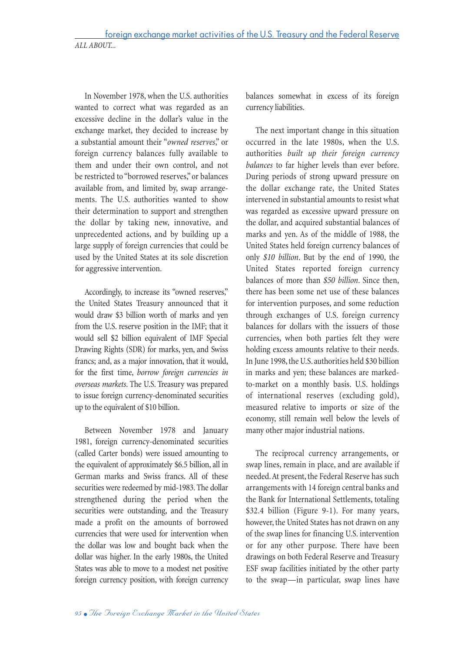In November 1978, when the U.S. authorities wanted to correct what was regarded as an excessive decline in the dollar's value in the exchange market, they decided to increase by a substantial amount their "*owned reserves*," or foreign currency balances fully available to them and under their own control, and not be restricted to "borrowed reserves," or balances available from, and limited by, swap arrangements. The U.S. authorities wanted to show their determination to support and strengthen the dollar by taking new, innovative, and unprecedented actions, and by building up a large supply of foreign currencies that could be used by the United States at its sole discretion for aggressive intervention.

Accordingly, to increase its "owned reserves," the United States Treasury announced that it would draw \$3 billion worth of marks and yen from the U.S. reserve position in the IMF; that it would sell \$2 billion equivalent of IMF Special Drawing Rights (SDR) for marks, yen, and Swiss francs; and, as a major innovation, that it would, for the first time, *borrow foreign currencies in overseas markets*. The U.S. Treasury was prepared to issue foreign currency-denominated securities up to the equivalent of \$10 billion.

Between November 1978 and January 1981, foreign currency-denominated securities (called Carter bonds) were issued amounting to the equivalent of approximately \$6.5 billion, all in German marks and Swiss francs. All of these securities were redeemed by mid-1983. The dollar strengthened during the period when the securities were outstanding, and the Treasury made a profit on the amounts of borrowed currencies that were used for intervention when the dollar was low and bought back when the dollar was higher. In the early 1980s, the United States was able to move to a modest net positive foreign currency position, with foreign currency

balances somewhat in excess of its foreign currency liabilities.

The next important change in this situation occurred in the late 1980s, when the U.S. authorities *built up their foreign currency balances* to far higher levels than ever before. During periods of strong upward pressure on the dollar exchange rate, the United States intervened in substantial amounts to resist what was regarded as excessive upward pressure on the dollar, and acquired substantial balances of marks and yen. As of the middle of 1988, the United States held foreign currency balances of only *\$10 billion*. But by the end of 1990, the United States reported foreign currency balances of more than *\$50 billion*. Since then, there has been some net use of these balances for intervention purposes, and some reduction through exchanges of U.S. foreign currency balances for dollars with the issuers of those currencies, when both parties felt they were holding excess amounts relative to their needs. In June 1998, the U.S. authorities held \$30 billion in marks and yen; these balances are markedto-market on a monthly basis. U.S. holdings of international reserves (excluding gold), measured relative to imports or size of the economy, still remain well below the levels of many other major industrial nations.

The reciprocal currency arrangements, or swap lines, remain in place, and are available if needed. At present, the Federal Reserve has such arrangements with 14 foreign central banks and the Bank for International Settlements, totaling \$32.4 billion (Figure 9-1). For many years, however, the United States has not drawn on any of the swap lines for financing U.S. intervention or for any other purpose. There have been drawings on both Federal Reserve and Treasury ESF swap facilities initiated by the other party to the swap—in particular, swap lines have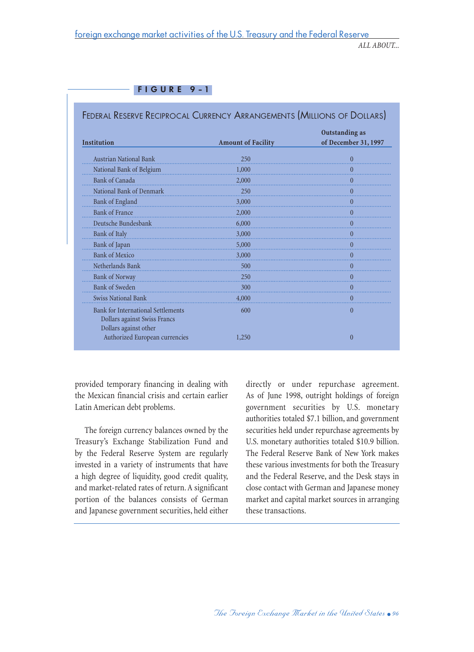### **FIGURE 9-1**

# FEDERAL RESERVE RECIPROCAL CURRENCY ARRANGEMENTS (MILLIONS OF DOLLARS)

| Institution                                                                                        | <b>Amount of Facility</b> | Outstanding as<br>of December 31, 1997 |
|----------------------------------------------------------------------------------------------------|---------------------------|----------------------------------------|
| Austrian National Bank                                                                             | 250                       | $\theta$                               |
| National Bank of Belgium                                                                           | 1,000                     | $\Omega$                               |
| Bank of Canada                                                                                     | 2,000                     | $\Omega$                               |
| National Bank of Denmark                                                                           | 250                       | $\Omega$                               |
| <b>Bank of England</b>                                                                             | 3,000                     | $\theta$                               |
| <b>Bank of France</b>                                                                              | 2,000                     |                                        |
| Deutsche Bundesbank                                                                                | 6,000                     |                                        |
| <b>Bank</b> of Italy                                                                               | 3,000                     | $\Omega$                               |
| Bank of Japan                                                                                      | 5,000                     | $\Omega$                               |
| <b>Bank of Mexico</b>                                                                              | 3,000                     | $\theta$                               |
| Netherlands Bank                                                                                   | 500                       | $\theta$                               |
| <b>Bank of Norway</b>                                                                              | 250                       |                                        |
| <b>Bank of Sweden</b>                                                                              | 300                       | $\left($                               |
| <b>Swiss National Bank</b>                                                                         | 4,000                     | $\Omega$                               |
| <b>Bank for International Settlements</b><br>Dollars against Swiss Francs<br>Dollars against other | 600                       | $\theta$                               |
| Authorized European currencies                                                                     | 1,250                     | $\theta$                               |

provided temporary financing in dealing with the Mexican financial crisis and certain earlier Latin American debt problems.

The foreign currency balances owned by the Treasury's Exchange Stabilization Fund and by the Federal Reserve System are regularly invested in a variety of instruments that have a high degree of liquidity, good credit quality, and market-related rates of return. A significant portion of the balances consists of German and Japanese government securities, held either

directly or under repurchase agreement. As of June 1998, outright holdings of foreign government securities by U.S. monetary authorities totaled \$7.1 billion, and government securities held under repurchase agreements by U.S. monetary authorities totaled \$10.9 billion. The Federal Reserve Bank of New York makes these various investments for both the Treasury and the Federal Reserve, and the Desk stays in close contact with German and Japanese money market and capital market sources in arranging these transactions.